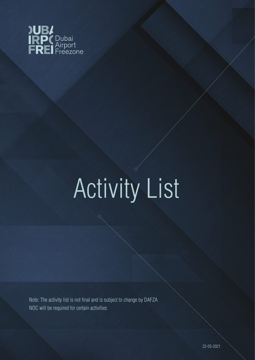

## Activity List

 $\bigcap$ 

Note: The activity list is not final and is subject to change by DAFZA NOC will be required for certain activities

 $\bigcirc$ 

22-03-2021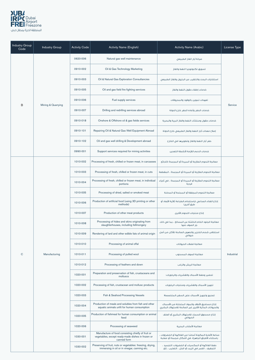

| <b>Industry Group</b><br>Code | <b>Industry Group</b> | <b>Activity Code</b> | <b>Activity Name (English)</b>                                                                                         | <b>Activity Name (Arabic)</b>                                                                               | License Type |
|-------------------------------|-----------------------|----------------------|------------------------------------------------------------------------------------------------------------------------|-------------------------------------------------------------------------------------------------------------|--------------|
|                               |                       | 0620-006             | Natural gas well maintenance                                                                                           | صيانة آبار الفاز الطبيعى                                                                                    |              |
|                               |                       | 0910-002             | Oil & Gas Technology Marketing                                                                                         | تسويق تكنولوجيا النفط والغاز                                                                                |              |
|                               |                       | 0910-003             | Oil & Natural Gas Exploration Consultancies                                                                            | استشارات البحث والتنقيب عن البترول والغاز الطبيعى                                                           |              |
|                               |                       | 0910-005             | Oil and gas field fire fighting services                                                                               | خدمات إطفاء حقول النفط والغاز                                                                               |              |
|                               |                       | 0910-006             | Fuel supply services                                                                                                   | تعهدات تموين بالوقود والمحروقات                                                                             |              |
| $\overline{B}$                | Mining & Quarrying    | 0910-007             | Drilling and redrilling services abroad                                                                                | خدمات الحفر وأعاده الحفر خارج الدولة                                                                        | Service      |
|                               |                       | 0910-018             | Onshore & Offshore oil & gas fields services                                                                           | خدمات حقول ومنشأت النفط والغاز البرية والبحرية                                                              |              |
|                               |                       | 0910-101             | Repairing Oil & Natural Gas Well Equipment Abroad                                                                      | إصلاح معدات آبار النفط والغاز الطبيعي خارج الدولة                                                           |              |
|                               |                       | 0910-102             | Oil and gas well drilling & Development abroad                                                                         | حفر آبار النفط والغاز وتطويرها في الخارج                                                                    |              |
|                               |                       | 0990-001             | Support services required for mining activities                                                                        | خدمات الدعم اللازمة لأنشطة التعدين                                                                          |              |
|                               |                       | 1010-002             | Processing of fresh, chilled or frozen meat, in carcasses                                                              | معالجة اللحوم الطازجة أو المبردة أو المجمدة كذبائح                                                          |              |
|                               |                       | 1010-003             | Processing of fresh, chilled or frozen meat, in cuts                                                                   | معالجة اللحوم الطازجة أو المبردة أو المجمدة ، المقطعة                                                       |              |
|                               |                       | 1010-004             | Processing of fresh, chilled or frozen meat, in individual<br>portions                                                 | معالجة اللحوم الطازجة أو المبردة أو المجمدة ، في أجزاء<br>فردنة                                             |              |
|                               |                       | 1010-005             | Processing of dried, salted or smoked meat                                                                             | معالجة اللحوم المجففة أو المملحة أو المدخنة                                                                 |              |
|                               |                       | 1010-006             | Production of artificial food (using 3D printing or other<br>methods)                                                  | إنتاج الغذاء الصناعي (باستخدام الطباعة ثلاثية الأبعاد أو<br>طرق أخرى)                                       |              |
|                               |                       | 1010-007             | Production of other meat products                                                                                      | إنتاج منتجات اللحوم الأخرى                                                                                  |              |
|                               |                       | 1010-008             | Processing of hides and skins originating from<br>slaughterhouses, including fellmongery                               | معالجة الجلود الخام الناشئة عن المسالخ ، بما في ذلك<br>جز الصوف عنها                                        |              |
|                               |                       | 1010-009             | Rendering of lard and other edible fats of animal origin                                                               | استخلاص شحم الخنزير والدهون الصالحة للأكل من أصل<br>حيوانى                                                  |              |
|                               |                       | 1010-010             | Processing of animal offal                                                                                             | معالجة فضلات الحيوانات                                                                                      |              |
| $\mathbf C$                   | Manufacturing         | 1010-011             | Processing of pulled wool                                                                                              | معالجة الصوف المسحوب                                                                                        | Industrial   |
|                               |                       | 1010-012             | Processing of feathers and down                                                                                        | معالجة الريش والزغب                                                                                         |              |
|                               |                       | 1020-001             | Preparation and preservation of fish, crustaceans and<br>molluscs                                                      | تحضير وحفظ الأسماك والقشريات والرخويات:                                                                     |              |
|                               |                       | 1020-002             | Processing of fish, crustacean and mollusc products                                                                    | تجهيز الأسماك والقشريات ومنتجات الرخويات                                                                    |              |
|                               |                       | 1020-003             | Fish & Seafood Processing Vessels                                                                                      | تصنيع وتحهيز الأسماك على السفن المتخصصةا                                                                    |              |
|                               |                       | 1020-004             | Production of meals and solubles from fish and other<br>aquatic animals unfit for human consumption                    | إنتاج مساحيق الأعلاف والمواد المتحللة من الأسماك<br>والحيوانات المائية الأخرى غير الصالحة للاستهلاك البشرى  |              |
|                               |                       | 1020-005             | Production of fishmeal for human consumption or animal<br>feed                                                         | إنتاج مسحوق السمك للاستهلاك البشرى أو العلف<br>الحيوانى                                                     |              |
|                               |                       | 1020-006             | Processing of seaweed                                                                                                  | معالجة الأعشاب البحرية                                                                                      |              |
|                               |                       | 1030-001             | Manufacture of food consisting chiefly of fruit or<br>vegetables, except ready-made dishes in frozen or<br>canned form | صناعة الأغذية المكونة أساسًا من الفاكهة أو الخضراوات ،<br>باستثناء الأطباق الجاهزة، في أشكال مجمدة أو معلبة |              |
|                               |                       | 1030-002             | Preserving of fruit, nuts or vegetables: freezing, drying,<br>immersing in oil or in vinegar, canning etc.             | حفظ الفاكهة أو المكسرات أو الخضروات: التجميد ،<br>التجفيف ، الغمر في الزيت أو الخل ، التعليب ، إلخ.         |              |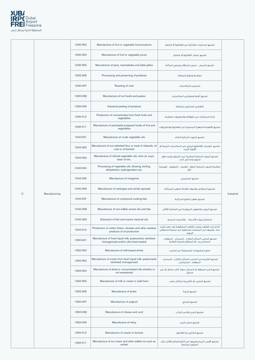

|   |               | 1030-003 | Manufacture of fruit or vegetable food products                                                     | تصنيع المنتحات الغذائية من الفاكهة أو الخضار                                                                    |            |
|---|---------------|----------|-----------------------------------------------------------------------------------------------------|-----------------------------------------------------------------------------------------------------------------|------------|
|   |               | 1030-004 | Manufacture of fruit or vegetable juices                                                            | تصنيع عصائر الفاكهة أو الخضار                                                                                   |            |
|   |               | 1030-005 | Manufacture of jams, marmalades and table jellies                                                   | تصنيع المربي ، مربي البرتقال وجيلي المائدة                                                                      |            |
|   |               | 1030-006 | Processing and preserving of potatoes                                                               | معالجة وحفظ البطاطا                                                                                             |            |
|   |               | 1030-007 | Roasting of nuts                                                                                    | تحميص المكسرات                                                                                                  |            |
|   |               | 1030-008 | Manufacture of nut foods and pastes                                                                 | تصنيع أغذية ومعاجين المكسرات                                                                                    |            |
|   |               | 1030-009 | Industrial peeling of potatoes                                                                      | التقشير الصناعي للبطاطا                                                                                         |            |
|   |               | 1030-010 | Production of concentrates from fresh fruits and<br>vegetables                                      | إنتاج المركزات من الفواكه والخضروات الطازجة                                                                     |            |
|   |               | 1030-011 | Manufacture of perishable prepared foods of fruit and<br>vegetables                                 | تصنيع الأطعمة الجاهزة المحضرة من الفاكهة والخضراوات                                                             |            |
|   |               | 1040-001 | Manufacture of crude vegetable oils                                                                 | تصنيع الزيوت النباتية الخام                                                                                     |            |
|   |               | 1040-002 | Manufacture of non-defatted flour or meal of oilseeds, oil<br>nuts or oil kernels                   | تصنيع الوجبات أوالدقيق الزيتي من المكسرات الزيتية أو<br>الأنوية الزّيت                                          |            |
|   |               | 1040-003 | Manufacture of refined vegetable oils: olive oil, soya-<br>bean oil etc.                            | تصنيع الزيوت النباتية المكررة: زيت الزيتون وزيت فول<br>الصويا وما إلى ذلك.                                      |            |
|   |               | 1040-004 | Processing of vegetable oils: blowing, boiling,<br>dehydration, hydrogenation etc.                  | معالجة الزيوت النباتية: النفخ ، الغليان ، التجفيف ، الهدرجة<br>، إلخ.                                           |            |
|   |               | 1040-005 | Manufacture of margarine                                                                            | تصنيع المارجرين                                                                                                 |            |
|   |               | 1040-006 | Manufacture of melanges and similar spreads                                                         | تصنيع الميلانش والمواد القابلة للدهن المماثلة                                                                   |            |
| C | Manufacturing | 1040-007 | Manufacture of compound cooking fats                                                                | تصنيع دهون الطبخ المركبة                                                                                        | Industrial |
|   |               | 1040-008 | Manufacture of non-edible animal oils and fats                                                      | تصنيع الزيوت والدهون الحيوانية غير الصالحة للأكل                                                                |            |
|   |               | 1040-009 | Extraction of fish and marine mammal oils                                                           | استخراج زيوت الأسماك والثدييات البحرية                                                                          |            |
|   |               | 1040-010 | Production of cotton linters, oilcakes and other residual<br>products of oil production             | إنتاج زغب القطن ،وزغب القطن المضغوط بعد عصر الزيت<br>منه وغيرها من المنتجات المتبقية من عملية استخلاص<br>الزيوت |            |
|   |               | 1050-001 | Manufacture of fresh liquid milk, pasteurized, sterilized,<br>homogenized and/or ultra heat treated | تصنيع الحليب السائل الطازج ، المبستر ، المعقم ،<br>المجانس و / أو المعالج بالحرارة العالية                      |            |
|   |               | 1050-002 | Manufacture of milk-based drinks                                                                    | صنع المشروبات المصنوعة من الحليب                                                                                |            |
|   |               | 1050-003 | Manufacture of cream from fresh liquid milk, pasteurized,<br>sterilized, homogenized                | تصنيع الكريم من الحليب السائل الطازج ، المبستر ،<br>المعقم ، المتجانس                                           |            |
|   |               |          |                                                                                                     |                                                                                                                 |            |

| 1050-004 | Manufacture of dried or concentrated milk whether or<br>not sweetened | تصنيع اللبن المجفف أو المركز سواءً كان محليٌّ أو غير<br>محليٌ       |
|----------|-----------------------------------------------------------------------|---------------------------------------------------------------------|
| 1050-005 | Manufacture of milk or cream in solid form                            | تصنيع الحليب أو الكريمة بشكل صلب                                    |
| 1050-006 | Manufacture of butter                                                 | تصنيع الزبدة                                                        |
| 1050-007 | Manufacture of yoghurt                                                | تصنيع الزبادي                                                       |
| 1050-008 | Manufacture of cheese and curd                                        | تصنيع الجبن واللبن الراثب                                           |
| 1050-009 | Manufacture of whey                                                   | تصنيع مصل اللبن                                                     |
| 1050-010 | Manufacture of casein or lactose                                      | تصنيع الكازين أو اللاكتوز                                           |
| 1050-011 | Manufacture of ice cream and other edible ice such as<br>sorbet       | تصنيع الآيس كريم وغيرها من الثلج الصالح للأكل مثل<br>الحلوى المثلحة |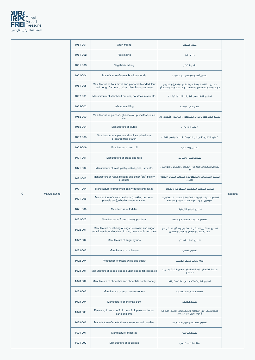

|              |                                      | 1061-001                                             | Grain milling                                                                                                    | طحن الحبوب                                                                                             |            |
|--------------|--------------------------------------|------------------------------------------------------|------------------------------------------------------------------------------------------------------------------|--------------------------------------------------------------------------------------------------------|------------|
|              |                                      | 1061-002                                             | Rice milling                                                                                                     | طحن الأرز                                                                                              |            |
|              |                                      | 1061-003                                             | Vegetable milling                                                                                                | طحن الخضر                                                                                              |            |
|              |                                      | 1061-004                                             | Manufacture of cereal breakfast foods                                                                            | تصنيع أطعمة الإفطار من الحبوب                                                                          |            |
|              |                                      | 1061-005                                             | Manufacture of flour mixes and prepared blended flour<br>and dough for bread, cakes, biscuits or pancakes        | تصنيع الخلائط المعدة من الدقيق ،والدقيق والعجين<br>المخلوط المعد للخبز أو الكعك أو البسكويت أو الفطائر |            |
|              |                                      | 1062-001                                             | Manufacture of starches from rice, potatoes, maize etc.                                                          | تصنيع النشاء من الأرز والبطاطا والذرة الخ.                                                             |            |
|              |                                      | 1062-002                                             | Wet corn milling                                                                                                 | طحن الذرة الرطبة                                                                                       |            |
|              |                                      | 1062-003                                             | Manufacture of glucose, glucose syrup, maltose, inulin<br>etc.                                                   | تصنيع الجلوكوز ، شراب الجلوكوز ، المالتوز ، الأنولين إلخ.                                              |            |
|              |                                      | 1062-004                                             | Manufacture of gluten                                                                                            | تصنيع الغلوتين                                                                                         |            |
|              |                                      | 1062-005                                             | Manufacture of tapioca and tapioca substitutes<br>prepared from starch                                           | تصنيع التابيوكا وبدائل التابيوكا المحضرة من النشاء                                                     |            |
|              |                                      | 1062-006                                             | Manufacture of corn oil                                                                                          | تصنيع زيت الذرة                                                                                        |            |
|              |                                      | 1071-001                                             | Manufacture of bread and rolls                                                                                   | تصنيع الخبز واللفائف                                                                                   |            |
|              |                                      | 1071-002                                             | Manufacture of fresh pastry, cakes, pies, tarts etc.                                                             | تصنيع المعجنات الطازجة ، الكعك ، الفطائر ، التورتات ،<br>إلخ.                                          |            |
|              |                                      | 1071-003                                             | Manufacture of rusks, biscuits and other "dry" bakery<br>products                                                | تصنيع البقسمات والبسكويت ومنتجات المخابز "الجافة"<br>الأخرى                                            |            |
|              |                                      | 1071-004                                             | Manufacture of preserved pastry goods and cakes                                                                  | تصنيع منتجات المعجنات المحفوظة والكعك                                                                  |            |
| $\mathsf{C}$ | Manufacturing                        | 1071-005                                             | Manufacture of snack products (cookies, crackers,<br>pretzels etc.), whether sweet or salted                     | تصنيع منتجات الوجبات الخفيفة (الكعك ، البسكويت ،<br>البريتزل ، إلخ) ، سواء كانت حلوة أو مملحة          | Industrial |
|              | Manufacture of tortillas<br>1071-006 | تصنيع الرقاق (التورتيلا)                             |                                                                                                                  |                                                                                                        |            |
|              |                                      | 1071-007                                             | Manufacture of frozen bakery products                                                                            | تصنيع منتجات المخابز المجمدة                                                                           |            |
|              |                                      | 1072-001                                             | Manufacture or refining of sugar (sucrose) and sugar<br>substitutes from the juice of cane, beet, maple and palm | تصنيع أو تكرير السكر (السكروز) وبدائل السكر من<br>عصير القصب والبنجر والقيقب والنخيل                   |            |
|              |                                      | 1072-002                                             | Manufacture of sugar syrups                                                                                      | تصنيع شراب السكر                                                                                       |            |
|              |                                      | 1072-003                                             | Manufacture of molasses                                                                                          | تصنيع الدبس                                                                                            |            |
|              |                                      | 1072-004                                             | Production of maple syrup and sugar                                                                              | إنتاج شراب وسكر القيقب                                                                                 |            |
|              | 1073-001<br>1073-002                 |                                                      | Manufacture of cocoa, cocoa butter, cocoa fat, cocoa oil                                                         | صناعة الكاكاو ، زبدة الكاكاو ، دهون الكاكاو ، زيت<br>الكاكاو                                           |            |
|              |                                      | Manufacture of chocolate and chocolate confectionery | تصنيع الشوكولاته وحلويات الشوكولاته                                                                              |                                                                                                        |            |
|              |                                      | 1073-003                                             | Manufacture of sugar confectionery                                                                               | صناعة الحلويات السكرية                                                                                 |            |
|              |                                      | 1073-004                                             | Manufacture of chewing gum                                                                                       | تصنيع العلكة                                                                                           |            |
|              |                                      | 1073-005                                             | Peserving in sugar of fruit, nuts, fruit peels and other<br>parts of plants                                      | حفظ السكر في الفواكه والمكسرات وقشور الفواكه<br>وأجزاء أخرى من النباتات                                |            |
|              |                                      | 1073-006                                             | Manufacture of confectionery lozenges and pastilles                                                              | تصنيع معجنات وحبوب الحلويات                                                                            |            |
|              |                                      | 1074-001                                             | Manufacture of pastas                                                                                            | تصنيع الباستا                                                                                          |            |
|              |                                      | 1074-002                                             | Manufacture of couscous                                                                                          | صناعة الكسكسى                                                                                          |            |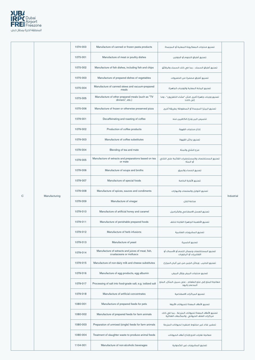

|             |               | 1074-003 | Manufacture of canned or frozen pasta products                               | تصنيع منتجات المعكرونة المعلبة أو المجمدة                           |            |
|-------------|---------------|----------|------------------------------------------------------------------------------|---------------------------------------------------------------------|------------|
|             |               | 1075-001 | Manufacture of meat or poultry dishes                                        | تصنيع أطباق اللحوه أو الدواجن                                       |            |
|             |               | 1075-002 | Manufacture of fish dishes, including fish and chips                         | تصنيع أطباق السمك ، بما في ذلك السمك والرقائق                       |            |
|             |               | 1075-003 | Manufacture of prepared dishes of vegetables                                 | تصنيع أطباق محضرة من الخضروات                                       |            |
|             |               | 1075-004 | Manufacture of canned stews and vacuum-prepared<br>meals                     | تصنيع اليخنة المعلبة والوجبات الجاهزة                               |            |
|             |               | 1075-005 | Manufacture of other prepared meals (such as "TV<br>dinners", etc.)          | تصنيع وجبات جاهزة أخرى (مثل "عشاء التلفزيون" ، وما<br>إلى ذلك)      |            |
|             |               | 1075-006 | Manufacture of frozen or otherwise preserved pizza                           | تصنيع البيتزا المجمدة أو المحفوظة بطريقة أخرى                       |            |
|             |               | 1079-001 | Decaffeinating and roasting of coffee                                        | تحميص البن ونزع الكافيين منه                                        |            |
|             |               | 1079-002 | Production of coffee products                                                | إنتاج منتجات القهوة                                                 |            |
|             |               | 1079-003 | Manufacture of coffee substitutes                                            | تصنيع بدائل القهوة                                                  |            |
|             |               | 1079-004 | Blending of tea and mate                                                     | مزج الشاي والمتة                                                    |            |
|             |               | 1079-005 | Manufacture of extracts and preparations based on tea<br>or mate             | تصنيع المستخلصات والمستحضرات القائمة على الشاي<br>أو المتة          |            |
|             |               | 1079-006 | Manufacture of soups and broths                                              | تصنيع الحساء والمرق                                                 |            |
|             |               | 1079-007 | Manufacture of special foods                                                 | تصنيع الأغذية الخاصة                                                |            |
|             |               | 1079-008 | Manufacture of spices, sauces and condiments                                 | تصنيع التوابل والصلصات والبهارات                                    |            |
| $\mathbf C$ | Manufacturing | 1079-009 | Manufacture of vinegar                                                       | صناعة الخل                                                          | Industrial |
|             |               | 1079-010 | Manufacture of artificial honey and caramel                                  | تصنيع العسل الاصطناعى والكراميل                                     |            |
|             |               | 1079-011 | Manufacture of perishable prepared foods                                     | تصنيع الأطعمة الجاهزة القابلة للتلف                                 |            |
|             |               | 1079-012 | Manufacture of herb infusions                                                | تصنيع المشروبات العشبية                                             |            |
|             |               | 1079-013 | Manufacture of yeast                                                         | تصنيع الخميرة                                                       |            |
|             |               | 1079-014 | Manufacture of extracts and juices of meat, fish,<br>crustaceans or molluscs | تصنيع المستخلصات وعصائر اللحم أو الأسماك أو<br>القشريات أو الرخويات |            |
|             |               | 1079-015 | Manufacture of non-dairy milk and cheese substitutes                         | تصنيع الحليب وبدائل الجبن من غير ألبان المزارع                      |            |

| 1079-016 | Manufacture of egg products, egg albumin                   | تصنيع منتجات البيض وزلال البيض                                                                 |
|----------|------------------------------------------------------------|------------------------------------------------------------------------------------------------|
| 1079-017 | Processing of salt into food-grade salt, e.g. iodized salt | معالجة الملح إلى ملح الطعام ، على سبيل المثال. الملح<br>المدعم بالبود                          |
| 1079-018 | Manufacture of artificial concentrates                     | تصنيع المركزات الاصطناعية                                                                      |
| 1080-001 | Manufacture of prepared feeds for pets                     | تصنيع الأعلاف المعدة للحيوانات الأليفة                                                         |
| 1080-002 | Manufacture of prepared feeds for farm animals             | تصنيع الأعلاف المعدة لحيوانات المزرعة ، بما في ذلك<br>مركزات العلف الحيوانى والمكملات الغذائية |
| 1080-003 | Preparation of unmixed (single) feeds for farm animals     | تحضير غذاء غير مخلوط (منفرد) لحيوانات المزرعة                                                  |
| 1080-004 | Treatment of slaughter waste to produce animal feeds       | معالجة نفايات الذبح لإنتاج أعلاف الحيوانات                                                     |
| 1104-001 | Manufacture of non-alcoholic beverages                     | تصنيع المشروبات غير الكحولية                                                                   |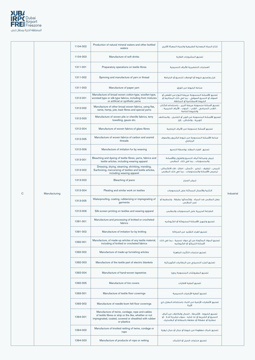

|           |                                                  | 1104-002                       | Production of natural mineral waters and other bottled<br>waters                                                                                                                | إنتاج المياه المعدنية الطبيعية والمياه المعبأة الأخرى                                                                                                      |            |
|-----------|--------------------------------------------------|--------------------------------|---------------------------------------------------------------------------------------------------------------------------------------------------------------------------------|------------------------------------------------------------------------------------------------------------------------------------------------------------|------------|
|           |                                                  | 1104-003                       | Manufacture of soft drinks                                                                                                                                                      | تصنيع المشروبات الغازية                                                                                                                                    |            |
|           |                                                  | 1311-001                       | Preparatory operations on textile fibres                                                                                                                                        | العمليات التحضيرية للألياف النسيجية                                                                                                                        |            |
|           |                                                  | 1311-002                       | Spinning and manufacture of yarn or thread                                                                                                                                      | غزل وتصنيع خيوط أو الوصلات للنسبج أو الخياطة                                                                                                               |            |
|           |                                                  | 1311-003                       | Manufacture of paper yarn                                                                                                                                                       | صناعة الخيوط من الورق                                                                                                                                      |            |
|           |                                                  | 1312-001                       | Manufacture of broad woven cotton-type, woollen-type,<br>worsted-type or silk-type fabrics, including from mixtures<br>or artificial or synthetic yarns                         | تصنيع الأقمشة المنسوجة عريضة النوع من القطن أو<br>الصوف أو النسيج الصوفي ، بما في ذلك المخاليط أو<br>الخيوط الاصطناعية أو المخلقة.                         |            |
|           |                                                  | 1312-002                       | Manufacture of other broad woven fabrics, using flax,<br>ramie, hemp, jute, bast fibres and special yarns                                                                       | تصنيع أقمشة منسوجة عريضة أخرى ، باستخدام الكتان<br>، القنب السيامي ، القنب ، الجوت ، الألياف الحبيبية ،<br>والخيوط الخاصة                                  |            |
|           |                                                  | 1312-003                       | Manufacture of woven pile or chenille fabrics, terry<br>towelling, gauze etc.                                                                                                   | تصنيع الأقمشة المنسوجة من الوبر أو الشنيل ، والمناشف<br>الوبرية ، والشاش ، إلخ.                                                                            |            |
|           |                                                  | 1312-004                       | Manufacture of woven fabrics of glass fibres                                                                                                                                    | تصنيع أقمشة منسوجة من الألياف الزجاجية                                                                                                                     |            |
|           |                                                  | 1312-005                       | Manufacture of woven fabrics of carbon and aramid<br>threads                                                                                                                    | صناعة الأقمشة المنسوجة من خيوط الكربون والصوف<br>الزجاجى                                                                                                   |            |
|           |                                                  | 1312-006                       | Manufacture of imitation fur by weaving                                                                                                                                         | تصنيع الفراء المقلد بواسطة النسيج                                                                                                                          |            |
|           |                                                  | 1313-001                       | Bleaching and dyeing of textile fibres, yarns, fabrics and<br>textile articles, including wearing apparel                                                                       | تبيض وصباغة ألياف النسيج والغزول والأقمشة<br>والمنسوجات ، بما في ذلك الملابس                                                                               |            |
|           |                                                  | 1313-002                       | Dressing, drying, steaming, shrinking, mending,<br>Sanforizing, mercerizing of textiles and textile articles,<br>including wearing apparel                                      | تلبيس ، تجفيف ، تبخير ، كمش ، اصلاح ، فك الانكماش ،<br>ترصيص الأقمشة والمنسوجات ، بما فى ذلك الملابس                                                       |            |
|           |                                                  | 1313-003                       | Bleaching of jeans                                                                                                                                                              | تبيض الحينز                                                                                                                                                |            |
| ${\bf C}$ | Manufacturing                                    | 1313-004                       | Pleating and similar work on textiles                                                                                                                                           | التثنية والأعمال المماثلة على المنسوجات                                                                                                                    | Industrial |
|           |                                                  | 1313-005                       | Waterproofing, coating, rubberizing or impregnating of<br>garments                                                                                                              | جعل الملابس ضد المياه ، وإكسائها بطبقة ، وتمطيط أو<br>غمر الملابس                                                                                          |            |
|           |                                                  | 1313-006                       | Silk-screen printing on textiles and wearing apparel                                                                                                                            | الطباعة الحريرية على المنسوجات والملابس                                                                                                                    |            |
|           |                                                  | 1391-001                       | Manufacture and processing of knitted or crocheted<br>fabrics                                                                                                                   | تصنيع وتجهيز الأقمشة المحبوكة أو الكروشيه                                                                                                                  |            |
|           |                                                  | 1391-002                       | Manufacture of imitation fur by knitting                                                                                                                                        | تصنيع الفراء التقليد من الحياكة                                                                                                                            |            |
|           |                                                  | 1392-001                       | Manufacture, of made-up articles of any textile material,<br>including of knitted or crocheted fabrics                                                                          | تصنيع المواد المكونة من أي مواد نسجية ، بما في ذلك<br>أقمشة التريكو أو الكروشيه                                                                            |            |
|           |                                                  | 1392-002                       | Manufacture of made-up furnishing articles                                                                                                                                      | تصنيع منتجات التأثيث الجاهزة                                                                                                                               |            |
|           |                                                  | 1392-003                       | Manufacture of the textile part of electric blankets                                                                                                                            | تصنيع الجزء النسيجى من البطانيات الكهربائية                                                                                                                |            |
|           | Manufacture of hand-woven tapestries<br>1392-004 | تصنيع المفروشات المنسوجة يدويا |                                                                                                                                                                                 |                                                                                                                                                            |            |
|           |                                                  | 1392-005                       | Manufacture of tire covers                                                                                                                                                      | تصنيع أغطية الاطارات                                                                                                                                       |            |
|           |                                                  | 1393-001                       | Manufacture of textile floor coverings                                                                                                                                          | تصنيع أغطية الأرضيات النسيحية                                                                                                                              |            |
|           |                                                  | 1393-002                       | Manufacture of needle-loom felt floor coverings                                                                                                                                 | تصنيع الأغطيات الأرضية من اللباد باستخدام المغزل ذي<br>الإبرة                                                                                              |            |
|           |                                                  | 1394-001                       | Manufacture of twine, cordage, rope and cables<br>of textile fibres or strip or the like, whether or not<br>impregnated, coated, covered or sheathed with rubber<br>or plastics | تصنيع الخيوط ، الأشرطة ، الحبال والكابلات من ألياف<br>النسبيّ أو الشريط أو ما شابه ، سواء مشربة أم لا ، أو<br>مطلية أو مغطاة أو مغلفة بالمطاط أو البلاستيك |            |
|           |                                                  | 1394-002                       | Manufacture of knotted netting of twine, cordage or<br>rope                                                                                                                     | تصنيع شباك معقودة من خيوط أو حبال أو حبال ليفية                                                                                                            |            |
|           |                                                  | 1394-003                       | Manufacture of products of rope or netting                                                                                                                                      | تصنيع منتجات الحبل أو الشباك                                                                                                                               |            |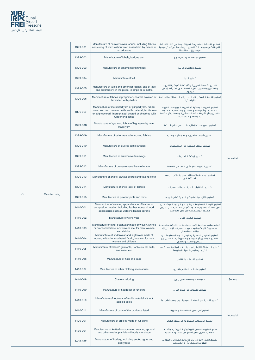

|             |               | 1399-001 | Manufacture of narrow woven fabrics, including fabrics<br>consisting of warp without weft assembled by means of<br>an adhesive                                                                       | تصنيع الأقمشة المنسوجة الضيقة ، بما في ذلك الأقمشة<br>التي تتكون من سدادة النسيج دون لحمة ،ويتم تجميعها<br>عن طريق مادة لاصقة                                                    |            |
|-------------|---------------|----------|------------------------------------------------------------------------------------------------------------------------------------------------------------------------------------------------------|----------------------------------------------------------------------------------------------------------------------------------------------------------------------------------|------------|
|             |               | 1399-002 | Manufacture of labels, badges etc.                                                                                                                                                                   | تصنيع الملصقات والشارات إلخ.                                                                                                                                                     |            |
|             |               | 1399-003 | Manufacture of ornamental trimmings                                                                                                                                                                  | تصنيع زركشات الزينة                                                                                                                                                              |            |
|             |               | 1399-004 | Manufacture of felt                                                                                                                                                                                  | تصنيع اللباد                                                                                                                                                                     |            |
|             |               | 1399-005 | Manufacture of tulles and other net fabrics, and of lace<br>and embroidery, in the piece, in strips or in motifs                                                                                     | تصنيع الأنسجة الحريرية والأقمشة الشبكية الأخرى ،<br>والدانتيل والتطريز ، في القطعة ، في الشرائط أو في<br>الزخارف                                                                 |            |
|             |               | 1399-006 | Manufacture of fabrics impregnated, coated, covered or<br>laminated with plastics                                                                                                                    | تصنيع الأقمشة المشربة أو المطلية أو المغطاة أو المنضدة<br>بالبلاستيك                                                                                                             |            |
|             |               | 1399-007 | Manufacture of metallized yarn or gimped yarn, rubber<br>thread and cord covered with textile material, textile yarn<br>or strip covered, impregnated, coated or sheathed with<br>rubber or plastics | تصنيع الخيوط المعدنية أو الخيوط المبرومة ، الخيوط<br>مطاطية ، والأشرطة المغطاة بمواد نسجية ، الخيوط<br>نالسيجية أو أشرطة مغطاة ، مشربة أو مطلية أو مغلفة<br>بالمطاط أو البلاستيك |            |
|             |               | 1399-008 | Manufacture of tyre cord fabric of high-tenacity man-<br>made yarn                                                                                                                                   | تصنيع نسيج سلك الإطارات الصناعى عالى المتانة                                                                                                                                     |            |
|             |               | 1399-009 | Manufacture of other treated or coated fabrics                                                                                                                                                       | تصنيع الأقمشة الأخرى المعالجة أو المطلية                                                                                                                                         |            |
|             |               | 1399-010 | Manufacture of diverse textile articles                                                                                                                                                              | تصنيع أصناف متنوعة من المنسوجات                                                                                                                                                  |            |
|             |               | 1399-011 | Manufacture of automotive trimmings                                                                                                                                                                  | تصنيع زركشة السيارات                                                                                                                                                             | Industrial |
|             |               | 1399-012 | Manufacture of pressure sensitive cloth-tape                                                                                                                                                         | تصنيع الشريط القماشى الحساس للضغط                                                                                                                                                |            |
|             |               | 1399-013 | Manufacture of artists' canvas boards and tracing cloth                                                                                                                                              | تصنيع لوحات قماشية للفنانين وقماش للرسم<br>الاستشفافي                                                                                                                            |            |
|             |               | 1399-014 | Manufacture of shoe-lace, of textiles                                                                                                                                                                | تصنيع الدائتيل للأحذية ، من المنسوحات                                                                                                                                            |            |
| $\mathbf C$ | Manufacturing | 1399-015 | Manufacture of powder puffs and mitts                                                                                                                                                                | تصنيع قفازات ولبادة وضع البودرة (على الوجه)                                                                                                                                      |            |
|             |               | 1410-001 | Manufacture of wearing apparel made of leather or<br>composition leather, including leather industrial work<br>accessories such as welder's leather aprons                                           | تصنيع الألبسة المصنوعة من الجلد أو الجلود المركبة ، بما<br>فى ذلك أكسسوارات جلود الأعمال الصناعية مثل  مرايل<br>الجلود المستخدمة من قبل اللحامين                                 |            |
|             |               | 1410-002 | Manufacture of work wear                                                                                                                                                                             | تصنيع ملابس العمل                                                                                                                                                                |            |
|             |               | 1410-003 | Manufacture of other outerwear made of woven, knitted<br>or crocheted fabric, nonwovens etc. for men, women<br>and children                                                                          | تصنيع ملابس خارجية أخرى مصنوعة من أقمشة منسوجة<br>أو محبوكة أو كروشيه ، غير منسوجة ، إلخ ، للرجال<br>والنساء والأطفال                                                            |            |
|             |               | 1410-004 | Manufacture of underwear and nightwear made of<br>woven, knitted or crocheted fabric, lace etc. for men,<br>women and children                                                                       | تصنيع الملابس الداخلية وملابس النوم المصنوعة من<br>النسيج المنسوج أو التريكو أو الكروشيه ، الدانتيل إلخ<br>للرجال والنساء والأطفال                                               |            |
|             |               | 1410-005 | Manufacture of babies' garments, tracksuits, ski suits,<br>swimwear etc.                                                                                                                             | تصنيع ألبسة الأطفال الرضع ، والبذلات الرياضية ، وملابس<br>التزلج ، وملابس السباحة وغيرها.                                                                                        |            |
|             |               | 1410-006 | Manufacture of hats and caps                                                                                                                                                                         | تصنيع القيعات والقلائس                                                                                                                                                           |            |
|             |               | 1410-007 | Manufacture of other clothing accessories                                                                                                                                                            | تصنيع ملحقات الملابس الأخرى                                                                                                                                                      |            |

| Custom tailoring<br>1410-008<br>الخياطة المخصصة لكل زبون<br>Manufacture of headgear of fur skins<br>1410-009                                                                                                    |            |
|-----------------------------------------------------------------------------------------------------------------------------------------------------------------------------------------------------------------|------------|
|                                                                                                                                                                                                                 | Service    |
| تصنيع القيعات من حلود الفراء                                                                                                                                                                                    |            |
| Manufacture of footwear of textile material without<br>1410-010<br>تصنيع الأحذية من المواد النسيحية دون وضع باطن لها<br>applied soles                                                                           |            |
| 1410-011<br>Manufacture of parts of the products listed<br>تصنيع أحزاء من المنتحات المذكورة                                                                                                                     | Industrial |
| Manufacture of articles made of fur skins<br>1420-001<br>تصنيع المنتحات المصنوعة من حلود الفراء                                                                                                                 |            |
| Manufacture of knitted or crocheted wearing apparel<br>صنع الملبوسات من التريكو أو الكروشيه والأصناف<br>1430-001<br>الجاهزة الأخرى التى تُصنع فى شكلها مباشرة<br>and other made-up articles directly into shape |            |
| Manufacture of hosiery, including socks, tights and<br>تصنيع لباس الأقدام ، بما في ذلك الجوارب ، الجوارب<br>1430-002<br>الطويلة المحكمة ، و الكلسات<br>pantyhose                                                |            |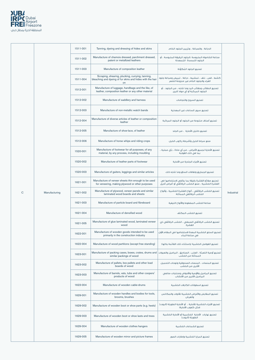

|             |               | 1511-001 | Tanning, dyeing and dressing of hides and skins                                                                     | الدياغة ، والصياغة ، وتزيين الحلود الخام.                                                            |                   |
|-------------|---------------|----------|---------------------------------------------------------------------------------------------------------------------|------------------------------------------------------------------------------------------------------|-------------------|
|             |               | 1511-002 | Manufacture of chamois dressed, parchment dressed,<br>patent or metallized leathers                                 | صناعة الشامواه الملبوسة ،الجلود الرقيقة الملبوسة ، أو<br>الجلود اللمسدة المُمعدنة                    |                   |
|             |               | 1511-003 | Manufacture of composition leather                                                                                  | تصنيع الجلود المُكوَّنة                                                                              |                   |
|             |               | 1511-004 | Scraping, shearing, plucking, currying, tanning,<br>bleaching and dyeing of fur skins and hides with the hair<br>on | كشط ، قص ، نتف ، تمشيط ، دباغة ، تبييض وصباغة جلود<br>الفراء والجلود الخام غير منزوعة الشعر          |                   |
|             |               | 1512-001 | Manufacture of luggage, handbags and the like, of<br>leather, composition leather or any other material             | تصنيع الحقائب وحقائب اليد وما شابه ، من الجلود ، أو<br>الجلود المركبة أو أي مواد أخرى                |                   |
|             |               | 1512-002 | Manufacture of saddlery and harness                                                                                 | تصنيع السروج واللجامات                                                                               |                   |
|             |               | 1512-003 | Manufacture of non-metallic watch bands                                                                             | تصنيع سبور الساعات غير المعدنية                                                                      |                   |
|             |               | 1512-004 | Manufacture of diverse articles of leather or composition<br>leather                                                | تصنيع أصناف متنوعة من الجلود أو الجلود المركبة                                                       |                   |
|             |               | 1512-005 | Manufacture of shoe-lace, of leather                                                                                | تصنيع دانتيل الأحذية ، من الجلد                                                                      |                   |
|             |               | 1512-006 | Manufacture of horse whips and riding crops                                                                         | صنع سياط الخيل وأشرطة ركوب الخيل                                                                     |                   |
|             |               | 1520-001 | Manufacture of footwear for all purposes, of any<br>material, by any process, including moulding                    | تصنيع الأحذية لجميع الأغراض ، من أي مادة ، بأي عملية ،<br>بما في ذلك القولبة                         |                   |
|             |               | 1520-002 | Manufacture of leather parts of footwear                                                                            | تصنيع الأجزاء الجلدية من الأحذية                                                                     |                   |
|             |               | 1520-003 | Manufacture of gaiters, leggings and similar articles                                                               | تصنيع الحماريق ولفافات الساق وما شابه ذلك                                                            |                   |
|             |               | 1621-001 | Manufacture of veneer sheets thin enough to be used<br>for veneering, making plywood or other purposes              | تصنيع صفائح القشرة رقيقة بما يكفى لاستخدامها فى<br>القشرة الخشبية ، صنع الخشب الرقائقى أو أغراض أخرى |                   |
| $\mathsf C$ | Manufacturing | 1621-002 | Manufacture of plywood, veneer panels and similar<br>laminated wood boards and sheets                               | تصنيع الخشب الرقائقي ، ألواح القشرة الخشبية ، وألواح<br>الخشب الرقائقى المماثلة                      | <b>Industrial</b> |
|             |               | 1621-003 | Manufacture of particle board and fibreboard                                                                        | صناعة الخشب المضغوط والألواح الليفية                                                                 |                   |
|             |               | 1621-004 | Manufacture of densified wood                                                                                       | تصنيع الخشب المكثف                                                                                   |                   |
|             |               | 1621-005 | Manufacture of glue laminated wood, laminated veneer<br>wood                                                        | تصنيع الخشب الرقائقي الصمغي ، الخشب الرقائقي ذي<br>القشرة                                            |                   |
|             |               | 1622-001 | Manufacture of wooden goods intended to be used<br>primarily in the construction industry                           | تصنيع السلع الخشبية المعدة لاستخدامها فى المقام الأول<br>في صناعة البناء                             |                   |
|             |               | 1622-004 | Manufacture of wood partitions (except free standing)                                                               | تصنيع الفواصل الخشبية (باستثناء تلك القائمة بذاتها)                                                  |                   |
|             |               | 1623-001 | Manufacture of packing cases, boxes, crates, drums and<br>similar packings of wood                                  | تصنيع أوعية التعبئة ، العلب ، الصناديق ، البراميل والعبوات<br>المماثلة من الخشب                      |                   |
|             |               | 1623-002 | Manufacture of pallets, box pallets and other load<br>boards of wood                                                | تصنيع المنصات ، المنصات الصندوقية ولوحات التحميل<br>الأخرى من الخشب                                  |                   |
|             |               | 1623-003 | Manufacture of barrels, vats, tubs and other coopers'<br>products of wood                                           | تصنيع البراميل والأوعية والأحواض ومنتجات صانعي<br>البراميل الأخرى من الأخشاب                         |                   |
|             |               | 1623-004 | Manufacture of wooden cable-drums                                                                                   | تصنيع اسطوائات الكابلات الخشبية                                                                      |                   |
|             |               | 1629-001 | Manufacture of wooden handles and bodies for tools,<br>brooms, brushes                                              | تصنيع المقابض والأغراض الخشبية للأدوات والمكانس<br>والفرش                                            |                   |
|             |               | 1629-002 | Manufacture of wooden boot or shoe parts (e.g. heels)                                                               | تصنيع الأجزاء الخشبية للأحذية ، أو الأحذية الطويلة [البوت]<br>(مثل كعوب الأحذية)                     |                   |
|             |               | 1629-003 | Manufacture of wooden boot or shoe lasts and trees                                                                  | تصنيع نهايات الأحذية الخشبيية أو الأحذية الخشبية<br>الطويلة [البوت]                                  |                   |
|             |               | 1629-004 | Manufacture of wooden clothes hangers                                                                               | تصنيع الشماعات الخشبية                                                                               |                   |
|             |               | 1629-005 | Manufacture of wooden mirror and picture frames                                                                     | تصنيع المرابا الخشيبة واطارات الصور                                                                  |                   |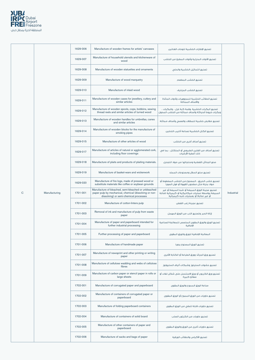

|              |               | 1629-006 | Manufacture of wooden frames for artists' canvases                                                                                                       | تصنيع الاطارات الخشيبة للوحات الفنائين                                                                                                         |            |
|--------------|---------------|----------|----------------------------------------------------------------------------------------------------------------------------------------------------------|------------------------------------------------------------------------------------------------------------------------------------------------|------------|
|              |               | 1629-007 | Manufacture of household utensils and kitchenware of<br>wood                                                                                             | تصنيع الأدوات المنزلية وأدوات المطبخ من الخشب                                                                                                  |            |
|              |               | 1629-008 | Manufacture of wooden statuettes and ornaments                                                                                                           | تصنيع التماثيل الخشبية والحلى                                                                                                                  |            |
|              |               | 1629-009 | Manufacture of wood marquetry                                                                                                                            | تصنيع الخشب المطعم                                                                                                                             |            |
|              |               | 1629-010 | Manufacture of inlaid wood                                                                                                                               | تصنيع الخشب المزخرف                                                                                                                            |            |
|              |               | 1629-011 | Manufacture of wooden cases for jewellery, cutlery and<br>similar articles                                                                               | تصنيع الحقائب الخشبية للمجوهرات وأدوات المائدة<br>والأصناف المماثلة                                                                            |            |
|              |               | 1629-012 | Manufacture of wooden spools, cops, bobbins, sewing<br>thread reels and similar articles of turned wood                                                  | تصنيع البكرات الخشبية ،وقمة كبة غزل ، والبكرات ،<br>وبكرات خيوط الحياكة وأصناف مماثلة من الخشب المحول                                          |            |
|              |               | 1629-013 | Manufacture of wooden handles for umbrellas, canes<br>and similar articles                                                                               | تصنيع مقابض خشبية للمظلات والعصى وأصناف مماثلة                                                                                                 |            |
|              |               | 1629-014 | Manufacture of wooden blocks for the manufacture of<br>smoking pipes                                                                                     | تصنيع الكتل الخشبية لصناعة أنابيب التدخين                                                                                                      |            |
|              |               | 1629-015 | Manufacture of other articles of wood                                                                                                                    | تصنيع أصناف أخرى من الخشب                                                                                                                      |            |
|              |               | 1629-017 | Manufacture of articles of natural or agglomerated cork,<br>including floor coverings                                                                    | تصنيع أصناف من الفلين الطبيعي أو المتكتل ، بما في<br>ذلك أغطية الأرضيات                                                                        |            |
|              |               | 1629-018 | Manufacture of plaits and products of plaiting materials.                                                                                                | صنع الجدائل القطنية ومنتجاتها من مواد التجديل                                                                                                  |            |
|              |               | 1629-019 | Manufacture of basket-ware and wickerwork                                                                                                                | تصنيع سلع السلال ومصنوعات المملد                                                                                                               |            |
|              |               | 1629-020 | Manufacture of fire logs, made of pressed wood or<br>substitute materials like coffee or soybean grounds                                                 | تصنيع خشب الحريق ، المصنوع من الخشب المضغوط أو<br>مواد بديلة مثل مطحون القهوة أو فول الصويا                                                    |            |
| $\mathsf{C}$ | Manufacturing | 1701-001 | Manufacture of bleached, semi-bleached or unbleached<br>paper pulp by mechanical, chemical (dissolving or non-<br>dissolving) or semi-chemical processes | تصنيع عجينة الورق المبيضة أو شبه المبيضة أو غير<br>المبيضة بواسطة عمليات ميكانيكية أو كيميائية (مذابة<br>أو غير مذابة) أو بعمليات شبه كيميائية | Industrial |
|              |               | 1701-002 | Manufacture of cotton-linters pulp                                                                                                                       | تصنيع عجينة زغب القطن                                                                                                                          |            |
|              |               | 1701-003 | Removal of ink and manufacture of pulp from waste<br>paper                                                                                               | إزالة الحبر وتصنيع اللب من الورق المهمل                                                                                                        |            |
|              |               | 1701-004 | Manufacture of paper and paperboard intended for<br>further industrial processing                                                                        | تصنيع الورق والورق المقوى المخصص للمعالجة الصناعية<br>الإضافية                                                                                 |            |
|              |               | 1701-005 | Further processing of paper and paperboard                                                                                                               | المعالجة الإضافية للورق والورق المقوى                                                                                                          |            |
|              |               | 1701-006 | Manufacture of handmade paper                                                                                                                            | تصنيع الورق المصنوع يدويا                                                                                                                      |            |
|              |               | 1701-007 | Manufacture of newsprint and other printing or writing<br>paper                                                                                          | تصنيع ورق الجرائد وورق الطباعة أو الكتابة الأخرى                                                                                               |            |
|              |               | 1701-008 | Manufacture of cellulose wadding and webs of cellulose<br>fibres                                                                                         | تصنيع حشوات السليلوز وشبكات ألياف السليولوز                                                                                                    |            |

| 1701-009 | Manufacture of carbon paper or stencil paper in rolls or<br>large sheets | تصنيع ورق الكربون أو ورق الاستنسل على شكل لفات أو<br>صفائح كبيرة |
|----------|--------------------------------------------------------------------------|------------------------------------------------------------------|
| 1702-001 | Manufacture of corrugated paper and paperboard                           | صناعة الورق المموج والورق المقوى                                 |
| 1702-002 | Manufacture of containers of corrugated paper or<br>paperboard           | اتصنيع حاويات من الورق المموج أو الورق المقوى                    |
| 1702-003 | Manufacture of folding paperboard containers                             | تصنيع حاويات قابلة للطي من الورق المقوى                          |
| 1702-004 | Manufacture of containers of solid board                                 | تصنيع حاويات من الكرتون الصلب                                    |
| 1702-005 | Manufacture of other containers of paper and<br>paperboard               | تصنيع حاويات أخرى من الورق والورق المقوى                         |
| 1702-006 | Manufacture of sacks and bags of paper                                   | تصنيع الأكياس والحقائب الورقية                                   |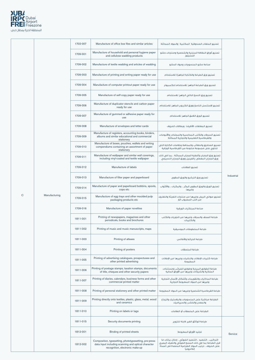

|   |               | 1702-007 | Manufacture of office box files and similar articles                                                                                            | تصنيع الملفات الصندوقية المكتبية والمواد المماثلة                                                                                                                                 |            |
|---|---------------|----------|-------------------------------------------------------------------------------------------------------------------------------------------------|-----------------------------------------------------------------------------------------------------------------------------------------------------------------------------------|------------|
|   |               | 1709-001 | Manufacture of household and personal hygiene paper<br>and cellulose wadding products                                                           | تصنيع أوراق النظافة المنزلية والشخصية ومنتجات حشو<br>السليلوز                                                                                                                     |            |
|   |               | 1709-002 | Manufacture of textile wadding and articles of wadding                                                                                          | اصناعة حشو المنسوحات ومواد الحشو                                                                                                                                                  |            |
|   |               | 1709-003 | Manufacture of printing and writing paper ready for use                                                                                         | تصنيع ورق الطباعة والكتابة الجاهزة للاستخدام                                                                                                                                      |            |
|   |               | 1709-004 | Manufacture of computer printout paper ready for use                                                                                            | تصنيع ورق الطباعة الحاهز للاستخدام للكميبوتر                                                                                                                                      |            |
|   |               | 1709-005 | Manufacture of self-copy paper ready for use                                                                                                    | تصنيع ورق النسخ الذاتى الجاهز للاستخدام                                                                                                                                           |            |
|   |               | 1709-006 | Manufacture of duplicator stencils and carbon paper<br>ready for use                                                                            | تصنيع الإستنسل الناسخ وورق الكربون الجاهز للاستخدام                                                                                                                               |            |
|   |               | 1709-007 | Manufacture of gummed or adhesive paper ready for<br>use                                                                                        | تصنيع الورق اللاصق الحاهز للاستخداه                                                                                                                                               |            |
|   |               | 1709-008 | Manufacture of envelopes and letter-cards                                                                                                       | تصنيع المغلفات (الأظرف) وبطاقات الحروف                                                                                                                                            |            |
|   |               | 1709-009 | Manufacture of registers, accounting books, binders,<br>albums and similar educational and commercial<br>stationery                             | تصنيع السجلات والكتب المحاسبية والمجلدات والألبومات<br>والقرطاسية التعليمية والتجارية المماثلة                                                                                    |            |
|   |               | 1709-010 | Manufacture of boxes, pouches, wallets and writing<br>compendiums containing an assortment of paper<br>stationery                               | تصنيع الصناديق والحقائب والمحافظ وخلاصات الكتابة التي<br>تحتوى على مجموعة متنوعة من القرطاسية الورقية                                                                             |            |
|   |               | 1709-011 | Manufacture of wallpaper and similar wall coverings,<br>including vinyl-coated and textile wallpaper                                            | تصنيع ورق الجدران وأغطية الجدران المماثلة ، بما في ذلك<br>ورق الجدران المغطى بالفينيل وورق الجدران النسيجي                                                                        |            |
|   |               | 1709-012 | Manufacture of labels                                                                                                                           | تصنيع العلامات                                                                                                                                                                    |            |
|   |               | 1709-013 | Manufacture of filter paper and paperboard                                                                                                      | تصنيع ورق الترشيح والورق المقوى                                                                                                                                                   | Industrial |
|   |               | 1709-014 | Manufacture of paper and paperboard bobbins, spools,<br>cops etc                                                                                | تصنيع الورق والورق المقوى البكر ، والبكرات ، والأكواب<br>وغبرها                                                                                                                   |            |
| C | Manufacturing | 1709-015 | Manufacture of egg trays and other moulded pulp<br>packaging products etc                                                                       | تصنيع صوانى البيض وغيرها من منتجات التعبئة والتغليف<br>من اللب المصبوب الخ                                                                                                        |            |
|   |               | 1709-016 | Manufacture of paper novelties                                                                                                                  | صناعة المبتكرات الورقية                                                                                                                                                           |            |
|   |               | 1811-001 | Printing of newspapers, magazines and other<br>periodicals, books and brochures                                                                 | طباعة الصحف والمجلات وغيرها من الدوريات والكتب<br>والكتيبات                                                                                                                       |            |
|   |               | 1811-002 | Printing of music and music manuscripts, maps                                                                                                   | طباعة المخطوطات الموسيقية                                                                                                                                                         |            |
|   |               | 1811-003 | Printing of atlases                                                                                                                             | طباعة الخرائط والأطالس                                                                                                                                                            |            |
|   |               | 1811-004 | Printing of posters                                                                                                                             | طباعة الملصقات                                                                                                                                                                    |            |
|   |               | 1811-005 | Printing of advertising catalogues, prospectuses and<br>other printed advertising                                                               | طباعة كتيبات الإعلانات والنشرات وغيرها من الإعلانات<br>المطبوعة                                                                                                                   |            |
|   |               | 1811-006 | Printing of postage stamps, taxation stamps, documents<br>of title, cheques and other security papers                                           | طباعة الطوابع البريدية وطوابع الضرائب ومستندات<br>الملكية والشيكات وغيرها من الأوراق المالية                                                                                      |            |
|   |               | 1811-007 | Printing of diaries, calendars, business forms and other<br>commercial printed matter                                                           | طباعة المذكرات والتقويمات وأشكال الأعمال التجارية<br>وغيرها من المواد المطبوعة التجارية                                                                                           |            |
|   |               | 1811-008 | Printing of personal stationery and other printed matter                                                                                        | طباعة القرطاسية الشخصية وغيرها من المواد المطبوعة                                                                                                                                 |            |
|   |               | 1811-009 | Printing directly onto textiles, plastic, glass, metal, wood<br>and ceramics                                                                    | الطباعة مباشرة على المنسوجات والبلاستيك والزجاج<br>والمعدن والخشب والسيراميك                                                                                                      |            |
|   |               | 1811-010 | Printing on labels or tags                                                                                                                      | الطباعة على الملصقات أو العلامات                                                                                                                                                  |            |
|   |               | 1811-015 | Security documents printing                                                                                                                     | طباعة الوثائق الغير قابلة للتزوير                                                                                                                                                 |            |
|   |               | 1812-001 | Binding of printed sheets                                                                                                                       | تجليد الأوراق المطبوعة                                                                                                                                                            | Service    |
|   |               | 1812-002 | Composition, typesetting, phototypesetting, pre-press<br>data input including scanning and optical character<br>recognition, electronic make-up | التركيب ، التنضيد ، التنضيد الضوئى ، إدخال بيانات ما<br>قبل الطباعة بما في ذلك المسح الضوَّئي والتعرف البصري<br>على الحروف ، ترتيب المواد الطباعية المنضدة في أعمدةً<br>إلكترونيأ |            |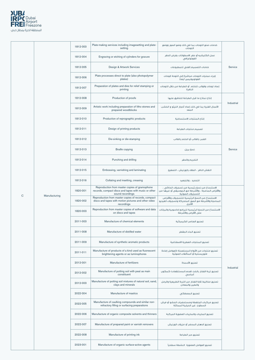

|         | 1812-003 | Plate-making services including imagesetting and plate-<br>setting                                                        | خدمات صنع اللوحات بما في ذلك وضع الصور ووضع<br>اللوحات                                                                  |            |
|---------|----------|---------------------------------------------------------------------------------------------------------------------------|-------------------------------------------------------------------------------------------------------------------------|------------|
|         | 1812-004 | Engraving or etching of cylinders for gravure                                                                             | عمل الكليشيه أو حفر الاسطوانات بغرض الحفر<br>الفوتوغرافي                                                                |            |
|         | 1812-005 | Design & Artwork Services                                                                                                 | خدمات التصميم الفنى للمطبوعات                                                                                           | Service    |
|         | 1812-006 | Plate processes direct to plate (also photopolymer<br>plates)                                                             | إجراء عمليات اللوحات مباشرة إلى اللوحة (لوحات<br>الفوتوبوليمير أيضا)                                                    |            |
|         | 1812-007 | Preparation of plates and dies for relief stamping or<br>printing                                                         | إعداد لوحات وقوالب للختم أو الطباعة من خلال اللوحات<br>النافرة                                                          |            |
|         | 1812-008 | Production of proofs                                                                                                      | إنتاج نماذج ما قبل الطباعة للتدقيق عليها                                                                                |            |
|         | 1812-009 | Artistic work including preparation of litho stones and<br>prepared woodblocks                                            | الأعمال الفنية بما في ذلك إعداد أحجار الليثو و الخشب<br>المعد                                                           | Industrial |
|         | 1812-010 | Production of reprographic products                                                                                       | إنتاج المنتجات الاستنساخية                                                                                              |            |
|         | 1812-011 | Design of printing products                                                                                               | تصميم منتجات الطباعة                                                                                                    |            |
|         | 1812-012 | Die-sinking or die-stamping                                                                                               | الغمر بالقالب أو الختم بالقالب                                                                                          |            |
|         | 1812-013 | <b>Braille copying</b>                                                                                                    | نسخ بريل                                                                                                                | Service    |
|         | 1812-014 | Punching and drilling                                                                                                     | التخريم والحفر                                                                                                          |            |
|         | 1812-015 | Embossing, varnishing and laminating                                                                                      | النقش النافر ، الطلاء بالورنيش ، التصفيح                                                                                |            |
|         | 1812-016 | Collating and insetting, creasing                                                                                         | التحديد ، والتحعيد                                                                                                      |            |
|         | 1820-001 | Reproduction from master copies of gramophone<br>records, compact discs and tapes with music or other<br>sound recordings | الاستنساخ من نسخ رئيسية من تسجيلات الحاكى ،<br>والأقراص المدمجة ، والأشرطة مع الموسيقى أو غيرها من<br>التسجيلات الصوتية |            |
| cturing | 1820-002 | Reproduction from master copies of records, compact<br>discs and tapes with motion pictures and other video<br>recordings | الاستنساخ من النسخ الرئيسية للتسجيلات والأقراص<br>المدمجة والأشرطة مع الصور المتحركة وتسجيلات الفيديو<br>الأخرى         |            |
|         | 1820-003 | Reproduction from master copies of software and data<br>on discs and tapes                                                | الاستنساخ من النسخ الرئيسية للبرامج احاسوبية والبيانات<br>على الأقراص والأشرطة                                          |            |
|         | 2011-003 | Manufacture of chemical elements                                                                                          | تصنيع العناصر الكيميائية                                                                                                |            |
|         | 2011-008 | Manufacture of distilled water                                                                                            | تصنيع الماء المقطر                                                                                                      |            |
|         | 2011-009 | Manufacture of synthetic aromatic products                                                                                | تصنيع المنتحات العطرية الاصطناعية                                                                                       |            |
|         | 2011-011 | Manufacture of products of a kind used as fluorescent<br>brightening agents or as luminophores                            | تصنيع منتجات من الأنواع المستعملة كعوامل إضاءة<br>فلوريسنتية أو المتألقات الضوئية                                       |            |
|         | 2012-001 | Manufacture of fertilizers                                                                                                | تصنيع الأسمدة                                                                                                           | Industrial |
|         | 2012-002 | Manufacture of potting soil with peat as main<br>constituent                                                              | تصنيع تربة الفخار بالخث (فحم المستنقعات) كمكون<br>أساسى                                                                 |            |
|         | 2012-003 | Manufacture of potting soil mixtures of natural soil, sand,<br>clays and minerals                                         | تصنيع مخاليط تلابة الفخار من التربة الطبيعية والرمل<br>والطين والمعادن                                                  |            |
|         | 2022-004 | Manufacture of mastics                                                                                                    | تصنيع المصطكى                                                                                                           |            |
|         | 2022-005 | Manufacture of caulking compounds and similar non-<br>refractory filling or surfacing preparations                        | تصنيع مركبات الجلفطة ومستحضرات الحشو أو فرش<br>السطوع غير الحرارية المماثلة                                             |            |
|         | 2022-006 | Manufacture of organic composite solvents and thinners                                                                    | تصنيع المذيبات والمذيبات العضوية المركبة                                                                                |            |
|         | 2022-007 | Manufacture of prepared paint or varnish removers                                                                         | تصنيع الدهان المحضر أو مزيلات الورنيش                                                                                   |            |
|         | 2022-008 | Manufacture of printing ink                                                                                               | تصنيع حير الطباعة                                                                                                       |            |
|         | 2023-001 | Manufacture of organic surface-active agents                                                                              | تصنيع العوامل العضوية النشطة سطحيأ                                                                                      |            |

C Manufacturing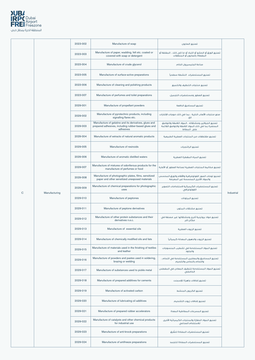

|     | 2023-002 | Manufacture of soap                                                                                                         | تصنيع الصابون                                                                                                          |                   |
|-----|----------|-----------------------------------------------------------------------------------------------------------------------------|------------------------------------------------------------------------------------------------------------------------|-------------------|
|     | 2023-003 | Manufacture of paper, wadding, felt etc. coated or<br>covered with soap or detergent                                        | تصنيع الورق أو الحشو أو اللباد أو ما إلى ذلك ، المغلفة أو<br>المغطاة بالصابون أو المنظفات                              |                   |
|     | 2023-004 | Manufacture of crude glycerol                                                                                               | صناعة الحليسيرول الخام                                                                                                 |                   |
|     | 2023-005 | Manufacture of surface-active preparations                                                                                  | تصنيع المستحضرات النشطة سطحيأ                                                                                          |                   |
|     | 2023-006 | Manufacture of cleaning and polishing products                                                                              | تصنيع منتحات التنظيف والتلميع                                                                                          |                   |
|     | 2023-007 | Manufacture of perfumes and toilet preparations                                                                             | تصنيع العطور ومستحضرات التحميل                                                                                         |                   |
|     | 2029-001 | Manufacture of propellant powders                                                                                           | تصنيع المساحيق الدافعة                                                                                                 |                   |
|     | 2029-002 | Manufacture of pyrotechnic products, including<br>signalling flares etc.                                                    | صنع منتجات الألعاب النارية ، بما فى ذلك موجات الإشارات<br>الخ.                                                         |                   |
|     | 2029-003 | Manufacture of gelatine and its derivatives, glues and<br>prepared adhesives, including rubber-based glues and<br>adhesives | تصنيع الجيلاتين ومشتقاته ، المواد اللاصقة واللواصق<br>المحضرة بما في ذلك المواد اللاصقة واللواصق القائمة<br>على المطاط |                   |
|     | 2029-004 | Manufacture of extracts of natural aromatic products                                                                        | تصنيع مقتطفات من المنتحات العطرية الطبيعية                                                                             |                   |
|     | 2029-005 | Manufacture of resinoids                                                                                                    | تصنيع الراتنحيات                                                                                                       |                   |
|     | 2029-006 | Manufacture of aromatic distilled waters                                                                                    | تصنيع المياه المقطرة العطرية                                                                                           |                   |
|     | 2029-007 | Manufacture of mixtures of odoriferous products for the<br>manufacture of perfumes or food                                  | تصنيع مخاليط المنتحات العطرية لصناعة العطور أو الأغذية                                                                 |                   |
|     | 2029-008 | Manufacture of photographic plates, films, sensitized<br>paper and other sensitized unexposed materials                     | تصنيع لوحات الصور الفوتوغرافية والأفلام والورق المحسس<br>والمواد الأخرى المحسسة غير المعرضة                            |                   |
|     | 2029-009 | Manufacture of chemical preparations for photographic<br>uses                                                               | تصنيع المستحضرات الكيميائية لاستخدامات التصوير<br>الفوتوغرافي                                                          | <b>Industrial</b> |
| ing | 2029-010 | Manufacture of peptones                                                                                                     | تصنيع البيتونات                                                                                                        |                   |
|     | 2029-011 | Manufacture of peptone derivatives                                                                                          | تصنيع مشتقات الببتون                                                                                                   |                   |
|     | 2029-012 | Manufacture of other protein substances and their<br>derivatives n.e.c.                                                     | تصنيع مواد بروتينية أخرى ومشتقاتها غير مصنفة في<br>مكان آخر                                                            |                   |
|     | 2029-013 | Manufacture of essential oils                                                                                               | تصنيع الزبوت العطرية                                                                                                   |                   |
|     | 2029-014 | Manufacture of chemically modified oils and fats                                                                            | تصنيع الزيوت والدهون المعدلة كيميائيأ                                                                                  |                   |
|     | 2029-015 | Manufacture of materials used in the finishing of textiles<br>and leather                                                   | تصنيع المواد المستخدمة في تشطيب المنسوجات<br>والجلود                                                                   |                   |
|     | 2029-016 | Manufacture of powders and pastes used in soldering,<br>brazing or welding                                                  | تصنيع المساحيق والمعاجين المستخدمة فى اللحام ،<br>واللحام بالنحاس والتلحيم                                             |                   |
|     |          |                                                                                                                             |                                                                                                                        |                   |

C Manufactur

| 2029-017 | Manufacture of substances used to pickle metal                             | تصنيع المواد المستخدمة لتنظيف المعادن فى المغطس<br>الحامضى            |
|----------|----------------------------------------------------------------------------|-----------------------------------------------------------------------|
| 2029-018 | Manufacture of prepared additives for cements                              | تصنيع إضافات جاهزة للإسمنت                                            |
| 2029-019 | Manufacture of activated carbon                                            | تصنيع الكربون المنشط                                                  |
| 2029-020 | Manufacture of lubricating oil additives                                   | تصنيع إضافات زيوت التشحيم                                             |
| 2029-021 | Manufacture of prepared rubber accelerators                                | تصنيع المسرعات المطاطية المعدة                                        |
| 2029-022 | Manufacture of catalysts and other chemical products<br>for industrial use | تصنيع المواد الحفازة والمنتجات الكيميائية الأخرى<br>للاستخدام الصناعى |
| 2029-023 | Manufacture of anti-knock preparations                                     | تصنيع المستحضرات المضادة للطرق                                        |
| 2029-024 | Manufacture of antifreeze preparations                                     | تصنيع المستحضرات المضادة للتحمد                                       |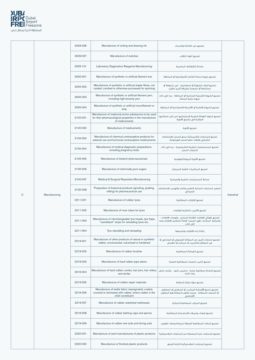

|             |               | 2029-026 | Manufacture of writing and drawing ink                                                                                             | تصنيع حبر الكتابة والرسم                                                                                                     |            |
|-------------|---------------|----------|------------------------------------------------------------------------------------------------------------------------------------|------------------------------------------------------------------------------------------------------------------------------|------------|
|             |               | 2029-027 | Manufacture of matches                                                                                                             | تصنيع أعواد الثقاب                                                                                                           |            |
|             |               | 2029-101 | Laboratory Diagnostics Reagents Manufacturing                                                                                      | صناعة الكواشف المخبرية                                                                                                       |            |
|             |               | 2030-001 | Manufacture of synthetic or artificial filament tow                                                                                | تصنيع خيوط نسالة الكتان الاصطناعية أو المخلقة                                                                                |            |
|             |               | 2030-002 | Manufacture of synthetic or artificial staple fibres, not<br>carded, combed or otherwise processed for spinning                    | تصنيع ألياف تخليقية أو اصطناعية ، غير مندوفة أو<br>ممشطة أو محضرة بطريقة أخرى للغزل                                          |            |
|             |               | 2030-003 | Manufacture of synthetic or artificial filament yarn,<br>including high-tenacity yarn                                              | تصنيع الخيوط الفتيلية الصناعية أو المخلقة ، بما في ذلك<br>خيوط عالية المتانة                                                 |            |
|             |               | 2030-004 | Manufacture of synthetic or artificial monofilament or<br>strip                                                                    | تصنيع الخيوط الأحادية أو الأشرطة الاصطناعية أو المخلقة                                                                       |            |
|             |               | 2100-001 | Manufacture of medicinal active substances to be used<br>for their pharmacological properties in the manufacture<br>of medicaments | تصنيع المواد الفعالة الطبية لاستخدامها من أجل خصائصها<br>الدوائية في تصنيع الأدوية.                                          |            |
|             |               | 2100-002 | Manufacture of medicaments                                                                                                         | تصنيع الأدوية                                                                                                                |            |
|             |               | 2100-003 | Manufacture of chemical contraceptive products for<br>external use and hormonal contraceptive medicaments                          | تصنيع المنتجات الكيميائية لمنع الحمل للاستخدام<br>الخارجى وأدوات منع الحمل الهرمونية                                         |            |
|             |               | 2100-004 | Manufacture of medical diagnostic preparations,<br>including pregnancy tests                                                       | تصنيع المستحضرات الطبية التشخيصية ، بما فى ذلك<br>اختبارات الحمل                                                             |            |
|             |               | 2100-005 | Manufacture of biotech pharmaceuticals                                                                                             | تصنيع الأدوية البيوتكنولوجية                                                                                                 |            |
|             |               | 2100-006 | Manufacture of chemically pure sugars                                                                                              | تصنيع السكريات النقية كيميائيا                                                                                               |            |
|             |               | 2100-007 | Medical & Surgical Requisites Manufacturing                                                                                        | صناعة المستلزمات الطبية والحراحية                                                                                            |            |
|             |               | 2100-008 | Preparation of botanical products (grinding, grading,<br>milling) for pharmaceutical use                                           | تحضير المنتجات النباتية (الطحن والدك والهرس للاستخدام<br>الصيدلى                                                             |            |
| $\mathbf C$ | Manufacturing | 2211-001 | Manufacture of rubber tyres                                                                                                        | تصنيع الإطارات المطاطية                                                                                                      | Industrial |
|             |               | 2211-002 | Manufacture of inner tubes for tyres                                                                                               | تصنيع الأنابيب الداخلية للإطارات                                                                                             |            |
|             |               | 2211-003 | Manufacture of interchangeable tyre treads, tyre flaps,<br>"camelback" strips for retreading tyres etc.                            | تصنيع نقوش الإطارات القابلة للتبديل ، ولوحات الإطارات ،<br>وشرائط "مركَّبات ظهر الجمل" لإعادة تشكيل الإطارات وما<br>إلى ذلك. |            |
|             |               | 2211-004 | Tyre rebuilding and retreading                                                                                                     | إعادة بناء الإطارات وتجديدها                                                                                                 |            |
|             |               | 2219-001 | Manufacture of other products of natural or synthetic<br>rubber, unvulcanized, vulcanized or hardened                              | تصنيع منتجات أخرى من المطاط الطبيعي أو الصناعي أو<br>غير المعالج بالكبريت أو مبركن أو مقسى                                   |            |
|             |               | 2219-002 | Manufacture of rubber brushes                                                                                                      | تصنيع الفرشاة المطاطية                                                                                                       |            |
|             |               | 2219-003 | Manufacture of hard rubber pipe stems                                                                                              | تصنيع أنابيب البايبات المطاطية الصلبة                                                                                        |            |

| 2219-004 | Manufacture of hard rubber combs, hair pins, hair rollers,<br>and similar                                                        | تصنيع أمشاط مطاطية صلبة ، دبابيس شعر ، بكرات شعر<br>وما شابه                                                |
|----------|----------------------------------------------------------------------------------------------------------------------------------|-------------------------------------------------------------------------------------------------------------|
| 2219-005 | Manufacture of rubber repair materials                                                                                           | تصنيع مواد إصلاح المطاط                                                                                     |
| 2219-006 | Manufacture of textile fabric impregnated, coated,<br>covered or laminated with rubber, where rubber is the<br>chief constituent | تصنيع نسيج الأقمشة المشرب أو المطلى أو المفطى<br>أو المنضد بالمطاط ، حيثما يكون المطاط هو المكون<br>الأساسى |
| 2219-007 | Manufacture of rubber waterbed mattresses                                                                                        | تصنيع المراتب المطاطية المائية                                                                              |
| 2219-008 | Manufacture of rubber bathing caps and aprons                                                                                    | تصنيع قبعات ومريلات الاستحمام المطاطية                                                                      |
| 2219-009 | Manufacture of rubber wet suits and diving suits                                                                                 | تصنيع البدلات المطاطبة الضيقة للرباضة وبدلات الغوص                                                          |
| 2220-001 | Manufacture of semi-manufactures of plastic products                                                                             | تصنيع المنتحات شبه المصنعة من المنتحات البلاستيكية                                                          |
| 2220-002 | Manufacture of finished plastic products                                                                                         | تصنيع المنتحات البلاستبكية التامة الصنع                                                                     |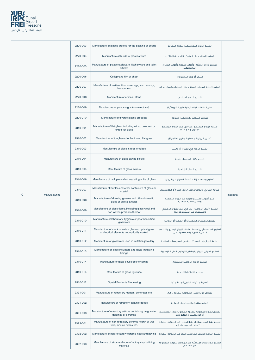

|              |               | 2220-003 | Manufacture of plastic articles for the packing of goods                                                                               | تصنيع المواد البلاستيكية لتعبئة البضائع                                                    |            |
|--------------|---------------|----------|----------------------------------------------------------------------------------------------------------------------------------------|--------------------------------------------------------------------------------------------|------------|
|              |               | 2220-004 | Manufacture of builders' plastics ware                                                                                                 | تصنيع المنتجات البلاستيكية الخاصة بالبنائين                                                |            |
|              |               | 2220-005 | Manufacture of plastic tableware, kitchenware and toilet<br>articles                                                                   | تصنيع أدوات المائدة وأدوات المطبخ وأدوات الحمام<br>البلاستيكية                             |            |
|              |               | 2220-006 | Cellophane film or sheet                                                                                                               | فيلم أو ورقة السيلوفان                                                                     |            |
|              |               | 2220-007 | Manufacture of resilient floor coverings, such as vinyl,<br>linoleum etc.                                                              | تصنيع أغطية الأرضيات المرنة ، مثل الفينيل والمشمع الخ                                      |            |
|              |               | 2220-008 | Manufacture of artificial stone                                                                                                        | تصنيع الحجر الصناعى                                                                        |            |
|              |               | 2220-009 | Manufacture of plastic signs (non-electrical)                                                                                          | صنع العلامات البلاستيكية (غير الكهربائية)                                                  |            |
|              |               | 2220-010 | Manufacture of diverse plastic products                                                                                                | تصنيع منتجات بلاستيكية متنوعة                                                              |            |
|              |               | 2310-001 | Manufacture of flat glass, including wired, coloured or<br>tinted flat glass                                                           | صناعة الزجاج المسطح ، بما في ذِلك الزجاج المسطح<br>الملون أو المظلَّم                      |            |
|              |               | 2310-002 | Manufacture of toughened or laminated flat glass                                                                                       | تصنيع الزجاج المسطح المقوي أو المرقق                                                       |            |
|              |               | 2310-003 | Manufacture of glass in rods or tubes                                                                                                  | تصنيع الزجاج في قضبان أو أنابيب                                                            |            |
|              |               | 2310-004 | Manufacture of glass paving blocks                                                                                                     | تصنيع كتل الرصف الزجاجية                                                                   |            |
|              |               | 2310-005 | Manufacture of glass mirrors                                                                                                           | تصنيع المرايا الزجاجية                                                                     |            |
|              |               | 2310-006 | Manufacture of multiple-walled insulating units of glass                                                                               | تصنيع وحدات عازلة متعددة الجدران من الزجاج                                                 |            |
|              |               | 2310-007 | Manufacture of bottles and other containers of glass or<br>crystal                                                                     | صناعة القناني والحاويات الأخرى من الزجاج أو الكريستال                                      |            |
| $\mathsf{C}$ | Manufacturing | 2310-008 | Manufacture of drinking glasses and other domestic<br>glass or crystal articles                                                        | صنع أكواب الشرب وغيرها من المواد الزجاجية<br>والكريستالية المحلية                          | Industrial |
|              |               | 2310-009 | Manufacture of glass fibres, including glass wool and<br>non-woven products thereof                                                    | تصنيع الألياف الزجاجية ، بما في ذلك الصوف الزجاجي<br>والمنتجات غير المنسوجة منه            |            |
|              |               | 2310-010 | Manufacture of laboratory, hygienic or pharmaceutical<br>glassware                                                                     | تصنيع الزجاجيات المختبرية أو الصحية أو الدوائية                                            |            |
|              |               | 2310-011 | Manufacture of clock or watch glasses, optical glass<br>and optical elements not optically worked                                      | تصنيع الساعات أو زجاجات الساعة ، الزجاج البصرى والعناصر<br>البصرية التى لا يتم صنعها بصريا |            |
|              |               | 2310-012 | Manufacture of glassware used in imitation jewellery                                                                                   | صناعة الزجاجيات المستخدمة فى المجوهرات المقلدة                                             |            |
|              |               | 2310-013 | Manufacture of glass insulators and glass insulating<br>fittings                                                                       | تصنيع العوازل الزجاجية وقطع التركيب العازلة الزجاجية                                       |            |
|              |               | 2310-014 | Manufacture of glass envelopes for lamps                                                                                               | تصنيع الأوعية الزجاجية للمصابيح                                                            |            |
|              |               | 2310-015 | Manufacture of glass figurines                                                                                                         | تصنيع التماثيل الزجاجية                                                                    |            |
|              |               | 2310-017 | <b>Crystal Products Processing</b>                                                                                                     | شغل المنتجات البلورية ومعالجتها                                                            |            |
|              |               | 2391-001 | Manufacture of refractory mortars, concretes etc.                                                                                      | تصنيع مونة الجير المقاومة للحرارة ، الخ.                                                   |            |
|              |               | 2391-002 | Manufacture of refractory ceramic goods                                                                                                | تصنيع منتجات السيراميك الحرارية                                                            |            |
|              |               | 2391-003 | تصنيع المواد المقاومة للحرارة المحتوية على المغنسيت   Manufacture of refractory articles containing magnesite,<br>dolomite or chromite | أو الدولوميت أو الكروميت                                                                   |            |
|              |               | 2392-001 | Manufacture of non-refractory ceramic hearth or wall<br>tiles, mosaic cubes etc.                                                       | تصنيع بلاط السيراميك أو بلاط الجدران غير المقاوم للحرارة<br>، مكعبات الفسيفساء إلخ.        |            |
|              |               | 2392-002 | Manufacture of non-refractory ceramic flags and paving                                                                                 | تصنيع البلاط والرصف من السيراميك غير المقاوم للحرارة                                       |            |
|              |               | 2392-003 | Manufacture of structural non-refractory clay building<br>materials                                                                    | تصنيع مواد البناء االإنشائية غير المقاوم للحرارة المصنوعة<br>من الصلصال                    |            |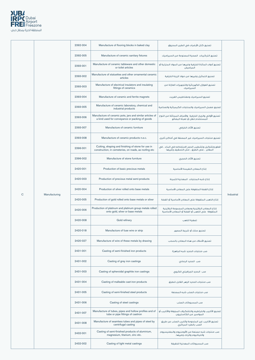

|              |               | 2392-004 | Manufacture of flooring blocks in baked clay                                                                                                           | تصنيع كتل الأرضيات فى الطين المحروق                                                                    |            |
|--------------|---------------|----------|--------------------------------------------------------------------------------------------------------------------------------------------------------|--------------------------------------------------------------------------------------------------------|------------|
|              |               | 2392-005 | Manufacture of ceramic sanitary fixtures                                                                                                               | تصنيع التركيبات الصحية المصنوعة من السيراميك                                                           |            |
|              |               | 2393-001 | Manufacture of ceramic tableware and other domestic<br>or toilet articles                                                                              | تصنيع أدوات المائدة الخزفية وغيرها من المواد المنزلية أو<br>المراحيض                                   |            |
|              |               | 2393-002 | Manufacture of statuettes and other ornamental ceramic<br>articles                                                                                     | تصنيع التماثيل وغيرها من مواد الزينة الخزفية                                                           |            |
|              |               | 2393-003 | Manufacture of electrical insulators and insulating<br>fittings of ceramics                                                                            | تصنيع العوازل الكهربائية والتجهيزات العازلة من<br>السيراميك                                            |            |
|              |               | 2393-004 | Manufacture of ceramic and ferrite magnets                                                                                                             | تصنيع السيراميك ومغناطيس الفريت                                                                        |            |
|              |               | 2393-005 | Manufacture of ceramic laboratory, chemical and<br>industrial products                                                                                 | تصنيع معمل السيراميك والمنتجات الكيميائية والصناعية                                                    |            |
|              |               | 2393-006 | Manufacture of ceramic pots, jars and similar articles of<br>a kind used for conveyance or packing of goods                                            | تصنيع الأواني والجرار الخزفية والأصناف المماثلة من النوع<br>المستخدم لنقل أو تعبئة البضائع             |            |
|              |               | 2393-007 | Manufacture of ceramic furniture                                                                                                                       | تصنيع الأثاث الخزفى                                                                                    |            |
|              |               | 2393-008 | Manufacture of ceramic products n.e.c.                                                                                                                 | تصنيع منتجات السيراميك غير المصنفة فى أماكن أخرى.                                                      |            |
|              |               | 2396-001 | Cutting, shaping and finishing of stone for use in<br>construction, in cemeteries, on roads, as roofing etc                                            | قطع وتشكيل وتشطيب الحجر لاستخدامه في البناء ، في<br>المقابر ، على الطرق ، مثل التسقيف وغيرها           |            |
|              |               | 2396-002 | Manufacture of stone furniture                                                                                                                         | تصنيع الأثاث الحجرى                                                                                    |            |
|              |               | 2420-001 | Production of basic precious metals                                                                                                                    | إنتاج المعادن النفيسة الأساسية                                                                         |            |
|              |               | 2420-003 | Production of precious metal semi-products                                                                                                             | إنتاج شبه المنتجات المعدنية الثمينة                                                                    |            |
|              |               | 2420-004 | Production of silver rolled onto base metals                                                                                                           | إنتاج الفضة الملفوفة على المعادن الأساسية                                                              |            |
| $\mathsf{C}$ | Manufacturing | 2420-005 | Production of gold rolled onto base metals or silver                                                                                                   | إنتاج الذهب الملفوفة على المعادن الأساسية أو الفضة                                                     | Industrial |
|              |               | 2420-006 | Production of platinum and platinum group metals rolled<br>onto gold, silver or base metals                                                            | إنتاج المعادن البلاتينية ومعادن المجموعة البلاتينية<br>الملفوفة على الذهب أو الفضة أو المعادن الأساسية |            |
|              |               | 2420-008 | Gold refinery                                                                                                                                          | تصفية الذهب                                                                                            |            |
|              |               | 2420-018 | Manufacture of fuse wire or strip                                                                                                                      | تصنيع سلك أو شريط المصهر                                                                               |            |
|              |               | 2420-027 | Manufacture of wire of these metals by drawing                                                                                                         | تصنيع الأسلاك من هذه المعادن بالسحب                                                                    |            |
|              |               | 2431-001 | Casting of semi-finished iron products                                                                                                                 | صب منتجات الحديد شبه الجاهزة                                                                           |            |
|              |               | 2431-002 | Casting of grey iron castings                                                                                                                          | صب الحديد الرمادي                                                                                      |            |
|              |               | 2431-003 | Casting of spheroidal graphite iron castings                                                                                                           | صب الحديد الجرافيتي الكروى                                                                             |            |
|              |               | 2431-004 | Casting of malleable cast-iron products                                                                                                                | صب منتجات الحديد الزهر القابل للطرق                                                                    |            |
|              |               | 2431-005 | Casting of semi-finished steel products                                                                                                                | صب منتجات الصلب شبه المصنعة                                                                            |            |
|              |               | 2431-006 | Casting of steel castings                                                                                                                              | صب المسبوكات الصلب                                                                                     |            |
|              |               | 2431-007 | تصنيع الأنابيب والخراطيم والتشكيلات المجوفة والأنابيب أو   Manufacture of tubes, pipes and hollow profiles and of<br>tube or pipe fittings of castiron | المواسير من الكاستيرون                                                                                 |            |
|              |               | 2431-008 | Manufacture of seamless tubes and pipes of steel by<br>centrifugal casting                                                                             | تصنيع الأنابيب غير الملحومة وأنابيب الصلب عن طريق<br>الصب بالطرد المركزى                               |            |
|              |               | 2432-001 | Casting of semi-finished products of aluminium,<br>magnesium, titanium, zinc etc.                                                                      | صب منتجات شبه مصنعة من الألومنيوم والمغنيسيوم<br>والتيتانيوم والزنك وغيرها.                            |            |
|              |               | 2432-002 | Casting of light metal castings                                                                                                                        | صب المسبوكات المعدنية الخفيفة                                                                          |            |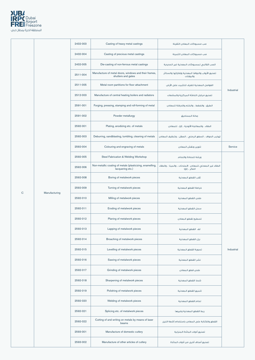

|           |               | 2432-003 | Casting of heavy metal castings                                               | صب مسبوكات المعادن الثقيلة                                               |            |
|-----------|---------------|----------|-------------------------------------------------------------------------------|--------------------------------------------------------------------------|------------|
|           |               | 2432-004 | Casting of precious metal castings                                            | صب مسبوكات المعادن الثمينة                                               |            |
|           |               | 2432-005 | Die-casting of non-ferrous metal castings                                     | الصب القالبى لمسبوكات المعدنية غير الحديدية                              |            |
|           |               | 2511-004 | Manufacture of metal doors, windows and their frames,<br>shutters and gates   | تصنيع الأبواب والنوافذ المعدنية وإطاراتها والستائر<br>والبوابات          |            |
|           |               | 2511-005 | Metal room partitions for floor attachment                                    | الفواصل المعدنية للغرف للتثبيت على الأرض                                 |            |
|           |               | 2512-003 | Manufacture of central heating boilers and radiators                          | تصنيع مراجل التدفئة المركزية والمشعات                                    | Industrial |
|           |               | 2591-001 | Forging, pressing, stamping and roll-forming of metal                         | الطرق ، والضغط ، والختم والدرفلة للمعادن                                 |            |
|           |               | 2591-002 | Powder metallurgy                                                             | عدائة المساحيق                                                           |            |
|           |               | 2592-001 | Plating, anodizing etc. of metals                                             | الطلاء ، والمعالجة الأنودية ، إلخ ، للمعادن                              |            |
|           |               | 2592-003 | Deburring, sandblasting, tumbling, cleaning of metals                         | تهذيب الحواف ، السفع الرملي ، الصقل ، وتنظيف المعادن                     |            |
|           |               | 2592-004 | Colouring and engraving of metals                                             | تلوين ونقش المعادن                                                       | Service    |
|           |               | 2592-005 | Steel Fabrication & Welding Workshop                                          | ورشة للحدادة واللحام                                                     |            |
|           |               | 2592-006 | Non-metallic coating of metals (plasticizing, enamelling,<br>lacquering etc.) | الطلاء غير المعدني للمعادن (الملدنات ، والمينا ، والطلاء<br>اللكر ، إلخ) |            |
|           |               | 2592-008 | Boring of metalwork pieces                                                    | ثقب القطع المعدنية                                                       |            |
|           |               | 2592-009 | Turning of metalwork pieces                                                   | خراطة القطع المعدنية                                                     |            |
| ${\bf C}$ | Manufacturing | 2592-010 | Milling of metalwork pieces                                                   | طحن القطع المعدنية                                                       |            |
|           |               | 2592-011 | Eroding of metalwork pieces                                                   | سحل القطع المعدنية                                                       |            |
|           |               | 2592-012 | Planing of metalwork pieces                                                   | تسطيح لقطع المعادن                                                       |            |
|           |               | 2592-013 | Lapping of metalwork pieces                                                   | لف القطع المعدنية                                                        |            |
|           |               | 2592-014 | Broaching of metalwork pieces                                                 | بزل القطع المعدنية                                                       |            |
|           |               | 2592-015 | Levelling of metalwork pieces                                                 | تسوية القطع المعدنية                                                     | Industrial |
|           |               | 2592-016 | Sawing of metalwork pieces                                                    | نشر القطع المعدنية                                                       |            |
|           |               | 2592-017 | Grinding of metalwork pieces                                                  | طحن قطع المعادن                                                          |            |
|           |               | 2592-018 | Sharpening of metalwork pieces                                                | شحذ القطع المعدنية                                                       |            |
|           |               | 2592-019 | Polishing of metalwork pieces                                                 | تلميع القطع المعدنية                                                     |            |
|           |               | 2592-020 | Welding of metalwork pieces                                                   | لحام القطع المعدنية                                                      |            |
|           |               | 2592-021 | Splicing etc. of metalwork pieces                                             | ربط القطع المعدنية وغيرها                                                |            |
|           |               | 2592-022 | Cutting of and writing on metals by means of laser<br>beams                   | القطع والكتابة على المعادن باستخدام أشعة الليزر                          |            |
|           |               | 2593-001 | Manufacture of domestic cutlery                                               | تصنيع أدوات المائدة المنزلية                                             |            |
|           |               | 2593-002 | Manufacture of other articles of cutlery                                      | تصنيع أصناف أخرى من أدوات المائدة                                        |            |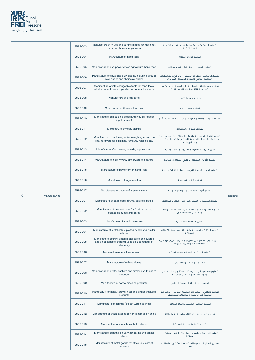

|              |               | 2593-003 | Manufacture of knives and cutting blades for machines<br>or for mechanical appliances                                   | تصنيع السكاكين وشفرات القطع للآلات أو للأجهزة<br>المبكائبكية                                                                     |            |
|--------------|---------------|----------|-------------------------------------------------------------------------------------------------------------------------|----------------------------------------------------------------------------------------------------------------------------------|------------|
|              |               | 2593-004 | Manufacture of hand tools                                                                                               | تصنيع الأدوات اليدوية                                                                                                            |            |
|              |               | 2593-005 | Manufacture of non-power-driven agricultural hand tools                                                                 | تصنيع الأدوات اليدوية الزراعية بدون طاقة                                                                                         |            |
|              |               | 2593-006 | Manufacture of saws and saw blades, including circular<br>saw blades and chainsaw blades                                | تصنيع المناشير وشفرات المنشار ، بما في ذلك شفرات<br>المنشار الدائري وشفرات المنشار الجنزيري                                      |            |
|              |               | 2593-007 | Manufacture of interchangeable tools for hand tools,<br>whether or not power-operated, or for machine tools             | تصنيع أدوات قابلة للتبديل للأدوات اليدوية ، سواء كانت<br>تعمل بالطاقة أم لا ، أو للأدوات الآلية                                  |            |
|              |               | 2593-008 | Manufacture of press tools                                                                                              | تصنيع أدوات الكبس                                                                                                                |            |
|              |               | 2593-009 | Manufacture of blacksmiths' tools                                                                                       | تصنيع أدوات الحداد                                                                                                               |            |
|              |               | 2593-010 | Manufacture of moulding boxes and moulds (except<br>ingot moulds)                                                       | صناعة القوالب وصناديق القوالب (باستثناء قوالب السبائك)                                                                           |            |
|              |               | 2593-011 | Manufacture of vices, clamps                                                                                            | تصنيع الملازم والمشابك                                                                                                           |            |
|              |               | 2593-012 | Manufacture of padlocks, locks, keys, hinges and the<br>like, hardware for buildings, furniture, vehicles etc.          | تصنيع الأقفال الصفيحية والأقفال والمفاتيح والمفصلات وما<br>يماثلها ، والمعدات الحديدية للمباني والأثاث والمركبات<br>وما إلى ذلك. |            |
|              |               | 2593-013 | Manufacture of cutlasses, swords, bayonets etc.                                                                         | تصنيع سيوف الملاحين والسيوف والحراب وغيرها.                                                                                      |            |
|              |               | 2593-014 | Manufacture of hollowware, dinnerware or flatware                                                                       | تصنيع الأواني الـمجوفة ، أواني الطعام و الـمائدة                                                                                 |            |
|              |               | 2593-015 | Manufacture of power-driven hand tools                                                                                  | تصنيع الأدوات اليدوية التى تعمل بالطاقة الكهربائية                                                                               |            |
|              |               | 2593-016 | Manufacture of ingot moulds                                                                                             | تصنيع قوالب السبيكة                                                                                                              |            |
|              |               | 2593-017 | Manufacture of cutlery of precious metal                                                                                | تصنيع أدوات المائدة من المعادن الثمينة                                                                                           |            |
| $\mathsf{C}$ | Manufacturing | 2599-001 | Manufacture of pails, cans, drums, buckets, boxes                                                                       | تصنيع السطول ، العلب ، البراميل ، الدلاء ، الصناديق                                                                              | Industrial |
|              |               | 2599-002 | Manufacture of tins and cans for food products,<br>collapsible tubes and boxes                                          | تصنيع العلب والصفائح الخاصة بالمنتجات الغذائية والأنابيب<br>والصناديق القابلة للطى                                               |            |
|              |               | 2599-003 | Manufacture of metallic closures                                                                                        | تصنيع السدادات المعدنية                                                                                                          |            |
|              |               | 2599-004 | Manufacture of metal cable, plaited bands and similar<br>articles                                                       | تصنيع الكابلات المعدنية والأشرطة المضفورة والأصناف<br>المماثلة                                                                   |            |
|              |               | 2599-005 | Manufacture of uninsulated metal cable or insulated<br>cable not capable of being used as a conductor of<br>electricity | تصنيع كابل معدني غير معزول أو كابل معزول غير قابل<br>لاستخدامه كموصل للكهرباء                                                    |            |
|              |               | 2599-006 | Manufacture of articles made of wire                                                                                    | تصنيع المنتجات المصنوعة من الأسلاك                                                                                               |            |
|              |               | 2599-007 | Manufacture of nails and pins                                                                                           | تصنيع المسامير والدبابيس                                                                                                         |            |
|              |               | 2599-008 | Manufacture of rivets, washers and similar non-threaded<br>products                                                     | تصنيع مسامير الربط ، وحلقات إحكام ربط المسامير<br>والمنتجات المماثلة غير المسننة                                                 |            |
|              |               | 2599-009 | Manufacture of screw machine products                                                                                   | تصنيع منتجات آلة المسمار اللولبي                                                                                                 |            |
|              |               | 2599-010 | Manufacture of bolts, screws, nuts and similar threaded<br>products                                                     | تصنيع البراغي ، المسامير اللولبية المدببة ، المسامير<br>اللولبية غير المدببة والمنتجات المتشابهة                                 |            |
|              |               | 2599-011 | Manufacture of springs (except watch springs)                                                                           | تصنيع النوابض (باستثناء زنبرك الساعة)                                                                                            |            |
|              |               | 2599-012 | Manufacture of chain, except power transmission chain                                                                   | تصنيع السلسلة ، باستثناء سلسلة نقل الطاقة                                                                                        |            |
|              |               | 2599-013 | Manufacture of metal household articles                                                                                 | تصنيع الأدوات المنزلية المعدنية                                                                                                  |            |
|              |               | 2599-014 | Manufacture of baths, sinks, washbasins and similar<br>articles                                                         | تصنيع الحمامات والمغاسل وأحواض الغسيل والأشياء<br>مماثلة                                                                         |            |
|              |               | 2599-015 | Manufacture of metal goods for office use, except<br>furniture                                                          | تصنيع السلع المعدنية للاستخدام المكتبى ، باستثناء<br>الأثاث                                                                      |            |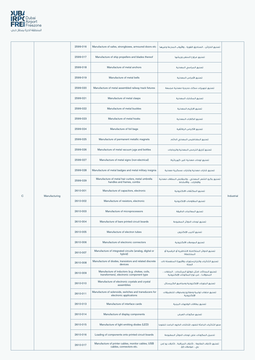

|             |               | 2599-016 | Manufacture of safes, strongboxes, armoured doors etc                          | تصنيع الخزائن ، الصناديق القوية ، والأبواب المدرعة وغيرها                  |            |
|-------------|---------------|----------|--------------------------------------------------------------------------------|----------------------------------------------------------------------------|------------|
|             |               | 2599-017 | Manufacture of ship propellers and blades thereof                              | تصنيع مراوح السفن وريشها                                                   |            |
|             |               | 2599-018 | Manufacture of metal anchors                                                   | تصنيع المراسي المعدنية                                                     |            |
|             |               | 2599-019 | Manufacture of metal bells                                                     | تصنيع الأجراس المعدنية                                                     |            |
|             |               | 2599-020 | Manufacture of metal assembled railway track fixtures                          | تصنيع تجهيزات سكك حديدية معدنية مجمعة                                      |            |
|             |               | 2599-021 | Manufacture of metal clasps                                                    | تصنيع المشابك المعدنية                                                     |            |
|             |               | 2599-022 | Manufacture of metal buckles                                                   | تصنيع الابازيم المعدنية                                                    |            |
|             |               | 2599-023 | Manufacture of metal hooks                                                     | تصنيع الكلابات المعدنية                                                    |            |
|             |               | 2599-024 | Manufacture of foil bags                                                       | تصنيع الأكياس الرقائقية                                                    |            |
|             |               | 2599-025 | Manufacture of permanent metallic magnets                                      | تصنيع المغناطيس المعدنى الدائم                                             |            |
|             |               | 2599-026 | Manufacture of metal vacuum jugs and bottles                                   | تصنيع أباريق الترمس المعدنية والزجاجات                                     |            |
|             |               | 2599-027 | Manufacture of metal signs (non-electrical)                                    | تصنيع لوحات معدنية (غير كهربائية)                                          |            |
|             |               | 2599-028 | Manufacture of metal badges and metal military insignia                        | تصنيع شارات معدنية وشارات عسكرية معدنية                                    |            |
|             |               | 2599-029 | Manufacture of metal hair curlers, metal umbrella<br>handles and frames, combs | تصنيع بكرو الشعر المعدني ، والمقابض المظلات معدنية<br>والإطارات ، والأمشاط |            |
|             |               | 2610-001 | Manufacture of capacitors, electronic                                          | تصنيع المكثفات الالكترونية                                                 |            |
| $\mathbf C$ | Manufacturing | 2610-002 | Manufacture of resistors, electronic                                           | تصنيع المقاومات الإلكترونية                                                | Industrial |
|             |               | 2610-003 | Manufacture of microprocessors                                                 | تصنيع المعالجات الدقيقة                                                    |            |
|             |               | 2610-004 | Manufacture of bare printed circuit boards                                     | تصنيع لوحات الدوائر المطبوعة                                               |            |
|             |               | 2610-005 | Manufacture of electron tubes                                                  | تصنيع أنابيب الإلكترون                                                     |            |
|             |               | 2610-006 | Manufacture of electronic connectors                                           | تصنيع الموصلات الالكترونية                                                 |            |
|             |               | 2610-007 | Manufacture of integrated circuits (analog, digital or<br>hybrid)              | تصنيع الدوائر المتكاملة (التناظرية أو الرقمية أو<br>المختلطة)              |            |
|             |               | 2610-008 | Manufacture of diodes, transistors and related discrete<br>devices             | تصنيع الثنائيات والترانزستورات والأجهزة المنفصلة ذات<br>الصلة              |            |

| 2610-009 | Manufacture of inductors (e.g. chokes, coils,<br>transformers), electronic component type | تصنيع المحاثات (مثل خوانق المرشحات ، الملفات ،<br>المحولات) ، من نوع المكونات الإلكترونية |
|----------|-------------------------------------------------------------------------------------------|-------------------------------------------------------------------------------------------|
| 2610-010 | Manufacture of electronic crystals and crystal<br>assemblies                              | اتصنيع البلورات الإلكترونية ومحاميع الكريستال                                             |
| 2610-011 | Manufacture of solenoids, switches and transducers for<br>electronic applications         | اتصنيع ملفات لولبية ومفاتيح ومحولات للتطبيقات<br>الإلكترونية                              |
| 2610-013 | Manufacture of interface cards                                                            | تصنيع يطاقات الواحهات البينية                                                             |
| 2610-014 | Manufacture of display components                                                         | تصنيع مكونات العرض                                                                        |
| 2610-015 | Manufacture of light emitting diodes (LED)                                                | صنع الثنائيات الباعثة للضوء (شاشات الدابود الباعث للضوء)                                  |
| 2610-016 | Loading of components onto printed circuit boards                                         | اتحميل المكونات على لوحات الدوائر المطبوعة                                                |
| 2610-017 | Manufacture of printer cables, monitor cables, USB<br>cables, connectors etc.             | تصنيع كابلات الطابعة ، كابلات المراقبة ، كابلات يو إس<br>بي ، موصلات إلخ.                 |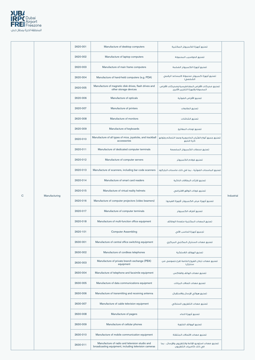

|           |               | 2620-001 | Manufacture of desktop computers                                               | تصنيع أجهزة الكمبيوتر المكتبية                                                     |            |
|-----------|---------------|----------|--------------------------------------------------------------------------------|------------------------------------------------------------------------------------|------------|
|           |               | 2620-002 | Manufacture of laptop computers                                                | تصنيع الحواسيب المحمولة                                                            |            |
|           |               | 2620-003 | Manufacture of main frame computers                                            | تصنيع أجهزة الكمبيوتر الضخمة                                                       |            |
|           |               | 2620-004 | Manufacture of hand-held computers (e.g. PDA)                                  | تصنيع أجهزة كمبيوتر محمولة (المساعد الرقمي<br>الشخصى)                              |            |
|           |               | 2620-005 | Manufacture of magnetic disk drives, flash drives and<br>other storage devices | تصنيع محركات الأقراص المغناطيسية ومحركات الأقراص<br>المحمولة وأجهزة التخزين الأخرى |            |
|           |               | 2620-006 | Manufacture of opticals                                                        | تصنيع الأقراص الضوئية                                                              |            |
|           |               | 2620-007 | Manufacture of printers                                                        | تصنيع الطابعات                                                                     |            |
|           |               | 2620-008 | Manufacture of monitors                                                        | تصنيع الشاشات                                                                      |            |
|           |               | 2620-009 | Manufacture of keyboards                                                       | تصنيع لوحات المفاتيح                                                               |            |
|           |               | 2620-010 | Manufacture of all types of mice, joysticks, and trackball<br>accessories      | تصنيع جميع أنواع الفئران الحاسوبية وعصا التحكم وتوابع<br>كرة التتبع                |            |
|           |               | 2620-011 | Manufacture of dedicated computer terminals                                    | تصنيع محطات الكمبيوتر المخصصة                                                      |            |
|           |               | 2620-012 | Manufacture of computer servers                                                | تصنيع خواده الكمبيوتر                                                              |            |
|           |               | 2620-013 | Manufacture of scanners, including bar code scanners                           | تصنيع الماسحات الضوئية ، بما في ذلك ماسحات الباركود                                |            |
|           |               | 2620-014 | Manufacture of smart card readers                                              | تصنيع قارئات البطاقات الذكية                                                       |            |
|           |               | 2620-015 | Manufacture of virtual reality helmets                                         | تصنيع خوذات الواقع الافتراضي                                                       | Industrial |
| ${\bf C}$ | Manufacturing | 2620-016 | Manufacture of computer projectors (video beamers)                             | تصنيع أجهزة عرض الكمبيوتر (أجهزة الفيديو)                                          |            |
|           |               | 2620-017 | Manufacture of computer terminals                                              | تصنيع أطراف الكمبيوتر                                                              |            |
|           |               | 2620-018 | Manufacture of multi-function office equipment                                 | تصنيع المعدات المكتبية متعددة الوظائف                                              |            |
|           |               | 2620-101 | <b>Computer Assembling</b>                                                     | تجميع أجهزة الحاسب الآلى                                                           |            |
|           |               | 2630-001 | Manufacture of central office switching equipment                              | تصنيع معدات السنترال المكتبي المركزي                                               |            |
|           |               | 2630-002 | Manufacture of cordless telephones                                             | تصنيع الهواتف اللاسلكية                                                            |            |
|           |               | 2630-003 | Manufacture of private branch exchange (PBX)<br>equipment                      | تصنيع معدات تبادل الفروع الخاصة (فرع خصوصي من<br>سنترال)                           |            |

| 2630-004 | Manufacture of telephone and facsimile equipment                                                       | تصنيع معدات الهاتف والفاكس                                                        |
|----------|--------------------------------------------------------------------------------------------------------|-----------------------------------------------------------------------------------|
| 2630-005 | Manufacture of data communications equipment                                                           | تصنيع معدات اتصالات البيانات                                                      |
| 2630-006 | Manufacture of transmitting and receiving antenna                                                      | تصنيع هوائي الإرسال والاستقبال                                                    |
| 2630-007 | Manufacture of cable television equipment                                                              | تصنيع معدات التلفزيون السلكى                                                      |
| 2630-008 | Manufacture of pagers                                                                                  | تصنىع أحهزة النداء                                                                |
| 2630-009 | Manufacture of cellular phones                                                                         | تصنيع الهواتف الخلوية                                                             |
| 2630-010 | Manufacture of mobile communication equipment                                                          | تصنيع معدات الاتصالات المتنقلة                                                    |
| 2630-011 | Manufacture of radio and television studio and<br>broadcasting equipment, including television cameras | تصنيع معدات استوديو الإذاعة والتلفزيون والإرسال ، بما<br>فى ذلك كاميرات التلفزيون |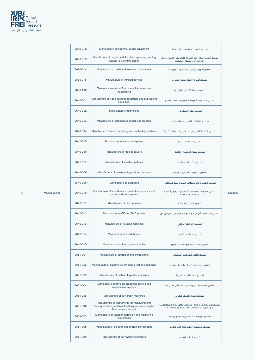

|             |               | 2630-012 | Manufacture of modems, carrier equipment                                               | تصنيع الموديم والمعدات الحاملة                                                |            |
|-------------|---------------|----------|----------------------------------------------------------------------------------------|-------------------------------------------------------------------------------|------------|
|             |               | 2630-013 | Manufacture of burglar and fire alarm systems, sending<br>signals to a control station | تصنيع أنظمة الإنذار ضد السرقة والحرائق ، والتي ترسل<br>إشارات إلى محطة التحكم |            |
|             |               | 2630-014 | Manufacture of radio and television transmitters                                       | تصنيع أجهزة الإرسال الإذاعية والتلفزيونية                                     |            |
|             |               | 2630-015 | Manufacture of infrared devices                                                        | تصنيع أجهزة الأشعة تحت الحمراء                                                |            |
|             |               | 2630-106 | Telecommunications Equipment & Accessories<br>Assembling                               | تجميع أجهزة الاتصال ولوازمها                                                  |            |
|             |               | 2640-001 | Manufacture of video cassette recorders and duplicating<br>equipment                   | تصنيع مسجلات أشرطة الفيديو ومعدات النسخ                                       |            |
|             |               | 2640-002 | Manufacture of televisions                                                             | تصنيع أجهزة التلفزيون                                                         |            |
|             |               | 2640-003 | Manufacture of television monitors and displays                                        | تصنيع شاشات التلفزيون والعارضات                                               |            |
|             |               | 2640-004 | Manufacture of audio recording and duplicating systems                                 | تصنيع أنظمة التسجيل الصوتي والنسخ المكررة                                     |            |
|             |               | 2640-005 | Manufacture of stereo equipment                                                        | تصنيع معدات ستيريو                                                            |            |
|             |               | 2640-006 | Manufacture of radio receivers                                                         | تصنيع أجهزة استقبال الراديو                                                   |            |
|             |               | 2640-007 | Manufacture of speaker systems                                                         | تصنيع أنظمة السماعات                                                          |            |
|             |               | 2640-008 | Manufacture of household-type video cameras                                            | تصنيع كاميرات الفيديو المنزلية                                                |            |
|             |               | 2640-009 | Manufacture of jukeboxes                                                               | تصنيع مكتبات للديسكات البصرية/جيوكبوكس                                        |            |
| $\mathbf C$ | Manufacturing | 2640-010 | Manufacture of amplifiers for musical instruments and<br>public address systems        | تصنيع مكبرات الصوت للآلات الموسيقية وأنظمة<br>المخاطبات العامة                | Industrial |
|             |               | 2640-011 | Manufacture of microphones                                                             | تصنيع الميكروفونات                                                            |            |
|             |               | 2640-012 | Manufacture of CD and DVD players                                                      | تصنيع مشغلات الأقراص المضغوطة وأقراص الدي في دي                               |            |
|             |               | 2640-013 | Manufacture of karaoke machines                                                        | تصنيع آلات الكاريوكي                                                          |            |
|             |               | 2640-014 | Manufacture of headphones                                                              | تصنيع سماعات الرأس                                                            |            |
|             |               | 2640-015 | Manufacture of video game consoles                                                     | تصنيع لوحات المفاتيح لألعاب الفيديو                                           |            |
|             |               | 2651-001 | Manufacture of aircraft engine instruments                                             | تصنيع أدوات محركات الطائرات                                                   |            |
|             |               | 2651-002 | Manufacture of automotive emissions testing equipment                                  | تصنيع معدات اختبار انبعاثات السيارات                                          |            |

| 2651-003 | Manufacture of meteorological instruments                                                                                        | تصنيع أدوات الأرصاد الحوية                                                                             |
|----------|----------------------------------------------------------------------------------------------------------------------------------|--------------------------------------------------------------------------------------------------------|
| 2651-004 | Manufacture of physical properties testing and<br>inspection equipment                                                           | اتصنيع معدات اختيار وفحص الخصائص الفيزيائية                                                            |
| 2651-005 | Manufacture of polygraph machines                                                                                                | تصنيع أحهزة كشف الكذب                                                                                  |
| 2651-006 | Manufacture of instruments for measuring and<br>testing electricity and electrical signals (including for<br>telecommunications) | تصنيع آلات لقياس واختبار الإشارات الكهربائية والإلكترونية<br>(بما فى ذلك الاتصالات السلكية واللاسلكية) |
| 2651-007 | Manufacture of radiation detection and monitoring<br>instruments                                                                 | تصنيع أحهزة الكشف عن الإشعاع ورصده                                                                     |
| 2651-008 | Manufacture of electron and proton microscopes                                                                                   | تصنيع المحاهر الألكترونية والبروتونية                                                                  |
| 2651-009 | Manufacture of surveying instruments                                                                                             | تصنيع أدوات المسح                                                                                      |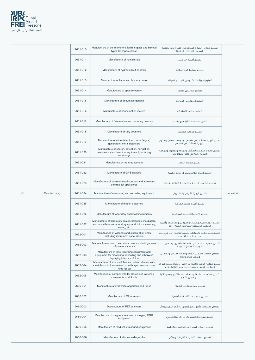

|   |               | 2651-010 | Manufacture of thermometers liquid-in-glass and bimetal<br>types (except medical)                                                 | تصنيع موازين الحرارة السائلة في الزجاج وأنواع ثنائية<br>المعادن (باستثناء الطبية)                       |                   |
|---|---------------|----------|-----------------------------------------------------------------------------------------------------------------------------------|---------------------------------------------------------------------------------------------------------|-------------------|
|   |               | 2651-011 | Manufacture of humidistats                                                                                                        | تصنيع أجهزة الترطيب                                                                                     |                   |
|   |               | 2651-012 | Manufacture of hydronic limit controls                                                                                            | تصنيع ضوابط الحد المائية                                                                                |                   |
|   |               | 2651-013 | Manufacture of flame and burner control                                                                                           | تصنيع أجهزة التحكم في اللهب و المواقد                                                                   |                   |
|   |               | 2651-014 | Manufacture of spectrometers                                                                                                      | تصنيع مقاييس الطيف                                                                                      |                   |
|   |               | 2651-015 | Manufacture of pneumatic gauges                                                                                                   | تصنيع المقاييس الهوائية                                                                                 |                   |
|   |               | 2651-016 | Manufacture of consumption meters                                                                                                 | تصنيع عدادات الاستهلاك                                                                                  |                   |
|   |               | 2651-017 | Manufacture of flow meters and counting devices                                                                                   | تصنيع عدادات التدفق وأجهزة العد                                                                         |                   |
|   |               | 2651-018 | Manufacture of tally counters                                                                                                     | تصنيع عدادات الحساب                                                                                     |                   |
|   |               | 2651-019 | Manufacture of mine detectors, pulse (signal)<br>generators; metal detectors                                                      | تصنيع أجهزة الكشف عن الألغام ، ومولدات النبض (الإشارة)<br>؛ أجهزة الكشف عن المعادن                      |                   |
|   |               | 2651-020 | Manufacture of search, detection, navigation,<br>aeronautical and nautical equipment, including<br>sonobuoys                      | تصنيع معدات البحث والكشف والملاحة والطيران والملاحة<br>البحرية ، بما في ذلك السونوبويز                  |                   |
|   |               | 2651-021 | Manufacture of radar equipment                                                                                                    | تصنيع معدات الرادار                                                                                     |                   |
|   |               | 2651-022 | Manufacture of GPS devices                                                                                                        | تصنيع أجهزة نظام تحديد المواقع عالميا                                                                   |                   |
|   |               | 2651-023 | Manufacture of environmental controls and automatic<br>controls for appliances                                                    | تصنيع الضوابط البيئية والضوابط التلقائية للأجهزة                                                        |                   |
| C | Manufacturing | 2651-024 | Manufacture of measuring and recording equipment                                                                                  | تصنيع أجهزة القياس والتسجيل                                                                             | <b>Industrial</b> |
|   |               | 2651-025 | Manufacture of motion detectors                                                                                                   | تصنيع أجهزة كشف الحركة                                                                                  |                   |
|   |               | 2651-026 | Manufacture of laboratory analytical instruments                                                                                  | تصنيع الأدوات التحليلية المختبرية                                                                       |                   |
|   |               | 2651-027 | Manufacture of laboratory scales, balances, incubators,<br>and miscellaneous laboratory apparatus for measuring,<br>testing, etc. | تصنيع المقاييس المختبرية والموازين والحاضنات وأجهزة<br>المختبر المتنوعة للقياس والاختبار ، إلخ.         |                   |
|   |               | 2652-001 | Manufacture of watches and clocks of all kinds,<br>including instrument panel clocks                                              | تصنيع ساعات اليد والساعات بجميع أنواعها ، بما في ذلك<br>ساعات أجهزة القياس                              |                   |
|   |               | 2652-002 | Manufacture of watch and clock cases, including cases<br>of precious metals                                                       | تصنيع حاويات ساعات اليد والساعات الأخرى، بما في ذلك<br>حاويات المعادن الثمينة                           |                   |
|   |               | 2652-003 | Manufacture of time-recording equipment and<br>equipment for measuring, recording and otherwise<br>displaying intervals of time   | تصنيع معدات تسجيل الوقت ومعدات لقياس وتسجيل<br>وعرض فترات زمنية                                         |                   |
|   |               | 2652-004 | Manufacture of time switches and other releases with<br>a watch or clock movement or with synchronous motor<br>$limo$ $ o $       | تصنيع مفاتيح الوقت والإصدارات الأخرى بمحرك ساعة اليد أو<br>الساعات الأخرى أو بمحرك متزامن (أقفال الوقت) |                   |

(time locks)

| 2652-005 | Manufacture of components for clocks and watches,<br>movements of all kinds | اتصنيع مكونات ساعة البداأو الساعات الأخرى ومحركاتها<br>من حميع الأنواع |
|----------|-----------------------------------------------------------------------------|------------------------------------------------------------------------|
| 2660-001 | Manufacture of irradiation apparatus and tubes                              | تصنيع أجهزة وأنابيب الإشعاع                                            |
| 2660-002 | Manufacture of CT scanners                                                  | تصنيع ماسحات الأشعة المقطعية                                           |
| 2660-003 | Manufacture of PET scanners                                                 | تصنيع ماسحات التَّصْويرُ المَقْطَعيُّ بالإصْدارُ البوزيترونيّ          |
| 2660-004 | Manufacture of magnetic resonance imaging (MRI)<br>equipment                | تصنيع معدات التصوير بالرئين المغناطيسي                                 |
| 2660-005 | Manufacture of medical ultrasound equipment                                 | تصنيع معدات الموجات فوق الصوتية الطبية                                 |
| 2660-006 | Manufacture of electrocardiographs                                          | تصنيع معدات تخطيط القلب الكهربائى                                      |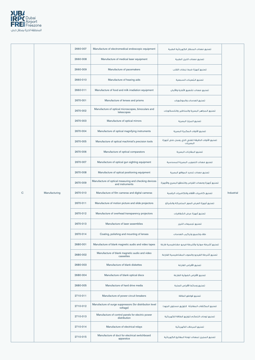

|             |               | 2660-007 | Manufacture of electromedical endoscopic equipment                       | تصنيع معدات المنظار الكهربائية الطبية                       |            |
|-------------|---------------|----------|--------------------------------------------------------------------------|-------------------------------------------------------------|------------|
|             |               | 2660-008 | Manufacture of medical laser equipment                                   | تصنيع معدات الليزر الطبية                                   |            |
|             |               | 2660-009 | Manufacture of pacemakers                                                | تصنيع أجهزة ضبط نبضات القلب                                 |            |
|             |               | 2660-010 | Manufacture of hearing aids                                              | تصنيع المُعينات السمعية                                     |            |
|             |               | 2660-011 | Manufacture of food and milk irradiation equipment                       | تصنيع معدات تشعيع الأغذية والألبان                          |            |
|             |               | 2670-001 | Manufacture of lenses and prisms                                         | تصنيع العدسات والموشورات                                    |            |
|             |               | 2670-002 | Manufacture of optical microscopes, binoculars and<br>telescopes         | تصنيع المجاهر البصرية والمناظير والتلسكوبات                 |            |
|             |               | 2670-003 | Manufacture of optical mirrors                                           | تصنيع المرايا البصرية                                       |            |
|             |               | 2670-004 | Manufacture of optical magnifying instruments                            | تصنيع الأدوات المكبرة البصرية                               |            |
|             |               | 2670-005 | Manufacture of optical machinist's precision tools                       | تصنيع الأدوات الدقيقة للفنى الذى يعمل على أجهزة<br>البصريات |            |
|             |               | 2670-006 | Manufacture of optical comparators                                       | تصنيع المقارنات البصرية                                     |            |
|             |               | 2670-007 | Manufacture of optical gun sighting equipment                            | تصنيع معدات التصويب البصرية المسدسية                        |            |
|             |               | 2670-008 | Manufacture of optical positioning equipment                             | تصنيع معدات تحديد المواقع اليصرية                           |            |
|             |               | 2670-009 | Manufacture of optical measuring and checking devices<br>and instruments | تصنيع أجهزة ومعدات القياس والتحقق البصرى والأجهزة           |            |
| $\mathbf C$ | Manufacturing | 2670-010 | Manufacture of film cameras and digital cameras                          | تصنيع كاميرات الأفلام والكاميرات الرقمية                    | Industrial |
|             |               | 2670-011 | Manufacture of motion picture and slide projectors                       | تصنيع أجهزة العرض الصور المتحركة والشرائح                   |            |
|             |               | 2670-012 | Manufacture of overhead transparency projectors                          | تصنيع أجهزة عرض الشفافيات                                   |            |
|             |               | 2670-013 | Manufacture of laser assemblies                                          | تصنيع تجميعات الليزر                                        |            |
|             |               | 2670-014 | Coating, polishing and mounting of lenses                                | طلاء وتلميع وتركيب العدسات                                  |            |
|             |               | 2680-001 | Manufacture of blank magnetic audio and video tapes                      | تصنيع أشرطة صوتية وأشرطة فيديو مغناطيسية فارغة              |            |
|             |               | 2680-002 | Manufacture of blank magnetic audio and video<br>cassettes               | تصنيع أشرطة الفيديو والصوت المغناطيسية الفارغة              |            |
|             |               | 2680-003 | Manufacture of blank diskettes                                           | تصنيع الأقراص الفارغة                                       |            |

| 2680-004 | Manufacture of blank optical discs                                   | تصنيع الأقراص الضوئية الفارغة                |
|----------|----------------------------------------------------------------------|----------------------------------------------|
| 2680-005 | Manufacture of hard drive media                                      | تصنيع وسائط الأقراص الصلية                   |
| 2710-011 | Manufacture of power circuit breakers                                | تصنيع قواطع الطاقة                           |
| 2710-012 | Manufacture of surge suppressors (for distribution level<br>voltage) | تصنيع المكثفات المفاحئة 《لتوزيع مستوى الحهد) |
| 2710-013 | Manufacture of control panels for electric power<br>distribution     | تصنيع لوحات التحكم لتوزيع الطاقة الكهربائية  |
| 2710-014 | Manufacture of electrical relays                                     | تصنيع المرحلات الكهربائية                    |
| 2710-015 | Manufacture of duct for electrical switchboard<br>apparatus          | تصنيع المحرى لمعدات لوحة المفاتيح الكهربائية |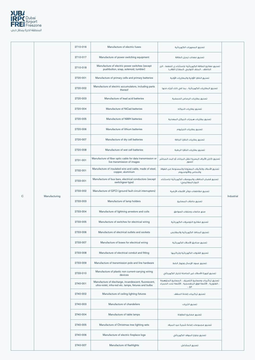

|   |               | 2710-016 | Manufacture of electric fuses                                                                                  | تصنيع المصهرات الكهربائية                                                                                            |            |
|---|---------------|----------|----------------------------------------------------------------------------------------------------------------|----------------------------------------------------------------------------------------------------------------------|------------|
|   |               | 2710-017 | Manufacture of power switching equipment                                                                       | تصنيع معدات تبديل الطاقة                                                                                             |            |
|   |               | 2710-018 | Manufacture of electric power switches (except<br>pushbutton, snap, solenoid, tumbler)                         | تصنيع مفاتيح الطاقة الكهربائية (باستثناء زر الضفط ، الزر<br>الخاطف ، الملف اللولبي ،المفتاح القلاب)                  |            |
|   |               | 2720-001 | Manufacture of primary cells and primary batteries                                                             | تصنيع الخلايا الأولية والبطاريات الأولية                                                                             |            |
|   |               | 2720-002 | Manufacture of electric accumulators, including parts<br>thereof                                               | تصنيع البطاريات الكهربائية ، بما فى ذلك أجزاء منها                                                                   |            |
|   |               | 2720-003 | Manufacture of lead acid batteries                                                                             | تصنيع بطاريات الرصاص الحمضية                                                                                         |            |
|   |               | 2720-004 | Manufacture of NiCad batteries                                                                                 | تصنيع بطاريات النبكاد                                                                                                |            |
|   |               | 2720-005 | Manufacture of NiMH batteries                                                                                  | تصنيع بطاريات هيدرات النيكل المعدنية                                                                                 |            |
|   |               | 2720-006 | Manufacture of lithium batteries                                                                               | تصنيع بطاريات الليثيوم                                                                                               |            |
|   |               | 2720-007 | Manufacture of dry cell batteries                                                                              | تصنيع بطاريات الخلايا الجافة                                                                                         |            |
|   |               | 2720-008 | Manufacture of wet cell batteries                                                                              | تصنيع بطاريات الخلايا الرطبة                                                                                         |            |
|   |               | 2731-001 | Manufacture of fiber optic cable for data transmission or<br>live transmission of images                       | تصنيع كابل الألياف البصرية لنقل البيانات أو البث المباشر<br>للصور                                                    |            |
|   |               | 2732-001 | Manufacture of insulated wire and cable, made of steel,<br>copper, aluminium                                   | تصنيع الأسلاك والكبلات المعزولة والمصنوعة من الفولاذ<br>والنحاس والألومنيوم                                          |            |
|   |               | 2733-001 | Manufacture of bus bars, electrical conductors (except<br>switchgear-type)                                     | تصنيع قضبان الحافلات والموصلات الكهربائية (باستثناء<br>النوع المفاتيحى)                                              |            |
| C | Manufacturing | 2733-002 | Manufacture of GFCI (ground fault circuit interrupters)                                                        | تصنيع مقاطعات دوائر الأخطاء الأرضية                                                                                  | Industrial |
|   |               | 2733-003 | Manufacture of lamp holders                                                                                    | تصنيع حاملات المصابيح                                                                                                |            |
|   |               | 2733-004 | Manufacture of lightning arrestors and coils                                                                   | صنع مانعات وملفات الصواعق                                                                                            |            |
|   |               | 2733-005 | Manufacture of switches for electrical wiring                                                                  | تصنيع مفاتيح التوصيلات الكهربائية                                                                                    |            |
|   |               | 2733-006 | Manufacture of electrical outlets and sockets                                                                  | تصنيع المنافذ الكهربائية والمقابس                                                                                    |            |
|   |               | 2733-007 | Manufacture of boxes for electrical wiring                                                                     | تصنيع صناديق الأسلاك الكهربائية                                                                                      |            |
|   |               | 2733-008 | Manufacture of electrical conduit and fitting                                                                  | تصنيع القنوات الكهربائية وتركيبها                                                                                    |            |
|   |               | 2733-009 | Manufacture of transmission pole and line hardware                                                             | تصنيع عمود الإرسال وجهاز الخط                                                                                        |            |
|   |               | 2733-010 | Manufacture of plastic non current-carrying wiring<br>devices                                                  | تصنيع أجهزة الأسلاك غير الحاملة للتيار الكهربائى                                                                     |            |
|   |               | 2740-001 | Manufacture of discharge, incandescent, fluorescent,<br>ultra-violet, infra-red etc. lamps, fixtures and bulbs | تصنيع تركيبات ومصابيح التصريف ، المصابيح المتوهجة<br>، الفلورية ، الأشعة فوق البنفسجية ، الأشعة تحت الحمراء<br>الخ ، |            |
|   |               | 2740-002 | Manufacture of ceiling lighting fixtures                                                                       | تصنيع تركيبات إضاءة السقف                                                                                            |            |
|   |               | 2740-003 | Manufacture of chandeliers                                                                                     | تصنيع الثريات                                                                                                        |            |
|   |               | 2740-004 | Manufacture of table lamps                                                                                     | تصنيع مصابيح الطاولة                                                                                                 |            |
|   |               | 2740-005 | Manufacture of Christmas tree lighting sets                                                                    | تصنيع مجموعات إضاءة شجرة عيد الميلاد                                                                                 |            |
|   |               | 2740-006 | Manufacture of electric fireplace logs                                                                         | تصنيع جذوع الموقد الكهربائى                                                                                          |            |
|   |               | 2740-007 | Manufacture of flashlights                                                                                     | تصنيع المشاعل                                                                                                        |            |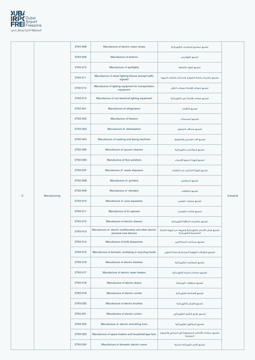

|           |               | 2740-008 | Manufacture of electric insect lamps                                             | تصنيع مصابيح الحشرات الكهربائية                                            |            |
|-----------|---------------|----------|----------------------------------------------------------------------------------|----------------------------------------------------------------------------|------------|
|           |               | 2740-009 | Manufacture of lanterns                                                          | تصنيع الفوائيس                                                             |            |
|           |               | 2740-010 | Manufacture of spotlights                                                        | تصنيع أضواء كاشفة                                                          |            |
|           |               | 2740-011 | Manufacture of street lighting fixtures (except traffic<br>signals)              | تصنيع تركيبات إضاءة الشوارع (باستثناء إشارات المرور)                       |            |
|           |               | 2740-012 | Manufacture of lighting equipment for transportation<br>equipment                | تصنيع معدات الإضاءة لمعدات النقل                                           |            |
|           |               | 2740-013 | Manufacture of non-electrical lighting equipment                                 | تصنيع معدات الإضاءة غير الكهربائية                                         |            |
|           |               | 2750-001 | Manufacture of refrigerators                                                     | تصنيع الثلاجات                                                             |            |
|           |               | 2750-002 | Manufacture of freezers                                                          | تصنيع المجمدات                                                             |            |
|           |               | 2750-003 | Manufacture of dishwashers                                                       | تصنيع غسالات الصحون                                                        |            |
|           |               | 2750-004 | Manufacture of washing and drying machines                                       | تصنيع آلات الغسيل والتجفيف                                                 |            |
|           |               | 2750-005 | Manufacture of vacuum cleaners                                                   | تصنيع المكانس الكهربائية                                                   |            |
|           |               | 2750-006 | Manufacture of floor polishers                                                   | تصنيع أجهزة تلميع الأرضيات                                                 |            |
|           |               | 2750-007 | Manufacture of waste disposers                                                   | تصنيع أجهزة التخلص من النفايات                                             |            |
|           |               | 2750-008 | Manufacture of grinders                                                          | تصنيع المطاحن                                                              |            |
| ${\bf C}$ |               | 2750-009 | Manufacture of blenders                                                          | تصنيع الخلاطات                                                             | Industrial |
|           | Manufacturing | 2750-010 | Manufacture of juice squeezers                                                   | تصنيع عصارات العصير                                                        |            |
|           |               | 2750-011 | Manufacture of tin openers                                                       | تصنيع فتاحات القصدير                                                       |            |
|           |               | 2750-012 | Manufacture of electric shavers                                                  | تصنيع ماكينات الحلاقة الكهربائية                                           |            |
|           |               | 2750-013 | Manufacture of electric toothbrushes and other electric<br>personal care devices | تصنيع فرش الأسنان الكهربائية وغيرها من أجهزة العناية<br>الشخصية الكهربائية |            |
|           |               | 2750-014 | Manufacture of knife sharpeners                                                  | تصنيع مسنِّنات السكاكين                                                    |            |
|           |               | 2750-015 | Manufacture of domestic ventilating or recycling hoods                           | تصنيع شفاطات التهوية المنزلية أو إعادة التدوير                             |            |
|           |               | 2750-016 | Manufacture of electric blankets                                                 | تصنيع البطانيات الكهربائية                                                 |            |

| 2750-017 | Manufacture of electric water heaters                | تصنيع سخانات المياه الكهربائية                                |
|----------|------------------------------------------------------|---------------------------------------------------------------|
| 2750-018 | Manufacture of electric dryers                       | تصنيع مجففات كهربائية                                         |
| 2750-019 | Manufacture of electric combs                        | تصنيع الامشاط الكهربائية                                      |
| 2750-020 | Manufacture of electric brushes                      | تصنيع الفرش الكهربائية                                        |
| 2750-021 | Manufacture of electric curlers                      | تصنيع بكرو الشّعر الكهربائي                                   |
| 2750-022 | Manufacture of electric smoothing irons              | تصنيع المكاوى الكهربائية                                      |
| 2750-023 | Manufacture of space heaters and household-type fans | تصنيع سخانات الأماكن المحصورة في المباني والمراوح<br>المنزلية |
| 2750-024 | Manufacture of domestic electric ovens               | تصنيع أفران كهربائية منزلية                                   |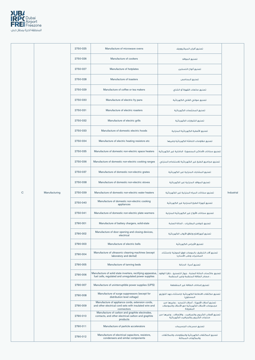

|             |               | 2750-025 | Manufacture of microwave ovens                                                | تصنيع أفران الميكروويف                                                      |            |
|-------------|---------------|----------|-------------------------------------------------------------------------------|-----------------------------------------------------------------------------|------------|
|             |               | 2750-026 | Manufacture of cookers                                                        | تصنيع المواقد                                                               |            |
|             |               | 2750-027 | Manufacture of hotplates                                                      | تصنيع ألواح التسخين                                                         |            |
|             |               | 2750-028 | Manufacture of toasters                                                       | تصنيع المحامص                                                               |            |
|             |               | 2750-029 | Manufacture of coffee or tea makers                                           | تصنيع صانعات القهوة أو الشاي                                                |            |
|             |               | 2750-030 | Manufacture of electric fry pans                                              | تصنيع صوانى القلى الكهربائية                                                |            |
|             |               | 2750-031 | Manufacture of electric roasters                                              | تصنيع المحمِّصات الكهربائية                                                 |            |
|             |               | 2750-032 | Manufacture of electric grills                                                | تصنيع الشوايات الكهربائية                                                   |            |
|             |               | 2750-033 | Manufacture of domestic electric hoods                                        | تصنيع الأغطية الكهربائية المنزلية                                           |            |
|             |               | 2750-034 | Manufacture of electric heating resistors etc                                 | تصنيع مقاومات التدفئة الكهربائية وغيرها                                     |            |
|             |               | 2750-035 | Manufacture of domestic non-electric space heaters                            | تصنيع سخانات الأماكن المحصورة الداخلية غير الكهربائية                       |            |
|             |               | 2750-036 | Manufacture of domestic non-electric cooking ranges                           | تصنيع مجاميع الطبخ غير الكهربائية للاستخدام المنزلى                         |            |
|             |               | 2750-037 | Manufacture of domestic non-electric grates                                   | تصنيع المشابك المنزلية غير الكهربائية                                       |            |
|             |               | 2750-038 | Manufacture of domestic non-electric stoves                                   | تصنيع المواقد المنزلية غير الكهربائية                                       |            |
| $\mathbf C$ | Manufacturing | 2750-039 | Manufacture of domestic non-electric water heaters                            | تصنيع سخانات المياه المنزلية غير الكهربائية                                 | Industrial |
|             |               | 2750-040 | Manufacture of domestic non-electric cooking<br>appliances                    | تصنيع أجهزة الطبخ المنزلية غير الكهربائية                                   |            |
|             |               | 2750-041 | Manufacture of domestic non-electric plate warmers                            | تصنيع سخانات الألواح غير الكهربائية المنزلية                                |            |
|             |               | 2790-001 | Manufacture of battery chargers, solid-state                                  | تصنيع شواحن البطاريات ، الحالة الصلبة                                       |            |
|             |               | 2790-002 | Manufacture of door opening and closing devices,<br>electrical                | تصنيع أجهزةفتح وإغلاق الأبواب الكهربائية                                    |            |
|             |               | 2790-003 | Manufacture of electric bells                                                 | تصنيع الأجراس الكهربائية                                                    |            |
|             |               | 2790-004 | Manufacture of ultrasonic cleaning machines (except<br>laboratory and dental) | تصنيع آلات التنظيف بالموجات فوق الصوتية (باستثناء<br>المختبرات وطب الأسنان) |            |
|             |               | 2790-005 | Manufacture of tanning beds                                                   | تصنيع أسرة الدباغة                                                          |            |
|             |               |          |                                                                               |                                                                             |            |

| 2790-006 | Manufacture of solid state inverters, rectifying apparatus,<br>fuel cells, regulated and unregulated power supplies      | تصنيع عاكسات الحالة الصلبة ، جهاز التصحيح ، خلايا الوقود<br>، مصادر الطاقة المنظمة وغير المنظمة                |
|----------|--------------------------------------------------------------------------------------------------------------------------|----------------------------------------------------------------------------------------------------------------|
| 2790-007 | Manufacture of uninterruptible power supplies (UPS)                                                                      | تصنيع إمدادات الطاقة غير المنقطعة                                                                              |
| 2790-008 | Manufacture of surge suppressors (except for<br>distribution level voltage)                                              | تصنيع مكثفات الاندفاعة الكهربائية (باستثناء حهد التوزيع<br>المستوى)                                            |
| 2790-009 | Manufacture of appliance cords, extension cords,<br>and other electrical cord sets with insulated wire and<br>connectors | تصنيع أسلاك الأجهزة ، أسلاك التمديد ، وغيرها من<br>مجموعات الأسلاك الكهربائية مع الأسلاك والموصلات<br>المعزولة |
| 2790-010 | Manufacture of carbon and graphite electrodes,<br>contacts, and other electrical carbon and graphite<br>products         | تصنيع أقطاب الكربون والجرافيت ، والاتصالات ، وغيرها من<br>منتحات الكربون والحرافيت الكهربائية                  |
| 2790-011 | Manufacture of particle accelerators                                                                                     | تصنيع مسرعات الحسيمات                                                                                          |
| 2790-012 | Manufacture of electrical capacitors, resistors,<br>condensers and similar components                                    | تصنيع المكثفات الكهربائية والمقاومات والمكثفات<br>والمكونات المماثلة                                           |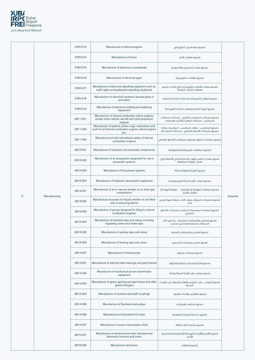

|   |               | 2790-013 | Manufacture of electromagnets                                                                                             | تصنيع المغنطيس الكهربائى                                                                            |            |
|---|---------------|----------|---------------------------------------------------------------------------------------------------------------------------|-----------------------------------------------------------------------------------------------------|------------|
|   |               | 2790-014 | Manufacture of sirens                                                                                                     | تصنيع صفارات الانذار                                                                                |            |
|   |               | 2790-015 | Manufacture of electronic scoreboards                                                                                     | تصنيع لوحات التسحيل الالكترونية                                                                     |            |
|   |               | 2790-016 | Manufacture of electrical signs                                                                                           | تصنيع العلامات الكهربائية                                                                           |            |
|   |               | 2790-017 | Manufacture of electrical signalling equipment such as<br>traffic lights and pedestrian signalling equipment              | تصنيع معدات الإشارات الكهربائية مثل إشارات المرور<br>ومعدات إشارات المشاة                           |            |
|   |               | 2790-018 | Manufacture of electrical insulators (except glass or<br>porcelain)                                                       | تصنيع العوازل الكهربائية (باستثناء الزجاج أو الخزف)                                                 |            |
|   |               | 2790-019 | Manufacture of electrical welding and soldering<br>equipment                                                              | تصنيع أحهزة اللحام ومعدات اللحام الكهربائية                                                         |            |
|   |               | 2811-001 | Manufacture of internal combustion piston engines,<br>except motor vehicle, aircraft and cycle propulsion<br>engines      | تصنيع محركات المكبس الداخلى ، باستثناء محركات<br>المركبات ، محركات الدفع للطائرات والدراجات         |            |
|   |               | 2811-002 | Manufacture of pistons, piston rings, carburetors and<br>such for all internal combustion engines, diesel engines<br>etc. | تصنيع المكابس ، حلقات المكبس ، المكربنات وكذا<br>لجميع محركات الاحتراق الداخلي ، محركات الديزل الخ. |            |
|   |               | 2811-003 | Manufacture of inlet and exhaust valves of internal<br>combustion engines                                                 | تصنيع صمامات الدخول والخروج لمحركات الاحتراق الداخلي                                                |            |
|   |               | 2812-001 | Manufacture of hydraulic and pneumatic components                                                                         | تصنيع المكونات الهيدر وليكية والهوائية                                                              |            |
|   |               | 2812-002 | Manufacture of air preparation equipment for use in<br>pneumatic systems                                                  | تصنيع معدات تحضير الهواء للاستخدام في الأنظمة التي<br>تعمل بالهواء المضغوط                          |            |
|   |               | 2812-003 | Manufacture of fluid power systems                                                                                        | تصنيع أنظمة الطاقة السائلة                                                                          |            |
|   |               | 2812-004 | Manufacture of hydraulic transmission equipment                                                                           | تصنيع معدات نقل الحركة الهيدروليكية                                                                 |            |
|   |               | 2813-001 | Manufacture of air or vacuum pumps, air or other gas<br>compressors                                                       | تصنيع المضخات الهوائية أو الفراغية ،    ضواغط الهواء أو<br>الفازات الأخرى                           |            |
| C | Manufacturing | 2813-002 | Manufacture of pumps for liquids whether or not fitted<br>with a measuring device                                         | تصنيع المضخات للسوائل سواء كانت مزودة بجهاز قياس<br>أص لا                                           | Industrial |
|   |               | 2813-003 | Manufacture of pumps designed for fitting to internal<br>combustion engines:                                              | تصنيع المضخات المصممة للتركيب لمحركات الاحتراق<br>الداخلي                                           |            |
|   |               | 2813-004 | Manufacture of industrial taps and valves, including<br>regulating valves and intake taps                                 | تصنيع الصنابير والصمامات الصناعية ، بما في ذلك<br>الصمامات المنظمة وصنابير السحب                    |            |
|   |               | 2813-005 | Manufacture of sanitary taps and valves                                                                                   | تصنيع الصنابير والصمامات الصحية                                                                     |            |
|   |               | 2813-006 | Manufacture of heating taps and valves                                                                                    | تصنيع صنابير وصمامات التسخين                                                                        |            |
|   |               | 2813-007 | Manufacture of hand pumps                                                                                                 | تصنيع المضخات البدوية                                                                               |            |
|   |               | 2814-001 | Manufacture of ball and roller bearings and parts thereof                                                                 | تصنيع الكرة والمحامل الدوارة وأجزائها                                                               |            |

| Manufacture of mechanical power transmission<br>2814-002<br>equipment |                                                                                     | تصنيع معدات نقل القدرة الميكانيكية                              |
|-----------------------------------------------------------------------|-------------------------------------------------------------------------------------|-----------------------------------------------------------------|
| 2814-003                                                              | Manufacture of gears, gearing and gear boxes and other<br>speed changers            | تصنيع التروس ، علب التروس والعتاد وغيرها من مغيرات<br>السرعة    |
| 2814-004                                                              | Manufacture of clutches and shaft couplings                                         | تصنيع القوايض وقارنات العمود                                    |
| 2814-005                                                              | Manufacture of flywheels and pulleys                                                | تصنيع الحذافات والبكرات                                         |
| 2814-006                                                              | Manufacture of articulated link chain                                               | تصنيع سلسلة الوصلة المفصلية                                     |
| 2814-007                                                              | Manufacture of power transmission chain                                             | تصنيع سلسلة نقل الطاقة                                          |
| 2815-001                                                              | Manufacture of electrical and other industrial and<br>laboratory furnaces and ovens | تصنيع الأفران والأفران الكهربائية والمعملية والمخبرية<br>الأخرى |
| 2815-002                                                              | Manufacture of burners                                                              | تصنيع الشعلات                                                   |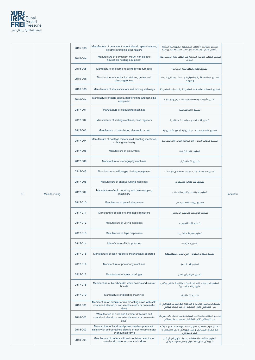

|             |               | 2815-003 | Manufacture of permanent mount electric space heaters,<br>electric swimming pool heaters                                             | تصنيع سخانات الأماكن المحصورة الكهربائية المثبتة<br>بشكل دائم ، وسخانات حمامات السباحة الكهربائية                    |            |
|-------------|---------------|----------|--------------------------------------------------------------------------------------------------------------------------------------|----------------------------------------------------------------------------------------------------------------------|------------|
|             |               | 2815-004 | Manufacture of permanent mount non-electric<br>household heating equipment                                                           | تصنيع معدات التدفئة المنزلية غير الكهربائية المثبتة على<br>الحواص                                                    |            |
|             |               | 2815-005 | Manufacture of electric household-type furnaces                                                                                      | تصنيع الأفران الكهربائية المنزلية                                                                                    |            |
|             |               | 2815-006 | Manufacture of mechanical stokers, grates, ash<br>dischargers etc.                                                                   | تصنيع الوقادات الألية، وقضبان المباعدة ، ومخارج الرماد<br>وغيرها.                                                    |            |
|             |               | 2816-003 | Manufacture of lifts, escalators and moving walkways                                                                                 | تصنيع المصاعد والسلالم المتحركة والممرات المتحركة                                                                    |            |
|             |               | 2816-004 | Manufacture of parts specialized for lifting and handling<br>equipment                                                               | تصنيع الأجزاء المتخصصة لمعدات الرفع والمناولة                                                                        |            |
|             |               | 2817-001 | Manufacture of calculating machines                                                                                                  | تصنيع الآلات الحاسبة                                                                                                 |            |
|             |               | 2817-002 | Manufacture of adding machines, cash registers                                                                                       | تصنيع آلات الجمع ، والسجلات النقدية                                                                                  |            |
|             |               | 2817-003 | Manufacture of calculators, electronic or not                                                                                        | تصنيع الآلات الحاسبة ، الإلكترونية أو غير الألكترونية                                                                |            |
|             |               | 2817-004 | Manufacture of postage meters, mail handling machines,<br>collating machinery                                                        | تصنيع عدادات البريد ، آلات مناولة البريد، آلات التجميع                                                               |            |
|             |               | 2817-005 | Manufacture of typewriters                                                                                                           | تصنيع الآلات الكاتبة                                                                                                 |            |
|             |               | 2817-006 | Manufacture of stenography machines                                                                                                  | تصنيع آلات الاختزال                                                                                                  |            |
|             |               | 2817-007 | Manufacture of office-type binding equipment                                                                                         | تصنيع معدات التجليد المستخدمة فى المكاتب                                                                             |            |
|             |               | 2817-008 | Manufacture of cheque writing machines                                                                                               | تصنيع آلات كتابة الشيكات                                                                                             |            |
| $\mathbf C$ | Manufacturing | 2817-009 | Manufacture of coin counting and coin wrapping<br>machinery                                                                          | تصنيع أجهزة عد وتغليف العملات                                                                                        | Industrial |
|             |               | 2817-010 | Manufacture of pencil sharpeners                                                                                                     | تصنيع برايات قلم الرصاص                                                                                              |            |
|             |               | 2817-011 | Manufacture of staplers and staple removers                                                                                          | تصنيع الدباسات ومزيلات الدبابيس                                                                                      |            |
|             |               | 2817-012 | Manufacture of voting machines                                                                                                       | تصنيع آلات التصويت                                                                                                   |            |
|             |               | 2817-013 | Manufacture of tape dispensers                                                                                                       | تصنيع موزعات الشريط                                                                                                  |            |
|             |               | 2817-014 | Manufacture of hole punches                                                                                                          | تصنيع الخرّامات                                                                                                      |            |
|             |               | 2817-015 | Manufacture of cash registers, mechanically operated                                                                                 | تصنيع سجلات النقدية ، التى تعمل ميكانيكيا                                                                            |            |
|             |               | 2817-016 | Manufacture of photocopy machines                                                                                                    | تصنيع آلات النسخ                                                                                                     |            |
|             |               | 2817-017 | Manufacture of toner cartridges                                                                                                      | تصنيع خراطيش الحبر                                                                                                   |            |
|             |               | 2817-018 | Manufacture of blackboards; white boards and marker<br>boards                                                                        | تصنيع السبورات. اللوحات البيضاء واللوحات التي يكتب<br>عليها بأقلام السبورة                                           |            |
|             |               | 2817-019 | Manufacture of dictating machines                                                                                                    | تصنيع آلات الاملاء                                                                                                   |            |
|             |               | 2818-001 | Manufacture of circular or reciprocating saws with self-<br>contained electric or non-electric motor or pneumatic<br>drive           | تصنيع المناشير الدائرية أو الترددية مع محرك كهربائي أو<br>غير كهربائي ذاتي التشغيل أو مع محرك هوائي                  |            |
|             |               | 2818-002 | "Manufacture of drills and hammer drills with self-<br>contained electric or non-electric motor or pneumatic<br>drive"               | تصنيع المثاقب والمثاقب المطرقية مع محرك كهربائى أو<br>غير كهربائي ذاتي التشغيل أو مع محرك هوائي                      |            |
|             |               | 2818-003 | Manufacture of hand held power sanders pneumatic<br>nailers with self-contained electric or non-electric motor<br>or pneumatic drive | تصنيع جهاز الصنفرة الكهربائية اليدوية بمسامير هوائية<br>مع محرك كهربائي أو غير كهربائي ذاتي التشغيل أو<br>محرك هوائي |            |
|             |               | 2818-004 | Manufacture of buffers with self-contained electric or<br>non-electric motor or pneumatic drive                                      | تصنيع مخففات الاصطدام بمحرك كهربائى أو غير<br>كهربائي ذاتي التشغيل أو مع محرك هوائي                                  |            |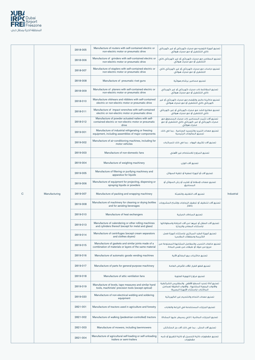

|              |               | 2818-005 | Manufacture of routers with self-contained electric or<br>non-electric motor or pneumatic drive                     | تصنيع أجهزة التوجيه مع محرك كهربائي أو غير كهربائي<br>ذاتي التشغيل أو مع محرك هُوائي                          |            |
|--------------|---------------|----------|---------------------------------------------------------------------------------------------------------------------|---------------------------------------------------------------------------------------------------------------|------------|
|              |               | 2818-006 | Manufacture of grinders with self-contained electric or<br>non-electric motor or pneumatic drive                    | تصنيع المطاحن مع محرك كهربائي أو غير كهربائي ذاتي<br>التشغيل أو مع محركٌ هوائي                                |            |
|              |               | 2818-007 | Manufacture of staplers with self-contained electric or<br>non-electric motor or pneumatic drive                    | تصنيع دباسات مع محرك كهربائي أو غير كهربائي ذاتي<br>التشغيل أو مع محرك هوائي                                  |            |
|              |               | 2818-008 | Manufacture of pneumatic rivet guns                                                                                 | تصنيع مسامير برشام هوائية                                                                                     |            |
|              |               | 2818-009 | Manufacture of planers with self-contained electric or<br>non-electric motor or pneumatic drive                     | تصنيع المقاشط ذات محرك كهربائي أو غير كهربائى<br>ذاتي التشغيل أو مع محرك هوائي                                |            |
|              |               | 2818-010 | Manufacture of shears and nibblers with self-contained<br>electric or non-electric motor or pneumatic drive         | تصنيع ماكينة حالجز والقضم مع محرك كهربائى أو غير<br>كهربائي ذاتي التشغيل أو مع محرك هوائي                     |            |
|              |               | 2818-011 | Manufacture of impact wrenches with self-contained<br>electric or non-electric motor or pneumatic drive             | تصنيع مفاتيع الشد مع محرك كهربائي أو غير كهربائي<br>ذاتي التشغيل أو مع محرك هوائي                             |            |
|              |               | 2818-012 | Manufacture of powder actuated nailers with self-<br>contained electric or non-electric motor or pneumatic<br>drive | تصنيع آلات تثبيت المسامير ذات محرك المسحوق مع<br>محرك كهربائي أو غير كهربائي ذاتي التشغيل أو مع<br>محرك هوائي |            |
|              |               | 2819-001 | Manufacture of industrial refrigerating or freezing<br>equipment, including assemblies of major components          | تصنيع معدات التبريد والتجميد الصناعية ، بما في ذلك<br>تجميع المكونات الرئيسية                                 |            |
|              |               | 2819-002 | Manufacture of air-conditioning machines, including for<br>motor vehicles                                           | تصنيع آلات تكييف الهواء ، بما فى ذلك للمركبات                                                                 |            |
|              |               | 2819-003 | Manufacture of non-domestic fans                                                                                    | تصنيع المراوح للاستخداه غير الأهلى                                                                            |            |
|              |               | 2819-004 | Manufacture of weighing machinery                                                                                   | تصنيع آلات الوزن                                                                                              |            |
|              |               | 2819-005 | Manufacture of filtering or purifying machinery and<br>apparatus for liquids                                        | تصنيع آلات أو أحهزة تصفية أو تنقية السوائل                                                                    |            |
|              |               | 2819-006 | Manufacture of equipment for projecting, dispersing or<br>spraying liquids or powders                               | تصنيع معدات لإسقاط أو تفتيت أو رش السوائل أو<br>المساحيق                                                      |            |
| $\mathsf{C}$ | Manufacturing | 2819-007 | Manufacture of packing and wrapping machinery                                                                       | تصنيع آلات التغليف والتعيثة                                                                                   | Industrial |
|              |               | 2819-008 | Manufacture of machinery for cleaning or drying bottles<br>and for aerating beverages                               | تصنيع آلات لتنظيف أو تجفيف الزجاجات وإشباع المشروبات<br>بالفاز                                                |            |
|              |               | 2819-010 | Manufacture of heat exchangers                                                                                      | تصنيع المبادلات الحرارية                                                                                      |            |
|              |               | 2819-013 | Manufacture of calendering or other rolling machines<br>and cylinders thereof (except for metal and glass)          | تصنيع آلات الصقل أو غيرها من آلات الدرفلة واسطواناتها<br>(باستثناء المعادن والزجاج)                           |            |
|              |               | 2819-014 | Manufacture of centrifuges (except cream separators<br>and clothes dryers)                                          | تصنيع أجهزة الطرد المركزى (باستثناء أجهزة فصل<br>الكريمة ومجففات الملابس)                                     |            |
|              |               | 2819-015 | Manufacture of gaskets and similar joints made of a<br>combination of materials or layers of the same material      | تصنيع مانعات التسرب والمفاصل المشابهة المصنوعة من<br>مزيع من مواد أو طبقات من نفس المادة                      |            |
|              |               | 2819-016 | Manufacture of automatic goods vending machines                                                                     | تصنيع ماكينات بيع البضائع الآلية                                                                              |            |
|              |               | 2819-017 | Manufacture of parts for general-purpose machinery                                                                  | تصنيع قطع الفيار للآلات للأغراض العامة                                                                        |            |

| 2819-018 | Manufacture of attic ventilation fans                                                                        | تصنيع مراوح التهوية العلوية                                                                                                                     |
|----------|--------------------------------------------------------------------------------------------------------------|-------------------------------------------------------------------------------------------------------------------------------------------------|
| 2819-019 | Manufacture of levels, tape measures and similar hand<br>tools, machinists' precision tools (except optical) | تصنيع أداة تحديد السطح الأفقى والمقاييس الشرائطية<br>والأدوات اليدوية المشابهة ، والأدوات الدقيقة لعمامل<br>الماكنات (باستثناء الأجهزة البصرية) |
| 2819-020 | Manufacture of non-electrical welding and soldering<br>equipment                                             | اتصنيع معدات اللحام والتلحيم غير الكهربائية                                                                                                     |
| 2821-001 | Manufacture of tractors used in agriculture and forestry                                                     | تصنيع الجرارات المستخدمة في الزراعة والغابات                                                                                                    |
| 2821-002 | Manufacture of walking (pedestrian-controlled) tractors                                                      | تصنيع الجرارات الماشية ( التى يسيطر عليها المشاة)                                                                                               |
| 2821-003 | Manufacture of mowers, including lawnmowers                                                                  | تصنيع آلات الحش ، بما في ذلك آلات جز الحشائش                                                                                                    |
| 2821-004 | Manufacture of agricultural self-loading or self-unloading<br>trailers or semi-trailers                      | اتصنيع مقطورات ذاتية التحميل أو ذاتية التفريغ أو شبه<br>مقطورات                                                                                 |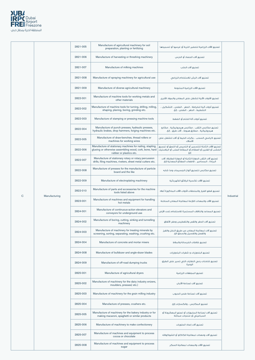

|   |               | 2821-005 | Manufacture of agricultural machinery for soil<br>preparation, planting or fertilizing                                                         | تصنيع الآلات الزراعية لتحضير التربة أو غرسها أو تسميدها                                                                    |                   |
|---|---------------|----------|------------------------------------------------------------------------------------------------------------------------------------------------|----------------------------------------------------------------------------------------------------------------------------|-------------------|
|   |               | 2821-006 | Manufacture of harvesting or threshing machinery                                                                                               | تصنيع آلات الحصاد أو الدرس                                                                                                 |                   |
|   |               | 2821-007 | Manufacture of milking machines                                                                                                                | تصنيع آلات الحلب                                                                                                           |                   |
|   |               | 2821-008 | Manufacture of spraying machinery for agricultural use                                                                                         | تصنيع آلات الرش للاستخدام الزراعى                                                                                          |                   |
|   |               | 2821-009 | Manufacture of diverse agricultural machinery                                                                                                  | تصنيع الآلات الزراعية المتنوعة                                                                                             |                   |
|   |               | 2822-001 | Manufacture of machine tools for working metals and<br>other materials                                                                         | تصنيع الأدوات الآلية للشغل على المعادن والمواد الأخرى                                                                      |                   |
|   |               | 2822-002 | Manufacture of machine tools for turning, drilling, milling,<br>shaping, planing, boring, grinding etc.                                        | تصنيع أدوات آلية للخراطة ، الحفر ، الطحن ، التشكيل ،<br>التخطيط ، الحفر ، الطحن ، إلخ.                                     |                   |
|   |               | 2822-003 | Manufacture of stamping or pressing machine tools                                                                                              | تصنيع أدوات آلة الختم أو الضغط                                                                                             |                   |
|   |               | 2822-004 | Manufacture of punch presses, hydraulic presses,<br>hydraulic brakes, drop hammers, forging machines etc.                                      | تصنيع مكابس الثقب ، مكابس هيدروليكية ، مكابح<br>هيدروليكية ، مطارق هبوط ، آلات طرق ، إلخ.                                  |                   |
|   |               | 2822-005 | Manufacture of draw-benches, thread rollers or<br>machines for working wires                                                                   | تصنيع كراسي السحب ، بكرات الخيط أو آلات للشغل على<br>الأسلاك                                                               |                   |
|   |               | 2822-006 | Manufacture of stationary machines for nailing, stapling,<br>glueing or otherwise assembling wood, cork, bone, hard<br>rubber or plastics etc. | تصنيع الآلات الثابتة للتسمير أو التدبيس أو اللصق أو تجميع<br>الخشب أو الفلين أو العظام أو المطاط الصلب أو البلاستيك<br>إلخ |                   |
|   |               | 2822-007 | Manufacture of stationary rotary or rotary percussion<br>drills, filing machines, riveters, sheet metal cutters etc.                           | تصنيع آلات الثقب الدوارة الثابتة أو الدوارة الطارقة، آلات<br>البرادة ، المسامير ، قاطعات الصفائح المعدنية إلخ.             |                   |
|   |               | 2822-008 | Manufacture of presses for the manufacture of particle<br>board and the like                                                                   | تصنيع مكابس لتصنيع ألواح الجسيمات وما شابه                                                                                 |                   |
|   |               | 2822-009 | Manufacture of electroplating machinery                                                                                                        | تصنيع الآلات تكسية الرقائق الكهربائية                                                                                      |                   |
|   |               | 2822-010 | Manufacture of parts and accessories for the machine<br>tools listed above                                                                     | تصنيع قطع الغبار والملحقات لأدوات الآلات المذكورة أعلاه                                                                    |                   |
| C | Manufacturing | 2823-001 | Manufacture of machines and equipment for handling<br>hot metals                                                                               | تصنيع الآلات والمعدات اللازمة لمعالحة المعادن الساخنة                                                                      | <b>Industrial</b> |
|   |               | 2824-001 | Manufacture of continuous-action elevators and<br>conveyors for underground use                                                                | تصنيع المصاعد والناقلات المستمرة للاستخدام تحت الأرض                                                                       |                   |
|   |               | 2824-002 | Manufacture of boring, cutting, sinking and tunnelling<br>machinery                                                                            | تصنيع آلات الحفر والقص والتغطيس وحفر الأنفاق                                                                               |                   |
|   |               | 2824-003 | Manufacture of machinery for treating minerals by<br>screening, sorting, separating, washing, crushing etc.                                    | تصنيع آلات لمعالجة المعادن عن طريق النخل والفرز<br>والفصل والغسيل والسحق الخ.                                              |                   |
|   |               | 2824-004 | Manufacture of concrete and mortar mixers                                                                                                      | تصنيع خلاطات الخرسانة والملاط                                                                                              |                   |
|   |               | 2824-008 | Manufacture of bulldozer and angle-dozer blades                                                                                                | تصنيع البلدوزرات واشفرات البلدوزرات                                                                                        |                   |
|   |               | 2824-009 | Manufacture of off-road dumping trucks                                                                                                         | تصنيع شاحنات رمي النفايات التي تسير على الطرق<br>الوعرة                                                                    |                   |

| 2825-001 | Manufacture of agricultural dryers                                                                        | تصنيع المحففات الزراعية                                                        |
|----------|-----------------------------------------------------------------------------------------------------------|--------------------------------------------------------------------------------|
| 2825-002 | Manufacture of machinery for the dairy industry enizers,<br>moulders, presses) etc.)                      | تصنيع آلات لصناعة الأليان                                                      |
| 2825-003 | Manufacture of machinery for the grain milling industry                                                   | تصنيع آلات لصناعة طحن الحيوب                                                   |
| 2825-004 | Manufacture of presses, crushers etc.                                                                     | تصنيع المكايس ، والكسارات إلخ.                                                 |
| 2825-005 | Manufacture of machinery for the bakery industry or for<br>making macaroni, spaghetti or similar products | تصنيع آلات لصناعة المخبوزات أو لصنع المعكرونة أو<br>السباغيتي أو منتجات مماثلة |
| 2825-006 | Manufacture of machinery to make confectionery                                                            | اتصنيع آلات إعداد الحلويات                                                     |
| 2825-007 | Manufacture of machines and equipment to process<br>cocoa or chocolate                                    | اتصنيع آلات ومعدات لمعالجة الكاكاو أو الشوكولاته                               |
| 2825-008 | Manufacture of machines and equipment to process<br>sugar                                                 | تصنيع الآلات والمعدات لمعالحة السكر                                            |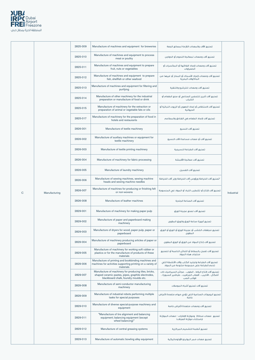

|             |               | 2825-009 | Manufacture of machines and equipment for breweries                                                                                                  | تصنيع الآلات والمعدات اللازمة لمصانع الحعة                                                                                   |            |
|-------------|---------------|----------|------------------------------------------------------------------------------------------------------------------------------------------------------|------------------------------------------------------------------------------------------------------------------------------|------------|
|             |               | 2825-010 | Manufacture of machines and equipment to process<br>meat or poultry                                                                                  | اتصنيع آلات ومعدات لمعالجة اللحوم أو الدواجن                                                                                 |            |
|             |               | 2825-011 | Manufacture of machines and equipment to prepare<br>fruit, nuts or vegetables                                                                        | تصنيع آلات ومعدات لإعداد الفاكهة أو المكسرات أو<br>الخضراوات                                                                 |            |
|             |               | 2825-012 | Manufacture of machines and equipment to prepare<br>fish, shellfish or other seafood                                                                 | تصنيع آلات ومعدات لإعداد الأسماك أو المحار أو غيرها من<br>المأكولات البحرية                                                  |            |
|             |               | 2825-013 | Manufacture of machines and equipment for filtering and<br>purifying                                                                                 | تصنيع آلات ومعدات للترشيح والتنقية                                                                                           |            |
|             |               | 2825-014 | Manufacture of other machinery for the industrial<br>preparation or manufacture of food or drink                                                     | تصنيع آلات أخرى للتحضير الصناعى أو صنع الطعام أو<br>الشراب                                                                   |            |
|             |               | 2825-015 | Manufacture of machinery for the extraction or<br>preparation of animal or vegetable fats or oils                                                    | تصنيع آلات لاستخلاص أو إعداد الدهون أو الزيوت النباتية أو<br>الحبوانية                                                       |            |
|             |               | 2825-017 | Manufacture of machinery for the preparation of food in<br>hotels and restaurants                                                                    | تصنيع آلات لإعداد الطعام في الفنادق والمطاعم                                                                                 |            |
|             |               | 2826-001 | Manufacture of textile machinery                                                                                                                     | تصنيع آلات النسيج                                                                                                            |            |
|             |               | 2826-002 | Manufacture of auxiliary machines or equipment for<br>textile machinery                                                                              | تصنيع آلات أو معدات مساعدة لآلات النسيج                                                                                      |            |
|             |               | 2826-003 | Manufacture of textile printing machinery                                                                                                            | تصنيع آلات الطباعة النسيحية                                                                                                  |            |
|             |               | 2826-004 | Manufacture of machinery for fabric processing                                                                                                       | تصنيع آلات معالجة الأقمشة                                                                                                    |            |
|             |               | 2826-005 | Manufacture of laundry machinery                                                                                                                     | تصنيع آلات الغسيل                                                                                                            |            |
|             |               | 2826-006 | Manufacture of sewing machines, sewing machine<br>heads and sewing machine needles                                                                   | "تصنيع آلات الخياطة ورؤوس آلات الخياطة وإبر آلات الخياطة                                                                     |            |
| $\mathbf C$ | Manufacturing | 2826-007 | Manufacture of machines for producing or finishing felt<br>or non-wovens                                                                             | تصنيع آلات لإنتاج أو تشطيب اللباد أو المواد غى المنسوجة                                                                      | Industrial |
|             |               | 2826-008 | Manufacture of leather machines                                                                                                                      | تصنيع آلات الصناعة الجلدية                                                                                                   |            |
|             |               | 2829-001 | Manufacture of machinery for making paper pulp                                                                                                       | تصنيع آلات لصنع عجينة الورق                                                                                                  |            |
|             |               | 2829-002 | Manufacture of paper and paperboard making<br>machinery                                                                                              | تصنيع أجهزة صناعة الورق والورق المقوى                                                                                        |            |
|             |               | 2829-003 | Manufacture of dryers for wood, paper pulp, paper or<br>paperboard                                                                                   | تصنيع مجففات الخشب أو عجينة الورق أو الورق أو الورق<br>المقوى                                                                |            |
|             |               | 2829-004 | Manufacture of machinery producing articles of paper or<br>paperboard                                                                                | تصنيع آلات إنتاج المواد من الورق أو الورق المقوى                                                                             |            |
|             |               | 2829-005 | Manufacture of machinery for working soft rubber or<br>plastics or for the manufacture of products of these<br>materials                             | تصنيع آلات تعمل بالمطاط أو اللدائن الناعمة أو لتصنيع<br>منتحات هذه المواد                                                    |            |
|             |               | 2829-006 | Manufacture of printing and bookbinding machines and<br>machines for activities supporting printing on a variety of<br>materials                     | تصنيع آلات الطباعة وتجليد الكتب وآلات الأنشطة التى<br>تدعم الطباعة على مجموعة متنوعة من المواد                               |            |
|             |               | 2829-007 | Manufacture of machinery for producing tiles, bricks,<br>shaped ceramic pastes, pipes, graphite electrodes,<br>blackboard chalk, foundry moulds etc. | تصنيع آلات لانتاج البلاط ، الطوب ، عجائن السيراميك ذات<br>أشكال ، الأنابيب ، أقطاب الجرافيت ، طباشير السبورة ،<br>قوالب الصب |            |
|             |               | 2829-008 | Manufacture of semi-conductor manufacturing<br>machinery                                                                                             | تصنيع آلات تصنيع أشباه الموصلات                                                                                              |            |
|             |               | 2829-009 | Manufacture of industrial robots performing multiple<br>tasks for special purposes                                                                   | تصنيع الروبوتات الصناعية التي تؤدي مهام متعددة لأغراض<br>خاصة                                                                |            |
|             |               | 2829-010 | Manufacture of diverse special-purpose machinery and<br>equipment                                                                                    | تصنيع آلات ومعدات متعددة لأغراض خاصة                                                                                         |            |
|             |               | 2829-011 | "Manufacture of tire alignment and balancing<br>equipment; balancing equipment (except<br>wheel balancing)"                                          | تصنيع معدات محاذاة وموازنة الإطارات ؛ معدات الموازنة<br>(باستثناء موازنة العجلات)                                            |            |
|             |               | 2829-012 | Manufacture of central greasing systems                                                                                                              | تصنيع أنظمة التشحيم المركزية                                                                                                 |            |
|             |               | 2829-013 | Manufacture of automatic bowling alley equipment                                                                                                     | تصنيع معدات ممر البولينج الأوتوماتيكية                                                                                       |            |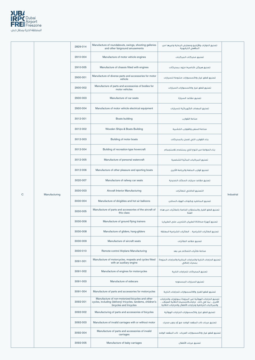

|             |               | 2829-014 | Manufacture of roundabouts, swings, shooting galleries<br>and other fairground amusements                                                | تصنيع الدوارات والأراجيح ومعارض الرماية وغيرها من<br>الملاهي الترفيهية                                                                                                     |            |
|-------------|---------------|----------|------------------------------------------------------------------------------------------------------------------------------------------|----------------------------------------------------------------------------------------------------------------------------------------------------------------------------|------------|
|             |               | 2910-004 | Manufacture of motor vehicle engines                                                                                                     | تصنيع محركات المركبات                                                                                                                                                      |            |
|             |               | 2910-005 | Manufacture of chassis fitted with engines                                                                                               | تصنيع هيكل (شاصيه) مزود بمحركات                                                                                                                                            |            |
|             |               | 2930-001 | Manufacture of diverse parts and accessories for motor<br>vehicle                                                                        | تصنيع قطع غيار واكسسوارات متنوعة للسيارات                                                                                                                                  |            |
|             |               | 2930-002 | Manufacture of parts and accessories of bodies for<br>motor vehicles                                                                     | تصنيع قطع غيار واكسسوارات السيارات                                                                                                                                         |            |
|             |               | 2930-003 | Manufacture of car seats                                                                                                                 | تصنيع مقاعد السيارة                                                                                                                                                        |            |
|             |               | 2930-004 | Manufacture of motor vehicle electrical equipment                                                                                        | تصنيع المعدات الكهربائية للسيارات                                                                                                                                          |            |
|             |               | 3012-001 | <b>Boats building</b>                                                                                                                    | صناعة القوارب                                                                                                                                                              |            |
|             |               | 3012-002 | Wooden Ships & Boats Building                                                                                                            | صناعة السفن والقوارب الخشيبة                                                                                                                                               |            |
|             |               | 3012-003 | Building of motor boats                                                                                                                  | بناء القوارب التي تعمل بالمحركات                                                                                                                                           |            |
|             |               | 3012-004 | Building of recreation-type hovercraft                                                                                                   | بناء الحوامة من النوع الذي يستخدم للاستجمام                                                                                                                                |            |
|             |               | 3012-005 | Manufacture of personal watercraft                                                                                                       | تصنيع المركبات المائية الشخصية                                                                                                                                             |            |
|             |               | 3012-006 | Manufacture of other pleasure and sporting boats                                                                                         | تصنيع قوارب المتعة والرياضة الأخرى                                                                                                                                         |            |
|             |               | 3020-007 | Manufacture of railway car seats                                                                                                         | تصنيع مقاعد سيارات السكك الحديدية                                                                                                                                          |            |
| $\mathsf C$ | Manufacturing | 3030-003 | Aircraft Interior Manufacturing                                                                                                          | التصنيع الداخلى للطائرات                                                                                                                                                   | Industrial |
|             |               | 3030-004 | Manufacture of dirigibles and hot air balloons                                                                                           | تصنيع المناطيه وبالوثات الهواء الساخن                                                                                                                                      |            |
|             |               | 3030-005 | Manufacture of parts and accessories of the aircraft of<br>this class                                                                    | تصنيع قطع الغيار والملحقات الخاصة بالطائرات من هذه<br>الفئة                                                                                                                |            |
|             |               | 3030-006 | Manufacture of ground flying trainers                                                                                                    | تصنيع أجهزة محاكاة الطيران (للتدريب على الطيران)                                                                                                                           |            |
|             |               | 3030-008 | Manufacture of gliders, hang-gliders                                                                                                     | تصنيع الطائرات الشراعية ، الطائرات الشراعية المعلقة                                                                                                                        |            |
|             |               | 3030-009 | Manufacture of aircraft seats                                                                                                            | تصنيع مقاعد الطائرات                                                                                                                                                       |            |
|             |               | 3030-010 | Remote-control Airplane Manufacturing                                                                                                    | صناعة طائرات التحكم عن بعد                                                                                                                                                 |            |
|             |               | 3091-001 | Manufacture of motorcycles, mopeds and cycles fitted<br>with an auxiliary engine                                                         | تصنيع الدراجات النارية والدراجات البخارية والدراجات المزودة<br>بمحرك إضافي                                                                                                 |            |
|             |               | 3091-002 | Manufacture of engines for motorcycles                                                                                                   | تصنيع المحركات للدراجات النارية                                                                                                                                            |            |
|             |               | 3091-003 | Manufacture of sidecars                                                                                                                  | تصنيع السيارات المسحوبه                                                                                                                                                    |            |
|             |               | 3091-004 | Manufacture of parts and accessories for motorcycles                                                                                     | تصنيع قطع الغيار والاكسسوارات للدراجات النارية                                                                                                                             |            |
|             |               | 3092-001 | Manufacture of non-motorized bicycles and other<br>cycles, including (delivery) tricycles, tandems, children's<br>bicycles and tricycles | تصنيع الدراجات الهوائية غير المزودة بموتورات والدراجات<br>الأخرى ، بما فى ذلك دراجات(التسليم) الثلاثية العجلات ،<br>والمركبات الترادفية ودراجات الأطفال والدراجات الثلاثية |            |
|             |               | 3092-002 | Manufacturing of parts and accessories of bicycles                                                                                       | تصنيع قطع غيار واكسسوارات الدراجات الهوائية                                                                                                                                |            |
|             |               | 3092-003 | Manufacture of invalid carriages with or without motor                                                                                   | تصنيع عربات ذات المقعد الواحد مع أو بدون محرك                                                                                                                              |            |
|             |               | 3092-004 | Manufacture of parts and accessories of invalid<br>carriages                                                                             | تصنيع قطع غيار واكسسوارات العربات ذات المقعد الواحد                                                                                                                        |            |
|             |               | 3092-005 | Manufacture of baby carriages                                                                                                            | تصنيع عربات الأطفال                                                                                                                                                        |            |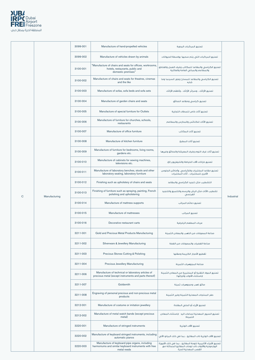

|            | 3099-001 | Manufacture of hand-propelled vehicles                                                                            | تصنيع المركبات اليدوية                                                                   |            |
|------------|----------|-------------------------------------------------------------------------------------------------------------------|------------------------------------------------------------------------------------------|------------|
|            | 3099-002 | Manufacture of vehicles drawn by animals                                                                          | تصنيع المركبات التى يتم سحبها بواسطة الحيوانات                                           |            |
|            | 3100-001 | "Manufacture of chairs and seats for offices, workrooms,<br>hotels, restaurants, public and<br>domestic premises" | تصنيع الكراسى والمقاعد للمكاتب وغرف العمل والفنادق<br>والمطاعم والمبائي العامة والعائلية |            |
|            | 3100-002 | Manufacture of chairs and seats for theatres, cinemas<br>and the like                                             | تصنيع الكراسي والمقاعد للمسارح ودور السينما وما<br>شابه                                  |            |
|            | 3100-003 | Manufacture of sofas, sofa beds and sofa sets                                                                     | تصنيع الأرائك ، وسرائر الأرائك ، وأطقم الأرائك                                           |            |
|            | 3100-004 | Manufacture of garden chairs and seats                                                                            | تصنيع كراسى ومقاعد الحدائق                                                               |            |
|            | 3100-005 | Manufacture of special furniture for Outlets                                                                      | تصنيع أثاث خاص للمحلات التجارية                                                          |            |
|            | 3100-006 | Manufacture of furniture for churches, schools,<br>restaurants                                                    | تصنيع الأثاث للكنائس والمدارس والمطاعم                                                   |            |
|            | 3100-007 | Manufacture of office furniture                                                                                   | تصنيع أثاث المكاتب                                                                       |            |
|            | 3100-008 | Manufacture of kitchen furniture                                                                                  | تصنيع أثاث المطبخ                                                                        |            |
|            | 3100-009 | Manufacture of furniture for bedrooms, living rooms,<br>gardens etc.                                              | تصنيع أثاث غرف النوم وغرف المعيشة والحدائق وغيرها                                        |            |
|            | 3100-010 | Manufacture of cabinets for sewing machines,<br>televisions etc.                                                  | تصنيع خزانات لآلات الخياطة والتليفزيون إلخ.                                              |            |
|            | 3100-011 | Manufacture of laboratory benches, stools and other<br>laboratory seating, laboratory furniture                   | تصنيع مقاعد المختبرات والكراسي ،وأماكن الجلوس<br>الأفرى للمفتبرات ، أثاث المفتبرات       |            |
|            | 3100-012 | Finishing such as upholstery of chairs and seats                                                                  | التشطيب مثل تنجيد الكراسى والمقاعد                                                       |            |
| ufacturing | 3100-013 | Finishing of furniture such as spraying, painting, French<br>polishing and upholstering                           | تشطيب الأثاث مثل الرش والرسم والتلميع والتنجيد<br>الفرنسي                                | Industrial |
|            | 3100-014 | Manufacture of mattress supports                                                                                  | تصنيع دعائم المراتب                                                                      |            |
|            | 3100-015 | Manufacture of mattresses                                                                                         | تصنيع المراتب                                                                            |            |
|            | 3100-016 | Decorative restaurant carts                                                                                       | عربات المطعم الزخرفية                                                                    |            |
|            | 3211-001 | Gold and Precious Metal Products Manufacturing                                                                    | صناعة المصوغات من الذهب والمعادن الثمينة                                                 |            |
|            | 3211-002 | Silverware & Jewellery Manufacturing                                                                              | صناعة الفضيات والمصوغات من الفضة                                                         |            |
|            | 3211-003 | Precious Stones Cutting & Polishing                                                                               | تقطيع الأحجار الكريمة وصقلها                                                             |            |
|            | 3211-004 | Precious Jewellery Manufacturing                                                                                  | صناعة المجوهرات الثمينة                                                                  |            |

C Manu

| 3211-006 | Manufacture of technical or laboratory articles of<br>precious metal (except instruments and parts thereof)            | تصنيع المواد التقنية أو المختبرية من المعادن الثمينة<br>(باستثناء الأدوات وأجزائها)                                                        |
|----------|------------------------------------------------------------------------------------------------------------------------|--------------------------------------------------------------------------------------------------------------------------------------------|
| 3211-007 | Goldsmith                                                                                                              | صائغ ذهب ومحوهرات ثمينة                                                                                                                    |
| 3211-008 | Engraving of personal precious and non-precious metal<br>products                                                      | حفر المنتحات المعدنية الثمينة وغير الثمينة                                                                                                 |
| 3212-001 | Manufacture of costume or imitation jewellery                                                                          | تصنيع الأزياء أو الحلى المقلدة                                                                                                             |
| 3212-002 | Manufacture of metal watch bands (except precious<br>metal)                                                            | تصنيع السبور المعدنية لساعات البد (باستثناء المعادن<br>الثمىنة)                                                                            |
| 3220-001 | Manufacture of stringed instruments                                                                                    | تصنيع الآلات الوترية                                                                                                                       |
| 3220-002 | Manufacture of keyboard stringed instruments, including<br>automatic pianos                                            | تصنيع الآلات الوترية ذات الـمفاتيح ، بما في ذلك البيانو الآلي                                                                              |
| 3220-003 | Manufacture of keyboard pipe organs, including<br>harmoniums and similar keyboard instruments with free<br>metal reeds | تصنيع الأجزاء الأنابيبية للوحة المفاتيج ، بما فى ذلك الأجهزة<br>الهارمونية والأدوات ذات لوحات المفاتيح المماثلة مع<br>القصب المعدنية الحرة |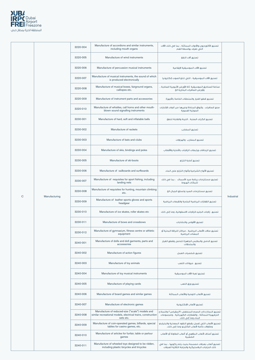

|             | 3220-004 | Manufacture of accordions and similar instruments,<br>including mouth organs               | تصنيع الأكورديون والأدوات المماثلة ، بما في ذلك الآلات<br>التى تعزف بواسطة الفم           |                   |
|-------------|----------|--------------------------------------------------------------------------------------------|-------------------------------------------------------------------------------------------|-------------------|
|             | 3220-005 | Manufacture of wind instruments                                                            | تصنيع آلات النفخ                                                                          |                   |
|             | 3220-006 | Manufacture of percussion musical instruments                                              | تصنيع الآلات الموسيقية الإيقاعية                                                          |                   |
|             | 3220-007 | Manufacture of musical instruments, the sound of which<br>is produced electronically       | تصنيع الآلات الموسيقية ، التي تنتج الصوت إلكترونيا                                        |                   |
|             | 3220-008 | Manufacture of musical boxes, fairground organs,<br>calliopes etc.                         | صناعة الصناديق الموسيقية ،آلة الأورغن الأنبوبية الصاخبة ،<br>وأورغن الصافرات البخارية الخ |                   |
|             | 3220-009 | Manufacture of instrument parts and accessories                                            | تصنيع قطع الغيار والملحقات الخاصة بالأجهزة                                                |                   |
|             | 3220-010 | Manufacture of whistles, call horns and other mouth-<br>blown sound signalling instruments | صنع الصافرات ، وأبواق المناداة وغيرها من أدوات الإشارات<br>الصوتية الغموية                |                   |
|             | 3230-001 | Manufacture of hard, soft and inflatable balls                                             | تصنيع الكرات الصلبة ، اللينة والقابلة للنفخ                                               |                   |
|             | 3230-002 | Manufacture of rackets                                                                     | تصنيع المضارب                                                                             |                   |
|             | 3230-003 | Manufacture of bats and clubs                                                              | تصنيع المضارب والهراوات                                                                   |                   |
|             | 3230-004 | Manufacture of skis, bindings and poles                                                    | تصنيع الزحافات ورابطات الزلاجات بالأحذية والأقطاب                                         |                   |
|             | 3230-005 | Manufacture of ski-boots                                                                   | تصنيع أحذية التزلج                                                                        |                   |
|             | 3230-006 | Manufacture of sailboards and surfboards                                                   | تصنيع الألواح الشراعية وألواح التزلج على الماء                                            |                   |
|             | 3230-007 | Manufacture of requisites for sport fishing, including<br>landing nets                     | تصنيع مستلزمات رياضة صيد الأسماك ، بما فى ذلك<br>شبكات الهبوط                             |                   |
|             | 3230-008 | Manufacture of requisites for hunting, mountain climbing<br>etc.                           | تصنيع مستلزمات الصد وتسلق الحيال الخ                                                      | <b>Industrial</b> |
| nufacturing | 3230-009 | Manufacture of leather sports gloves and sports<br>headgear                                | تصنيع القفازات الرياضية الجلدية والقبعات الرياضية                                         |                   |
|             | 3230-010 | Manufacture of ice skates, roller skates etc                                               | تصنيع زلاجات الجليد،الزلاجات الاسطوانية، وما إلى ذلك                                      |                   |
|             | 3230-011 | Manufacture of bows and crossbows                                                          | تصنيع الأقواس والنشابات                                                                   |                   |
|             | 3230-012 | Manufacture of gymnasium, fitness centre or athletic<br>equipment                          | تصنيع صالات الألعاب الرياضية ، مراكز اللياقة البدنية أو<br>المعدات الرياضية               |                   |
|             | 3240-001 | Manufacture of dolls and doll garments, parts and<br>accessories                           | تصنيع الدمى والملابس الجاهزة للدمى وقطع الغيار<br>والملحقات                               |                   |
|             | 3240-002 | Manufacture of action figures                                                              | تصنيع شخصيات العمل                                                                        |                   |
|             | 3240-003 | Manufacture of toy animals                                                                 | تصنيع حيوانات اللعب                                                                       |                   |

C Mai

| 3240-004 | Manufacture of toy musical instruments                                                                                        | تصنيع لعية الآلات الموسيقية                                                                                                         |
|----------|-------------------------------------------------------------------------------------------------------------------------------|-------------------------------------------------------------------------------------------------------------------------------------|
| 3240-005 | Manufacture of playing cards                                                                                                  | تصنيع ورق اللعب                                                                                                                     |
| 3240-006 | Manufacture of board games and similar games                                                                                  | تصنيع الألعاب اللوحية والألعاب المماثلة                                                                                             |
| 3240-007 | Manufacture of electronic games                                                                                               | تصنيع الألعاب الإلكترونية                                                                                                           |
| 3240-008 | Manufacture of reduced-size ("scale") models and<br>similar recreational models, electrical trains, construction<br>sets etc. | تصنيع النماذج ذات الحجم المنخفض ("المقياس") والنماذج<br>الترفيهية المماثلة ، والقطارات الكهربائية ، ومجموعات<br>البناء وما إلى ذلك. |
| 3240-009 | Manufacture of coin-operated games, billiards, special<br>tables for casino games, etc.                                       | تصنيع الألعاب التي تعمل بقطع النقود المعدنية والبلياردو<br>وطاولات خاصة لألعاب الكازينو وما إلى ذلك.                                |
| 3240-010 | Manufacture of articles for funfair, table or parlour<br>games                                                                | تصنيع أصناف لألعاب الملاهى أو ألعاب الطاولة أو الألعاب<br>الشعبية                                                                   |
| 3240-011 | Manufacture of wheeled toys designed to be ridden,<br>including plastic bicycles and tricycles                                | تصنيع ألعاب بعجلات مصممة بحيث يتم ركوبها ، بما في<br>ذلك الدراجات البلاستيكية والدراجة الثلاثية العجلات                             |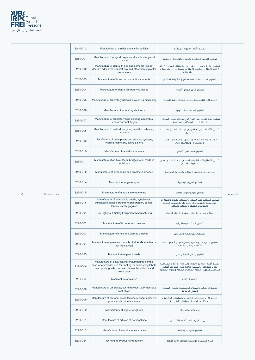

|              |               | 3240-012 | Manufacture of puzzles and similar articles                                                                                                                                        | تصنيع الألغاز والمواد المماثلة                                                                                                                                   |            |
|--------------|---------------|----------|------------------------------------------------------------------------------------------------------------------------------------------------------------------------------------|------------------------------------------------------------------------------------------------------------------------------------------------------------------|------------|
|              |               | 3250-001 | Manufacture of surgical drapes and sterile string and<br>tissue                                                                                                                    | تصنيع اللفائف الجراحية والخيوط والأنسجة المعقمة                                                                                                                  |            |
|              |               | 3250-002 | Manufacture of dental fillings and cements (except<br>denture adhesives), dental wax and other dental plaster<br>preparations                                                      | تصنيع حشوات وأسمنت الأسنان (باستثناء المواد اللاصقة<br>لأطقم الأسنان) ، وشمع الأسنان وغيرها من مستحضرات<br>جص الأسنان                                            |            |
|              |               | 3250-003 | Manufacture of bone reconstruction cements                                                                                                                                         | تصنيع الأسمنت المستخدم فى إعادة بناء العظام                                                                                                                      |            |
|              |               | 3250-004 | Manufacture of dental laboratory furnaces                                                                                                                                          | تصنيع أفران مختبر الأسنان                                                                                                                                        |            |
|              |               | 3250-005 | Manufacture of laboratory ultrasonic cleaning machinery                                                                                                                            | تصنيع آلات التنظيف بالموجات فوق الصوتية للمختبر                                                                                                                  |            |
|              |               | 3250-006 | Manufacture of laboratory sterilizers                                                                                                                                              | تصنيع المعقمات المخبرية                                                                                                                                          |            |
|              |               | 3250-007 | Manufacture of laboratory type distilling apparatus,<br>laboratory centrifuges                                                                                                     | تصنيع جهاز تقطير من النوع الذي يستخدم في المختبر ،<br>أجهزة الطرد المركزى المختبرية                                                                              |            |
|              |               | 3250-008 | Manufacture of medical, surgical, dental or veterinary<br>furniture                                                                                                                | تصنيع الأثاث الطبي أو الجراحي أو لطب الأسنان أو للطب<br>البيطرى                                                                                                  |            |
|              |               | 3250-009 | Manufacture of bone plates and screws, syringes,<br>needles, catheters, cannulae, etc.                                                                                             | تصنيع لوحات العظام والبراغي ، والمحاقن ، والإبر ،<br>والقسطرة ، والكانيولا ، إلخ.                                                                                |            |
|              |               | 3250-010 | Manufacture of dental instruments                                                                                                                                                  | تصنيع أدوات طب الأسنان                                                                                                                                           |            |
|              |               | 3250-011 | Manufacture of artificial teeth, bridges, etc., made in<br>dental labs                                                                                                             | تصنيع الأسنان الاصطناعية ، الجسور ، إلخ ، المصنوعة في<br>مختبرات الأسنان                                                                                         |            |
|              |               | 3250-012 | Manufacture of orthopedic and prosthetic devices                                                                                                                                   | تصنيع أجهزة تقويم العظام والأجهزة التعويضية                                                                                                                      |            |
|              |               | 3250-014 | Manufacture of glass eyes                                                                                                                                                          | تصنيع العبون الزحاجية                                                                                                                                            |            |
| $\mathsf{C}$ | Manufacturing | 3250-015 | Manufacture of medical thermometers                                                                                                                                                | تصنيع الترمومترات الطبية                                                                                                                                         | Industrial |
|              |               | 3250-016 | Manufacture of ophthalmic goods, eyeglasses,<br>sunglasses, lenses ground to prescription, contact<br>lenses, safety goggles                                                       | تصنيع منتجات طب العيون والنظارات العادية والنظارات<br>الشمسية والعدسات المبنية على الوصفات الطبية<br>والعدسات اللاصقة ونظارات السلامة                            |            |
|              |               | 3290-001 | Fire Fighting & Safety Equipment Manufacturing                                                                                                                                     | صناعة معدات وأجهزة السلامة وإطفاء الحريق                                                                                                                         |            |
|              |               | 3290-002 | Manufacture of brooms and brushes                                                                                                                                                  | تصنيع المكانس والفرش                                                                                                                                             |            |
|              |               | 3290-003 | Manufacture of shoe and clothes brushes                                                                                                                                            | تصنيع فرش الأحذية والملابس                                                                                                                                       |            |
|              |               | 3290-004 | Manufacture of pens and pencils of all kinds whether or<br>not mechanical                                                                                                          | تصنيع أقلام الحبر وأقلام الرصاص بجميع أنواعها سواء<br>كانت ميكانيكية أم لا                                                                                       |            |
|              |               | 3290-005 | Manufacture of pencil leads                                                                                                                                                        | تصنيع رصاص قلم الرصاص                                                                                                                                            |            |
|              |               | 3290-006 | Manufacture of date, sealing or numbering stamps,<br>hand-operated devices for printing, or embossing labels,<br>hand printing sets, prepared typewriter ribbons and<br>inked pads | تصنيع أختام التاريخ والختم والترقيم ،والأدوات المشغلة<br>يدويأ للطباعة الطباعة النافرة على الطوابع أطقم<br>التشغيل اليدوى،أشرطة الطابعات المعدة والألواح المحبرة |            |
|              |               | 3290-007 | Manufacture of globes                                                                                                                                                              | تصنيع الكرات                                                                                                                                                     |            |
|              |               | 3290-008 | Manufacture of umbrellas, sun-umbrellas, walking sticks,<br>seat-sticks                                                                                                            | تصنيع المظلات والمظلات الشمسية وعصى المشى<br>وعصى المقاعد                                                                                                        |            |
|              |               | 3290-009 | Manufacture of buttons, press-fasteners, snap-fasteners,<br>press-studs, slide fasteners                                                                                           | تصنيع الأزرار ، ومثبتات الضغط ، والمثبتات الخاطفة ،<br>ومكابس الضغط ، ومثبتات الشريحة                                                                            |            |
|              |               | 3290-010 | Manufacture of cigarette lighters                                                                                                                                                  | صنع ولاعات السجائر                                                                                                                                               |            |
|              |               | 3290-011 | Manufacture of articles of personal use                                                                                                                                            | تصنيع الحاجيات للاستخدام الشخصى                                                                                                                                  |            |
|              |               | 3290-012 | Manufacture of miscellaneous articles                                                                                                                                              | تصنيع المواد المتنوعة                                                                                                                                            |            |
|              |               | 3290-024 | 3D Printing Products Production                                                                                                                                                    | إنتاج المنتجات بواسطة الطباعة ثلاثية الأبعاد                                                                                                                     |            |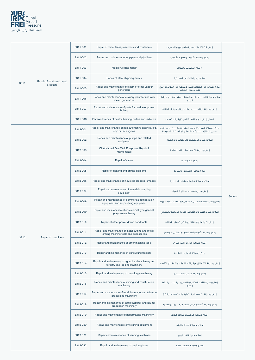

|      |                            | 3311-001 | Repair of metal tanks, reservoirs and containers                                            | إصلاح الخزائات المعدنية والصهاريج والحاويات                                                        |         |
|------|----------------------------|----------|---------------------------------------------------------------------------------------------|----------------------------------------------------------------------------------------------------|---------|
|      |                            | 3311-002 | Repair and maintenance for pipes and pipelines                                              | إصلاح وصيانة الأنابيب وخطوط الأنابيب                                                               |         |
|      |                            | 3311-003 | Mobile welding repair                                                                       | الإصلاح المتحرك باللحام                                                                            |         |
|      | Repair of fabricated metal | 3311-004 | Repair of steel shipping drums                                                              | إصلاح براميل الشحن المعدنية                                                                        |         |
| 3311 | products                   | 3311-005 | Repair and maintenance of steam or other vapour<br>generators                               | إصلاح وصيانة من مولدات البخار وغيرها من المولدات التي<br>تعتمد على التبخير                         |         |
|      |                            | 3311-006 | Repair and maintenance of auxiliary plant for use with<br>steam generators                  | إصلاح وصيانة المحطات المساعدة المستخدمة مع مولدات<br>البخار                                        |         |
|      |                            | 3311-007 | Repair and maintenance of parts for marine or power<br>boilers                              | إصلاح وصيانة أجزاء للمراجل البحرية أو مراجل الطاقة                                                 |         |
|      |                            | 3311-008 | Platework repair of central heating boilers and radiators                                   | أعمال إصلاح ألواح التدفئة المركزية والمشعات                                                        |         |
|      |                            | 3312-001 | Repair and maintenance of non-automotive engines, e.g.<br>ship or rail engines              | إصلاح وصيانة المحركات غير المتعلقة بالمركبات ، على<br>سبيل المثال ، محركات السفن أو السكك الحديدية |         |
|      |                            | 3312-002 | Repair and maintenance of pumps and related<br>equipment                                    | إصلاح وصيانة المضخات والمعدات ذات الصلة                                                            |         |
|      |                            | 3312-003 | Oil & Natural Gas Well Equipment Repair &<br>Maintenance                                    | إصلاح وصيانة آلات ومعدات النفط والغاز                                                              |         |
|      |                            | 3312-004 | Repair of valves                                                                            | إصلاح الصمامات                                                                                     |         |
|      |                            | 3312-005 | Repair of gearing and driving elements                                                      | إصلاح عناصر التعشيق والقيادة                                                                       |         |
|      |                            | 3312-006 | Repair and maintenance of industrial process furnaces                                       | إصلاح وصيانة أفران العمليات الصناعية                                                               |         |
|      |                            | 3312-007 | Repair and maintenance of materials handling<br>equipment                                   | إصلاح وصيانة معدات مناولة المواد                                                                   | Service |
|      |                            | 3312-008 | Repair and maintenance of commercial refrigeration<br>equipment and air purifying equipment | إصلاح وصيانة معدات التبريد التجارية ومعدات تنقية الهواء                                            |         |
|      |                            | 3312-009 | Repair and maintenance of commercial-type general-<br>purpose machinery                     | إصلاح وصيانة الآلات ذات الأغراض العامة من النوع التجاري                                            |         |
|      |                            | 3312-010 | Repair of other power-driven hand-tools                                                     | إصلاح الأدوات اليدوية الأخرى التي تعمل بالطاقة                                                     |         |
| 3312 | Repair of machinery        | 3312-011 | Repair and maintenance of metal cutting and metal<br>forming machine tools and accessories  | إصلاح وصيانة الأدوات وآلات قطع وتشكيل المعادن                                                      |         |
|      |                            | 3312-012 | Repair and maintenance of other machine tools                                               | إصلاح وصيانة الأدوات الآلية الأخرى                                                                 |         |
|      |                            | 3312-013 | Repair and maintenance of agricultural tractors                                             | إصلاح وصيانة الجرارات الزراعية                                                                     |         |
|      |                            | 3312-014 | Repair and maintenance of agricultural machinery and<br>forestry and logging machinery      | إصلاح وصيانة الآلات الزراعية وآلات الغابات وآلات قطع الأشجار                                       |         |
|      |                            | 3312-015 | Repair and maintenance of metallurgy machinery                                              | إصلاح وصيانة ماكينات التعدين                                                                       |         |
|      |                            | 3312-016 | Repair and maintenance of mining and construction<br>machinery                              | إصلاح وصيانة الآلات الحقلية والتعدين ، والبناء ، والنفط<br>والغاز                                  |         |
|      |                            | 3312-017 | Repair and maintenance of food, beverage, and tobacco<br>processing machinery               | إصلاح وصيانة آلات معالجة الأغذية والمشروبات والتبغ                                                 |         |
|      |                            | 3312-018 | Repair and maintenance of textile apparel, and leather<br>production machinery              | إصلاح وصيانة آلات الملابس النسيجية ، وإنتاج الجلود                                                 |         |
|      |                            | 3312-019 | Repair and maintenance of papermaking machinery                                             | إصلاح وصيانة ماكينات صناعة الورق                                                                   |         |
|      |                            | 3312-020 | Repair and maintenance of weighing equipment                                                | إصلاح وصيانة معدات الوزن                                                                           |         |
|      |                            | 3312-021 | Repair and maintenance of vending machines                                                  | إصلاح وصيانة آلات البيع                                                                            |         |
|      |                            | 3312-022 | Repair and maintenance of cash registers                                                    | إصلاح وصيانة سجلات النقد                                                                           |         |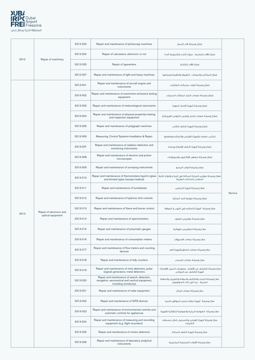

|      |                          | 3312-023 | Repair and maintenance of photocopy machines                                                                            | إصلاح وصيانة آلات النسخ                                                                  |         |
|------|--------------------------|----------|-------------------------------------------------------------------------------------------------------------------------|------------------------------------------------------------------------------------------|---------|
| 3312 | Repair of machinery      | 3312-024 | Repair of calculators, electronic or not                                                                                | إصلاح الآلات الحاسبة ، سواءً كانت إلكترونية أم لا                                        |         |
|      |                          | 3312-025 | Repair of typewriters                                                                                                   | إصلاح الآلات الكاتبة                                                                     |         |
|      |                          | 3312-027 | Repair and maintenance of light and heavy machines                                                                      | إصلاح المكائن والمعدات الخفيفة والثقيلة وصيانتها                                         |         |
|      |                          | 3313-001 | Repair and maintenance of aircraft engine and<br>instruments                                                            | إصلاح وصيانة أدوات محركات الطائرات                                                       |         |
|      |                          | 3313-002 | Repair and maintenance of automotive emissions testing<br>equipment                                                     | إصلاح وصيائة معدات اختبار انبعاثات السيارات                                              |         |
|      |                          | 3313-003 | Repair and maintenance of meteorological instruments                                                                    | إصلاح وصيانة أجهزة الأرصاد الجوية                                                        |         |
|      |                          | 3313-004 | Repair and maintenance of physical properties testing<br>and inspection equipment                                       | إصلاح وصيانة معدات اختبار وفحص الخواص الفيزيائية                                         |         |
|      |                          | 3313-005 | Repair and maintenance of polygraph machines                                                                            | إصلاح وصيانة أجهزة كشف الكذب                                                             |         |
|      |                          | 3313-006 | Measuring, Control Systems Installation & Repair                                                                        | تركيب معدات وأجهزة القياس والتحكم وإصلاحها                                               |         |
|      |                          | 3313-007 | Repair and maintenance of radiation detection and<br>monitoring instruments                                             | إصلاح وصيانة أجهزة كشف الإشعاع ورصده                                                     |         |
|      |                          | 3313-008 | Repair and maintenance of electron and proton<br>microscopes                                                            | إصلاح وصيانة مجاهر الإلكترون والبروتونات                                                 |         |
|      |                          | 3313-009 | Repair and maintenance of surveying instruments                                                                         | إصلاح وصيانة أدوات المسح                                                                 | Service |
|      |                          | 3313-010 | Repair and maintenance of thermometers liquid-in-glass<br>and bimetal types (except medical)                            | إصلاح وصيانة موازين الحرارة السائلة في الزجاج وأنواع ثنائية<br>المعادن (باستثناء الطبية) |         |
|      |                          | 3313-011 | Repair and maintenance of humidistats                                                                                   | إصلاح وصيانة أجهزة الترطيب                                                               |         |
|      |                          | 3313-012 | Repair and maintenance of hydronic limit controls                                                                       | إصلاح وصيانة ضوابط الحد المائية                                                          |         |
|      | Repair of electronic and | 3313-013 | Repair and maintenance of flame and burner control                                                                      | صلاح وصيانة أجهزة التحكم في اللهب و المواقد                                              |         |
| 3313 | optical equipment        | 3313-014 | Repair and maintenance of spectrometers                                                                                 | صلاح وصيانة مقاييس الطيف                                                                 |         |
|      |                          | 3313-015 | Repair and maintenance of pneumatic gauges                                                                              | صلاح وصيانة المقاييس الهوائية                                                            |         |
|      |                          | 3313-016 | Repair and maintenance of consumption meters                                                                            | صلاح وصيانة عدادات الاستهلاك                                                             |         |
|      |                          | 3313-017 | Repair and maintenance of flow meters and counting<br>devices                                                           | صلاح وصيائة عدادات التدفق وأجهزة العد                                                    |         |
|      |                          | 3313-018 | Repair and maintenance of tally counters                                                                                | صلاح وصيانة عدادات الحساب                                                                |         |
|      |                          | 3313-019 | Repair and maintenance of mine detectors, pulse<br>(signal) generators; metal detectors                                 | صلاح وصيانة الكشف عن الألغام ، ومولدات النبض (الإشارة) ؛<br>أجهزة الكشف عن المعادن       |         |
|      |                          | 3313-020 | Repair and maintenance of search, detection,<br>navigation, aeronautical and nautical equipment,<br>including sonobuoys | صلاح وصيانة البحث والكشف والملاحة والطيران والملاحة<br>البحرية ، بما في ذلك السونوبويز   |         |
|      |                          | 3313-021 | Repair and maintenance of radar equipment                                                                               | صلاح وصيائة معدات الرادار                                                                |         |
|      |                          | 3313-022 | Repair and maintenance of GPS devices                                                                                   | صلاح وصيانة أجهزة نظام تحديد المواقع عالميا                                              |         |
|      |                          | 3313-023 | Repair and maintenance of environmental controls and<br>automatic controls for appliances                               | صلاح وصيانة الضوابط البيئية والضوابط التلقائية للأجهزة                                   |         |
|      |                          | 3313-024 | Repair and maintenance of measuring and recording<br>equipment (e.g. flight recorders)                                  | صلاح وصيانة أجهزة القياس والتسجيل (مثل مسجلات<br>الطيران)                                |         |
|      |                          | 3313-025 | Repair and maintenance of motion detectors                                                                              | صلاح وصيانة أجهزة كشف الحركة                                                             |         |
|      |                          | 3313-026 | Repair and maintenance of laboratory analytical<br>instruments                                                          | صلاح وصيانة الأدوات التحليلية المختبرية                                                  |         |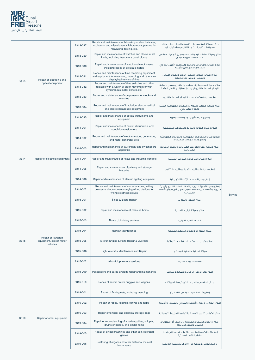

|      |                                                            | 3313-027 | Repair and maintenance of laboratory scales, balances,<br>incubators, and miscellaneous laboratory apparatus for<br>measuring, testing, etc. | صلاح وصيانة المقاييس المختبرية والموازين والحاضنات<br>وأجهزة المختبر المتنوعة للقياس والاختبار ، إلخ.                                   |         |
|------|------------------------------------------------------------|----------|----------------------------------------------------------------------------------------------------------------------------------------------|-----------------------------------------------------------------------------------------------------------------------------------------|---------|
|      |                                                            | 3313-029 | Repair and maintenance of watches and clocks of all<br>kinds, including instrument panel clocks                                              | صلاح وصيانة ساعات اليد والساعات بجميع أنواعها ، بما في<br>ذلك ساعات أجهزة القياس                                                        |         |
|      |                                                            | 3313-030 | Repair and maintenance of watch and clock cases,<br>including cases of precious metals                                                       | صلاح وصيانة حاويات ساعات اليد والساعات الأخرى، بما في<br>ذلك حاويات المعادن الثمينة                                                     |         |
|      | Repair of electronic and                                   | 3313-031 | Repair and maintenance of time-recording equipment<br>and equipment for measuring, recording and otherwise<br>displaying intervals of time   | صلاح وصيانة معدات اتسجيل الوقت ومعدات لقياس<br>وتسجيل وعرض فترات زمنية                                                                  |         |
| 3313 | optical equipment                                          | 3313-032 | Repair and maintenance of time switches and other<br>releases with a watch or clock movement or with<br>synchronous motor (time locks)       | صلاح وصيانة مفاتيح الوقت والإصدارات الأخرى بمحرك ساعة<br>اليد أو الساعات الأخرى أو بمحرك متزامن (أقفال الوقت)                           |         |
|      |                                                            | 3313-033 | Repair and maintenance of components for clocks and<br>watches                                                                               | صلاح وصيانة مكونات ساعة اليد أو الساعات الأخرى                                                                                          |         |
|      |                                                            | 3313-034 | Repair and maintenance of irradiation, electromedical<br>and electrotherapeutic equipment                                                    | إصلاح وصيانة معدات الإشعاع ، والمعدات الكهربائية الطبية<br>والعلاج الكهربائى                                                            |         |
|      |                                                            | 3313-035 | Repair and maintenance of optical instruments and<br>equipment                                                                               | إصلاح وصيانة الأجهزة والمعدات البصرية                                                                                                   |         |
|      |                                                            | 3314-001 | Repair and maintenance of power, distribution, and<br>specialty transformers                                                                 | إصلاح وصيانة الطاقة والتوزيع والمحولات المتخصصة                                                                                         |         |
|      |                                                            | 3314-002 | Repair and maintenance of electric motors, generators,<br>and motor generator sets                                                           | إصلاح وصيانة المحركات الكهربائية والمولدات الكهربائية<br>ومجموعات مولدات المحركات                                                       |         |
|      |                                                            | 3314-003 | Repair and maintenance of switchgear and switchboard<br>apparatus                                                                            | إصلاح وصيانة أجهزة القواطع الكهربائية ولوحات المفاتيح<br>الكهربائية                                                                     |         |
| 3314 | Repair of electrical equipment                             | 3314-004 | Repair and maintenance of relays and industrial controls                                                                                     | إصلاح وصيانة المرحلات والضوابط الصناعية                                                                                                 |         |
|      |                                                            | 3314-005 | Repair and maintenance of primary and storage<br>batteries                                                                                   | إصلاح وصيانة البطاريات الأولية وبطاريات التخزين                                                                                         |         |
|      |                                                            | 3314-006 | Repair and maintenance of electric lighting equipment                                                                                        | اصلاح وصبانة معدات الاضاءة الكهربائية                                                                                                   |         |
|      |                                                            | 3314-007 | Repair and maintenance of current-carrying wiring<br>devices and non current-carrying wiring devices for<br>wiring electrical circuits       | إصلاح وصيانة أجهزة التزويد بالأسلاك الحاملة للتيار وأجهزة<br>التزويد بالأسلاك غير الحاملة للتيار الكهربائي لدوائر الأسلاك<br>الكهربائية | Service |
|      |                                                            | 3315-001 | Ships & Boats Repair                                                                                                                         | إصلاح السفن والقوارب                                                                                                                    |         |
|      |                                                            |          |                                                                                                                                              |                                                                                                                                         |         |
|      |                                                            | 3315-002 | Repair and maintenance of pleasure boats                                                                                                     | إصلاح وصيانة قوارب التسلية                                                                                                              |         |
|      |                                                            | 3315-003 | <b>Boats Upholstery services</b>                                                                                                             | خدمات تنجيد القوارب                                                                                                                     |         |
|      |                                                            | 3315-004 | Railway Maintenance                                                                                                                          | صيانة القطارات ومعدات السكك الحديدية                                                                                                    |         |
| 3315 | Repair of transport<br>equipment, except motor<br>vehicles | 3315-005 | Aircraft Engine & Parts Repair & Overhaul                                                                                                    | إصلاح وتجديد محركات الطائرات ومكوناتها                                                                                                  |         |
|      |                                                            | 3315-006 | Light Aircrafts Maintenance and Repair                                                                                                       | صيانة الطائرات الخفيفة وإصلاحها                                                                                                         |         |
|      |                                                            | 3315-007 | Aircraft Upholstery services                                                                                                                 | خدمات تنجيد الطائرات                                                                                                                    |         |
|      |                                                            | 3315-009 | Passengers and cargo aircrafts repair and maintenance                                                                                        | إصلاح طائرات نقل الركاب والبضائع وصيانتها                                                                                               |         |
|      |                                                            | 3315-010 | Repair of animal drawn buggies and wagons                                                                                                    | إصلاح الحنطور والعربات التى تجرها الحيوانات                                                                                             |         |
|      |                                                            | 3319-001 | Repair of fishing nets, including mending                                                                                                    | إصلاح شباك الصيد ، بما في ذلك الرتق                                                                                                     |         |
|      |                                                            | 3319-002 | Repair or ropes, riggings, canvas and tarps                                                                                                  | إصلاح الحبال ، أو حبال الأشرعة والصواري ، الخيش والأقمشة                                                                                |         |
|      |                                                            | 3319-003 | Repair of fertilizer and chemical storage bags                                                                                               | إصلاح أكياس تخزين الأسمدة وأكياس التخزين الكيميائية                                                                                     |         |
| 3319 | Repair of other equipment                                  | 3319-004 | Repair or reconditioning of wooden pallets, shipping<br>drums or barrels, and similar items                                                  | إصلاح أو تجديد المنصات الخشبية ، براميل أو أسطوانات<br>الشحن ،والبنود المماثلة                                                          |         |
|      |                                                            | 3319-005 | Repair of pinball machines and other coin-operated<br>games                                                                                  | إصلاح آلات الكرة والدبابيس والألعاب الأخرى التي تعمل<br>بقطع النقود المعدنية                                                            |         |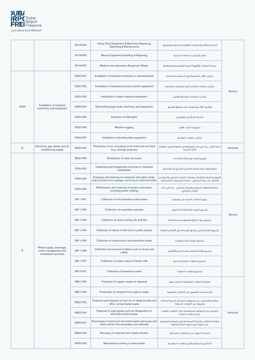

|      |                                                                           | 3319-902 | Heavy Duty Equipment & Machinery Repairing,<br><b>Operating &amp; Maintenance</b>                                 | إصلاح المكائن والمعدات الثقيلة وصيانتها وتشغيلها                                                          |            |
|------|---------------------------------------------------------------------------|----------|-------------------------------------------------------------------------------------------------------------------|-----------------------------------------------------------------------------------------------------------|------------|
|      |                                                                           | 3319-903 | Marine Equipment Installing & Repairing                                                                           | إصلاح وتركيب المعدات البحرية                                                                              |            |
|      |                                                                           | 3319-907 | Medical and Laboratory Equipment Repair                                                                           | صيانة المعدات والأجهزة الطبية والمعملية وإصلاحها                                                          |            |
|      |                                                                           | 3320-001 | Installation of industrial machinery in industrial plant                                                          | تركيب الآلات الصناعية فى المنشآت الصناعية                                                                 |            |
|      |                                                                           | 3320-002 | Installation of industrial process control equipment                                                              | تركيب معدات التحكم فى العمليات الصناعية                                                                   |            |
|      |                                                                           | 3320-003 | Installation of other industrial equipment                                                                        | تركيب المعدات الصناعية الأخرى                                                                             | Service    |
| 3320 | Installation of industrial<br>machinery and equipment                     | 3320-004 | Dismantling large-scale machinery and equipment                                                                   | تفكيك الآلات والمعدات ذات النطاق الواسع                                                                   |            |
|      |                                                                           | 3320-005 | Activities of millwrights                                                                                         | أنشطة مُرَكَّبى الطواحين                                                                                  |            |
|      |                                                                           | 3320-006 | Machine rigging                                                                                                   | تجهيزات الثياب الآلية                                                                                     |            |
|      |                                                                           | 3320-007 | Installation of bowling alley equipment                                                                           | تركيب معدات البولينة                                                                                      |            |
| D    | Electricity, gas, steam and air<br>conditioning supply                    | 3530-004 | Production of ice, including ice for food and non-food<br>(e.g. cooling) purposes                                 | إنتاج الثلج ، بما في ذلك الثلج لأغراض الطعام وغير الطعام<br>(مثل التبريد)                                 | Industrial |
|      |                                                                           | 3600-005 | Distribution of water by trucks                                                                                   | توزيع المياه بواسطة الشاحنات                                                                              |            |
|      |                                                                           | 3700-002 | Collecting and transporting of human or industrial<br>wastewater                                                  | جمع ونقل مياه الصرف الصحى البشرى أو الصناعى                                                               |            |
|      |                                                                           | 3700-003 | Emptying and cleaning of cesspools and septic tanks,<br>sinks and pits from sewage; servicing of chemical toilets | تفريغ وتنظيف البالوعات وخزانات الصرف الصحى والمغاسل<br>والحفر من مياه المجارى ؛ صيانة المراحيض الكيميائية |            |
|      |                                                                           | 3700-005 | Maintenance and cleaning of sewers and drains,<br>including sewer rodding                                         | صيانة وتنظيف المجاري والصرف الصحي ، بما في ذلك<br>قضبان المجاري                                           |            |
|      |                                                                           | 3811-001 | Collection of non-hazardous solid waste                                                                           | جمع النفايات الصلبة غير الخطرة                                                                            |            |
|      |                                                                           | 3811-002 | Collection of recyclable materials                                                                                | تحميع المواد القايلة لإعادة التدوير                                                                       |            |
|      |                                                                           | 3811-003 | Collection of used cooking oils and fats                                                                          | تجميع زيوت الطبخ والدهون المستخدمة                                                                        | Service    |
|      |                                                                           | 3811-004 | Collection of refuse in litter-bins in public places                                                              | تجميع القمامة في صناديق القمامة في الأماكن العامة                                                         |            |
|      |                                                                           | 3811-005 | Collection of construction and demolition waste                                                                   | تجميع نفايات البناء والهدم                                                                                |            |
| E    | Water supply; sewerage,<br>waste management and<br>remediation activities | 3811-006 | Collection and removal of debris such as brush and<br>rubble                                                      | تجميع وإزالة الحطام مثل الدغل والأنقاض                                                                    |            |
|      |                                                                           | 3811-007 | Collection of waste output of textile mills                                                                       | تجميع مخلفات مصانع النسيج                                                                                 |            |
|      |                                                                           | 3812-001 | Collection of hazardous waste                                                                                     | تحميع النفايات الخطرة                                                                                     |            |
|      |                                                                           | 3821-003 | Treatment of organic waste for disposal                                                                           | معالجة النفايات العضوية للتخلص منها                                                                       |            |
|      |                                                                           | 3821-004 | Production of compost from organic waste                                                                          | إنتاج السماد العضوي من النفايات العضوية                                                                   |            |
|      |                                                                           | 3822-002 | Treatment and disposal of toxic live or dead animals and<br>other contaminated waste                              | معالجة والتخلص من الحيوانات الحية أو الميتة السامة<br>وغيرها من النفايات الملوثة                          |            |
|      |                                                                           | 3822-004 | Disposal of used goods such as refrigerators to<br>eliminate harmful waste                                        | التخلص من البضائع المستعملة مثل الثلاجات للقضاء<br>على النفايات الضارة                                    | Industrial |
|      |                                                                           | 3830-001 | Processing of metal and non-metal waste and scrap and<br>other articles into secondary raw materials              | معالجة النفايات والخردة المعدنية وغير المعدنية وغيرها<br>من المواد في المواد الخام الثانوية               |            |
|      |                                                                           | 3830-002 | Recovery of materials from waste streams                                                                          | استرداد المواد من المخلفات الصناعية                                                                       |            |
|      |                                                                           | 3830-003 | Mechanical crushing of metal waste                                                                                | التكسير الميكانيكى للنفايات المعدنية                                                                      |            |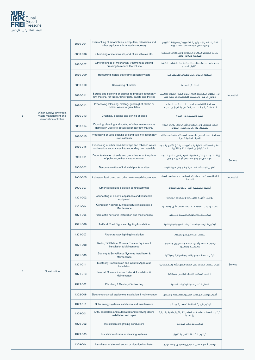

|   |                                                                           | 3830-004 | Dismantling of automobiles, computers, televisions and<br>other equipment for materials recovery                    | تفكيك السيارات وأجهزة الكمبيوتر وأجهزة التلفزيون<br>وغيرها من المعدات لاستعادة المواد                        |            |
|---|---------------------------------------------------------------------------|----------|---------------------------------------------------------------------------------------------------------------------|--------------------------------------------------------------------------------------------------------------|------------|
|   |                                                                           | 3830-006 | Shredding of metal waste, end-of-life vehicles etc.                                                                 | تمزيق (تقطيع) النفايات المعدنية والمركبات المنتهية<br>الصلاحية وما إلى ذلك.                                  |            |
|   |                                                                           | 3830-007 | Other methods of mechanical treatment as cutting,<br>pressing to reduce the volume                                  | طرق أخرى للمعالجة الميكانيكية مثل القطع ، الضغط<br>لتقليل الحجم                                              |            |
|   |                                                                           | 3830-009 | Reclaiming metals out of photographic waste                                                                         | استعادة المعادن من النفايات الفوتوغرافية                                                                     |            |
|   |                                                                           | 3830-010 | Reclaiming of rubber                                                                                                | استصلاح المطاط                                                                                               |            |
|   |                                                                           | 3830-011 | Sorting and pelleting of plastics to produce secondary<br>raw material for tubes, flower pots, pallets and the like | فرز وتكوير البلاستيك لإنتاج المواد الخام الثانوية للأنابيب<br>وأواني الزهور والمنصات (البليتات) وما شابه ذلك | Industrial |
|   |                                                                           | 3830-012 | Processing (cleaning, melting, grinding) of plastic or<br>rubber waste to granulates                                | معالجة (التنظيف ، الصهر ، الطحن) من النفايات<br>البلاستيكية أو المطاطية وتحويلها إلى إلى حبيبات              |            |
| Е | Water supply; sewerage,<br>waste management and<br>remediation activities | 3830-013 | Crushing, cleaning and sorting of glass                                                                             | سحق وتنظيف وفرز الزجاج                                                                                       |            |
|   |                                                                           | 3830-014 | Crushing, cleaning and sorting of other waste such as<br>demolition waste to obtain secondary raw material          | سحق وتنظيف وفرز النفايات الأخرى مثل نفايات الهدم<br>للحصول على المواد الخام الثانوية                         |            |
|   |                                                                           | 3830-015 | Processing of used cooking oils and fats into secondary<br>raw materials                                            | معالجة زيوت الطهى والدهون المستخدمة وتحويلها إلى<br>المواد الخام الثانوية                                    |            |
|   |                                                                           | 3830-016 | Processing of other food, beverage and tobacco waste<br>and residual substances into secondary raw materials        | معالجة مخلفات الأغذية والمشروبات والتبغ الأخرى والمواد<br>المتبقية إلى المواد الخام الثانوية                 |            |
|   |                                                                           | 3900-001 | Decontamination of soils and groundwater at the place<br>of pollution, either in situ or ex situ,                   | إزالة التلوث من التربة والمياه الجوفية في مكان التلوث ،<br>سواء في الموقع الطبيعي أو خارج الموقع             | Service    |
|   |                                                                           | 3900-002 | Decontamination of industrial plants or sites                                                                       | تطهير المنشآت الصناعية أو المواقع من التلوث                                                                  |            |
|   |                                                                           | 3900-005 | Asbestos, lead paint, and other toxic material abatement                                                            | إزالة الأسبستوس ، والطلاء الرصاص ، وغيرها من المواد<br>السامة                                                | Industrial |
|   |                                                                           | 3900-007 | Other specialized pollution-control activities                                                                      | أنشطة متخصصة أخرى لمكافحة التلوث                                                                             |            |
|   |                                                                           | 4321-002 | Connecting of electric appliances and household<br>equipment                                                        | توصيل الأجهزة الكهربائية والمعدات المنزلية                                                                   |            |
|   |                                                                           | 4321-004 | Computer Network & Infrastructure Installation &<br>Maintenance                                                     | إنشاء وتركيب البنية التحتية للحاسب الآلى وصيانتها                                                            |            |
|   |                                                                           | 4321-005 | Fibre optic networks installation and maintenance                                                                   | تركيب شبكات الألياف البصرية وصيانتها                                                                         |            |
|   |                                                                           | 4321-006 | Traffic & Road Signs and lighting Installation                                                                      | تركيب اللوحات والمستلزمات المرورية والارشادية                                                                |            |
|   |                                                                           | 4321-007 | Airport runway lighting installation                                                                                | تركيب إضاءة المدارج بالمطار                                                                                  |            |
|   |                                                                           | 4321-008 | Radio, TV Station, Cinema, Theater Equipment<br>Installation & Maintenance                                          | تركيب معدات وأجهزة الإذاعة والتلفزيون والسينما<br>والمسرح وصيانتها                                           |            |
|   |                                                                           | 4321-009 | Security & Surveillance Systems Installation &<br>Maintenance                                                       | تركيب معدات وأجهزة الأمن والمراقبة وصيانتها                                                                  |            |
|   |                                                                           | 4321-011 | <b>Electricity Transmission and Control Apparatus</b><br>Installation                                               | أعمال تركيب معدات نقل الطاقة الكهربائية والتحكم بها                                                          | Service    |
| F | Construction                                                              | 4321-013 | Internal Communication Network Installation &<br>Maintenance                                                        | تركيب شبكات الإتصال الداخلى وصيانتها                                                                         |            |
|   |                                                                           | 4322-002 | Plumbing & Sanitary Contracting                                                                                     | اعمال التمديدات والتركيبات الصحية                                                                            |            |
|   |                                                                           | 4322-008 | Electromechanical equipment installation & maintenance                                                              | أعمال تركيب المعدات الكهروميكانيكية وصيانتها                                                                 |            |
|   |                                                                           | 4322-011 | Solar energy systems installation and maintenance                                                                   | تركيب أجهزة الطاقة الشمسية وإصلاحها                                                                          |            |
|   |                                                                           | 4329-001 | Lifts, escalators and automated and revolving doors<br>installation and repair                                      | تركيب المصاعد والسلالم المتحركة والأبواب الآلية والدوارة<br>وإصلاحها                                         |            |
|   |                                                                           | 4329-002 | Installation of lightning conductors                                                                                | تركيب موصلات الصواعق                                                                                         |            |
|   |                                                                           | 4329-003 | Installation of vacuum cleaning systems                                                                             | تركيب أنظمة الكنس بالتفريغ                                                                                   |            |
|   |                                                                           | 4329-004 | Installation of thermal, sound or vibration insulation                                                              | تركيب أنظمة العزل الحراري والصوتى أو الاهتزازي                                                               |            |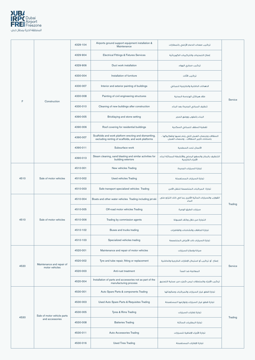

|      |                             | 4329-104 | Airports ground support equipment installation &<br>Maintenance                                             | تركيب معدات الدعم الأرضى بالمطارات                                                        |         |
|------|-----------------------------|----------|-------------------------------------------------------------------------------------------------------------|-------------------------------------------------------------------------------------------|---------|
|      |                             | 4329-904 | <b>Electrical Fittings &amp; Fixtures Services</b>                                                          | إصلاح التمديدات والتركيبات الكهربائية                                                     |         |
|      |                             | 4329-906 | Duct work installation                                                                                      | تركيب مجاري الهواء                                                                        |         |
|      |                             | 4330-004 | Installation of furniture                                                                                   | تركيب الأثاث                                                                              |         |
|      |                             | 4330-007 | Interior and exterior painting of buildings                                                                 | الدهانات الداخلية والخارجية للمبانى                                                       |         |
| F    | Construction                | 4330-008 | Painting of civil engineering structures                                                                    | طلاء هياكل الهندسة المدنية                                                                | Service |
|      |                             | 4330-010 | Cleaning of new buildings after construction                                                                | تنظيف المبائي الجديدة بعد البناء                                                          |         |
|      |                             | 4390-005 | Bricklaying and stone setting                                                                               | البناء بالطوب ووضع الحجر                                                                  |         |
|      |                             | 4390-006 | Roof covering for residential buildings                                                                     | تغطية السقف للمبانى السكنية                                                               |         |
|      |                             | 4390-007 | Scaffolds and work platform erecting and dismantling,<br>excluding renting of scaffolds, and work platforms | السقالات ومنصات العمل التي يتم نصبها وتفكيكها ،<br>باستثناء تأجير السقالات ، ومنصات العمل |         |
|      |                             | 4390-011 | Subsurface work                                                                                             | الأعمال تحت السطحية                                                                       |         |
|      |                             | 4390-013 | Steam cleaning, sand blasting and similar activities for<br>building exteriors                              | التنظيف بالبخار والسفع الرملي والأنشطة المماثلة لبناء<br>الأجزاء الخارجية                 |         |
|      |                             | 4510-001 | New vehicles Trading                                                                                        | تجارة السيارات الجديدة                                                                    |         |
| 4510 | Sale of motor vehicles      | 4510-002 | <b>Used vehicles Trading</b>                                                                                | تجارة السيارات المستعملة                                                                  |         |
|      |                             | 4510-003 | Safe transport specialized vehicles Trading                                                                 | تجارة المركبات المتخصصة للنقل الآمن                                                       |         |
|      | Sale of motor vehicles      | 4510-004 | Boats and other water vehicles Trading including jet-ski                                                    | القوارب والسيارات المائية الأخرى بما في ذلك التزلج على<br>الماء                           | Trading |
|      |                             | 4510-005 | Off-road motor vehicles Trading                                                                             | سيارات الطرق الوعرة                                                                       |         |
| 4510 |                             | 4510-006 | Trading by commission agents                                                                                | التجارة من خلال وكلاء العمولة                                                             |         |
|      |                             | 4510-102 | Buses and trucks trading                                                                                    | تجارة الحافلات والشاحنات والقاطرات                                                        |         |
|      |                             | 4510-103 | Specialized vehicles trading                                                                                | تجارة السيارات ذات الأغراض المتخصصة                                                       |         |
|      |                             | 4520-001 | Maintenance and repair of motor vehicles                                                                    | صيانة وإصلاح السيارات                                                                     |         |
| 4520 | Maintenance and repair of   | 4520-002 | Tyre and tube repair, fitting or replacement                                                                | إصلاح أو تركيب أو استبدال الإطارات الخارجية والداخلية                                     | Service |
|      | motor vehicles              | 4520-003 | Anti-rust treatment                                                                                         | المعالجة ضد الصدأ                                                                         |         |
|      |                             | 4520-004 | Installation of parts and accessories not as part of the<br>manufacturing process                           | تركيب الأجزاء والملحقات ليس كجزء من عملية التصنيع                                         |         |
|      |                             | 4530-001 | Auto Spare Parts & components Trading                                                                       | تجارة قطع غيار السيارات والمركبات ومكوناتها                                               |         |
|      |                             | 4530-003 | Used Auto Spare Parts & Requisites Trading                                                                  | تجارة قطع غيار السيارات ولوازمها المستعملة                                                |         |
| 4530 | Sale of motor vehicle parts | 4530-005 | Tyres & Rims Trading                                                                                        | تجارة إطارات السيارات                                                                     |         |
|      | and accessories             | 4530-008 | <b>Batteries Trading</b>                                                                                    | تجارة البطاريات السائلة                                                                   | Trading |
|      |                             | 4530-011 | <b>Auto Accessories Trading</b>                                                                             | تجارة الأجزاء الإضافية للسيارات                                                           |         |
|      |                             | 4530-016 | <b>Used Tires Trading</b>                                                                                   | تجارة الإطارات المستعملة                                                                  |         |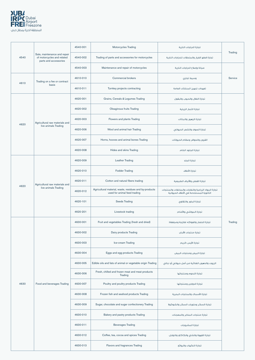

| Sale, maintenance and repair<br>of motorcycles and related<br>4540<br>parts and accessories | 4540-001                                               | Motorcycles Trading                              | تجارة الدراجات النارية                                                                 |                                                                                                |         |
|---------------------------------------------------------------------------------------------|--------------------------------------------------------|--------------------------------------------------|----------------------------------------------------------------------------------------|------------------------------------------------------------------------------------------------|---------|
|                                                                                             | 4540-002                                               | Trading of parts and accessories for motorcycles | تجارة قطع الغيار والملحقات للدراجات النارية                                            | Trading                                                                                        |         |
|                                                                                             |                                                        | 4540-003                                         | Maintenance and repair of motorcycles                                                  | صيانة وإصلاح الدراجات النارية                                                                  |         |
| 4610                                                                                        | Trading on a fee or contract                           | 4610-010                                         | <b>Commercial brokers</b>                                                              | وسيط تجاري                                                                                     | Service |
|                                                                                             | basis                                                  | 4610-011                                         | Turnkey projects contracting                                                           | تعهدات تجهيز المنشآت العامة                                                                    |         |
|                                                                                             |                                                        | 4620-001                                         | Grains, Cereals & Legumes Trading                                                      | تجارة الغلال والحبوب والبقول                                                                   |         |
|                                                                                             |                                                        | 4620-002                                         | <b>Oleaginous fruits Trading</b>                                                       | تجارة الثمار الزيتية                                                                           |         |
| 4620                                                                                        | Agricultural raw materials and                         | 4620-003                                         | Flowers and plants Trading                                                             | تحارة الزهور والنياتات                                                                         |         |
|                                                                                             | live animals Trading                                   | 4620-006                                         | Wool and animal hair Trading                                                           | تجارة الصوف والشعر الحيواني                                                                    |         |
|                                                                                             |                                                        | 4620-007                                         | Horns, hooves and animal bones Trading                                                 | القرون والحوافر وعظام الحيوانات                                                                |         |
|                                                                                             |                                                        | 4620-008                                         | Hides and skins Trading                                                                | تجارة الجلود الخام                                                                             |         |
|                                                                                             |                                                        | 4620-009                                         | <b>Leather Trading</b>                                                                 | تجارة الجلد                                                                                    |         |
|                                                                                             | Agricultural raw materials and<br>live animals Trading | 4620-010                                         | <b>Fodder Trading</b>                                                                  | تجارة الأعلاف                                                                                  |         |
|                                                                                             |                                                        | 4620-011                                         | Cotton and natural fibers trading                                                      | تجارة القطن والألياف الطبيعية                                                                  |         |
| 4620                                                                                        |                                                        | 4620-012                                         | Agricultural material, waste, residues and by-products<br>used for animal feed trading | تجارة المواد الزراعية والنفايات والمخلفات والمنتجات<br>الثانوية المستخدمة فى الأعلاف الحيوانية |         |
|                                                                                             |                                                        | 4620-101                                         | <b>Seeds Trading</b>                                                                   | تجارة البخور والتقاوي                                                                          |         |
|                                                                                             |                                                        | 4620-201                                         | Livestock trading                                                                      | تجارة المواشي والأغنام                                                                         |         |
|                                                                                             |                                                        | 4630-001                                         | Fruit and vegetables Trading (fresh and dried)                                         | تجارة الخضار والفواكه (طازجة ومجففة)                                                           | Trading |
|                                                                                             |                                                        | 4630-002                                         | Dairy products Trading                                                                 | تجارة منتجات الألبان                                                                           |         |
|                                                                                             |                                                        | 4630-003                                         | Ice-cream Trading                                                                      | تجارة الآيس كريم                                                                               |         |
|                                                                                             |                                                        | 4630-004                                         | Eggs and egg products Trading                                                          | تجارة البيض ومنتجات البيض                                                                      |         |
|                                                                                             |                                                        | 4630-005                                         | Edible oils and fats of animal or vegetable origin Trading                             | الزيوت والدهون الغذائية من أصل حيواني أو نباتي                                                 |         |
|                                                                                             |                                                        | 4630-006                                         | Fresh, chilled and frozen meat and meat products<br>Trading                            | تجارة اللحوم ومنتجاتها                                                                         |         |
| 4630                                                                                        | Food and beverages Trading                             | 4630-007                                         | Poultry and poultry products Trading                                                   | تجارة الدواجن ومنتجاتها                                                                        |         |
|                                                                                             |                                                        | 4630-008                                         | Frozen fish and seafood products Trading                                               | تجارة الأسماك والمنتجات البحرية                                                                |         |
|                                                                                             |                                                        | 4630-009                                         | Sugar, chocolate and sugar confectionery Trading                                       | تجارة السكر وحلويات السكر والشوكولا                                                            |         |
|                                                                                             |                                                        | 4630-010                                         | Bakery and pastry products Trading                                                     | تجارة منتجات المخابر والمعجنات                                                                 |         |
|                                                                                             |                                                        | 4630-011                                         | <b>Beverages Trading</b>                                                               | تجارة المشروبات                                                                                |         |
|                                                                                             |                                                        | 4630-012                                         | Coffee, tea, cocoa and spices Trading                                                  | تجارة القهوة والشاى والكاكاو والتوابل                                                          |         |
|                                                                                             |                                                        | 4630-013                                         | Flavors and fragrances Trading                                                         | تجارة النكهات والروائح                                                                         |         |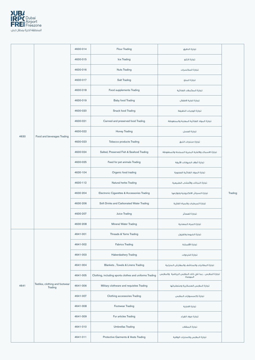

|      |                                            | 4630-014 | <b>Flour Trading</b>                                    | تجارة الدقيق                                                    |         |
|------|--------------------------------------------|----------|---------------------------------------------------------|-----------------------------------------------------------------|---------|
|      |                                            | 4630-015 | Ice Trading                                             | تجارة الثلج                                                     |         |
|      |                                            | 4630-016 | <b>Nuts Trading</b>                                     | تجارة المكسرات                                                  |         |
|      |                                            | 4630-017 | <b>Salt Trading</b>                                     | تجارة الملح                                                     |         |
|      |                                            | 4630-018 | Food supplements Trading                                | تجارة المكملات الغذائية                                         |         |
|      |                                            | 4630-019 | <b>Baby food Trading</b>                                | تجارة اغذية الاطفال                                             |         |
|      |                                            | 4630-020 | Snack food Trading                                      | تجارة الوجبات الخفيفة                                           |         |
|      |                                            | 4630-021 | Canned and preserved food Trading                       | تجارة المواد الغذائية المعلبة والمحفوظة                         |         |
| 4630 | Food and beverages Trading                 | 4630-022 | <b>Honey Trading</b>                                    | تجارة العسل                                                     |         |
|      |                                            | 4630-023 | <b>Tobacco products Trading</b>                         | تجارة منتجات التبغ                                              |         |
|      |                                            | 4630-024 | Salted, Preserved Fish & Seafood Trading                | تجارة الاسماك والاغذية البحرية المملحة والمحفوظة                |         |
|      |                                            | 4630-025 | Feed for pet animals Trading                            | تجارة أعلاف الحيوانات الأليفة                                   |         |
|      |                                            | 4630-104 | Organic food trading                                    | تجارة المواد الغذائية العضوية                                   |         |
|      |                                            | 4630-112 | Natural herbs Trading                                   | تجارة النباتات والأعشاب الطبيعية                                | Trading |
|      |                                            | 4630-204 | Electronic Cigarettes & Accessories Trading             | تجارة السجائر الالكترونية ولوازمها                              |         |
|      |                                            | 4630-206 | Soft Drinks and Carbonated Water Trading                | تجارة المرطبات والمياه الغازية                                  |         |
|      |                                            | 4630-207 | <b>Juice Trading</b>                                    | تجارة العصائر                                                   |         |
|      |                                            | 4630-208 | Mineral Water Trading                                   | تجارة المياه المعدنية                                           |         |
|      |                                            | 4641-001 | Threads & Yarns Trading                                 | تجارة الخيوط والغزول                                            |         |
|      |                                            | 4641-002 | <b>Fabrics Trading</b>                                  | تجارة الأقمشة                                                   |         |
|      |                                            | 4641-003 | Haberdashery Trading                                    | تجارة الخردوات                                                  |         |
|      |                                            | 4641-004 | Blankets, Towels & Linens Trading                       | تجارة البطانيات والمناشف والمفارش المنزلية                      |         |
|      |                                            | 4641-005 | Clothing, including sports clothes and uniforms Trading | تجارة الملابس ، بما في ذلك الملابس الرياضية والملابس<br>الموحدة |         |
| 4641 | Textiles, clothing and footwear<br>Trading | 4641-006 | Military clothware and requisites Trading               | تجارة الملابس العسكرية ومتطلباتها                               |         |
|      |                                            | 4641-007 | Clothing accessories Trading                            | تجارة إكسسوارات الملابس                                         |         |
|      |                                            | 4641-008 | Footwear Trading                                        | تجارة الاحذية                                                   |         |
|      |                                            | 4641-009 | Fur articles Trading                                    | تجارة مواد الفراء                                               |         |
|      |                                            | 4641-010 | <b>Umbrellas Trading</b>                                | تجارة المظلات                                                   |         |
|      |                                            | 4641-011 | Protective Garments & Vests Trading                     | تجارة الملابس والسترات الواقية                                  |         |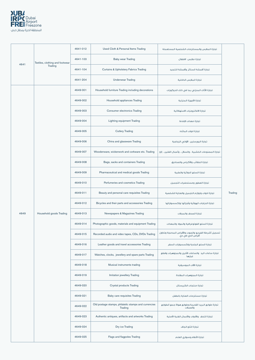

|      |                                 | 4641-012 | Used Cloth & Personal Items Trading                             | تجارة الملابس والمستلزمات الشخصية المستعملة                            |         |
|------|---------------------------------|----------|-----------------------------------------------------------------|------------------------------------------------------------------------|---------|
| 4641 | Textiles, clothing and footwear | 4641-103 | <b>Baby wear Trading</b>                                        | تجارة ملابس الاطفال                                                    |         |
|      | Trading                         | 4641-104 | <b>Curtains &amp; Upholstery Fabrics Trading</b>                | تجارة أقمشة الستائر وأقمشة التنجيد                                     |         |
|      |                                 | 4641-204 | <b>Underwear Trading</b>                                        | تجارة الملابس الداخلية                                                 |         |
|      |                                 | 4649-001 | Household furniture Trading including decorations               | تجارة الأثاث المنزلى بما فى ذلك الديكورات                              |         |
|      |                                 | 4649-002 | Household appliances Trading                                    | تجارة الأجهزة المنزلية                                                 |         |
|      |                                 | 4649-003 | Consumer electronics Trading                                    | تجارة الالكترونيات الاستهلاكية                                         |         |
|      |                                 | 4649-004 | <b>Lighting equipment Trading</b>                               | تجارة معدات الإضاءة                                                    |         |
|      |                                 | 4649-005 | <b>Cutlery Trading</b>                                          | تجارة ادوات المائده                                                    |         |
|      |                                 | 4649-006 | China and glassware Trading                                     | تجارة البورسلين الأواني الزجاجية                                       |         |
|      |                                 | 4649-007 | Woodenware, wickerwork and corkware etc. Trading                | تجارة المصنوعات الخشبية ، والسلال ، وأعمال الفلين ، إلخ                |         |
|      |                                 | 4649-008 | Bags, sacks and containers Trading                              | تجارة الحقائب والأكياس والصناديق                                       |         |
|      | Household goods Trading         | 4649-009 | Pharmaceutical and medical goods Trading                        | تجارة السلع الدوائية والطبية                                           | Trading |
|      |                                 | 4649-010 | Perfumeries and cosmetics Trading                               | تحارة العطور ومستحضرات التحميل                                         |         |
|      |                                 | 4649-011 | Beauty and personal care requisites Trading                     | تجارة ادوات ولوازه التجميل والعناية الشخصية                            |         |
|      |                                 | 4649-012 | Bicycles and their parts and accessories Trading                | تجارة الدراجات الهوائية وأجزائها وإكسسواراتها                          |         |
| 4649 |                                 | 4649-013 | Newspapers & Magazines Trading                                  | تجارة الصحف والمجلات                                                   |         |
|      |                                 | 4649-014 | Photographic goods, materials and equipment Trading             | تجارة السلع الفوتوغرافية والمواد والمعدات                              |         |
|      |                                 | 4649-015 | Recorded audio and video tapes, CDs, DVDs Trading               | تسجيل أشرطة الفيديو والصوت والأقراص المدمجة وتداول<br>أقراص الدي في دي |         |
|      |                                 | 4649-016 | Leather goods and travel accessories Trading                    | تجارة السلع الجلدية وإكسسوارات السفر                                   |         |
|      |                                 | 4649-017 | Watches, clocks, jewellery and spare parts Trading              | تجارة ساعات اليد والساعات الأخرى والمجوهرات وقطع<br>غيارها             |         |
|      |                                 | 4649-018 | Musical instruments trading                                     | تجارة الآلات الموسيقية                                                 |         |
|      |                                 | 4649-019 | Imitation jewellery Trading                                     | تجارة المجوهرات المقلدة                                                |         |
|      |                                 | 4649-020 | <b>Crystal products Trading</b>                                 | تجارة منتجات الكريستال                                                 |         |
|      |                                 | 4649-021 | Baby care requisites Trading                                    | تجارة مستلزمات العناية بالطفل                                          |         |
|      |                                 | 4649-022 | Old postage stamps, philatelic stamps and currencies<br>Trading | تجارة طوابع البريد القديمة وطوابع هواة جمع الطوابع<br>والعملات         |         |
|      |                                 | 4649-023 | Authentic antiques, artifacts and artworks Trading              | تجارة التحف والأدوات والأعمال الفنية الأصلية                           |         |
|      |                                 | 4649-024 | Dry ice Trading                                                 | تجارة الثلج الجاف                                                      |         |
|      |                                 | 4649-025 | Flags and flagpoles Trading                                     | تجارة الأعلام وسواري العلم                                             |         |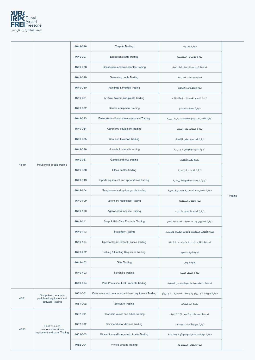

|      |                                                   | 4649-026 | <b>Carpets Trading</b>                              | تجارة السجاد                                     |         |
|------|---------------------------------------------------|----------|-----------------------------------------------------|--------------------------------------------------|---------|
|      |                                                   | 4649-027 | <b>Educational aids Trading</b>                     | تجارة الوسائل التعليمية                          |         |
|      |                                                   | 4649-028 | Chandeliers and wax candles Trading                 | تجارة الثريات والقناديل الشمعية                  |         |
|      |                                                   | 4649-029 | Swimming pools Trading                              | تجارة حمامات السباحة                             |         |
|      |                                                   | 4649-030 | Paintings & Frames Trading                          | تجارة اللوحات والبراويز                          |         |
|      |                                                   | 4649-031 | Artificial flowers and plants Trading               | تجارة الزهور الاصطناعية والنباتات                |         |
|      |                                                   | 4649-032 | Garden equipment Trading                            | تجارة معدات الحدائق                              |         |
|      |                                                   | 4649-033 | Fireworks and laser show equipment Trading          | تجارة الألعاب النارية ومعدات العرض الليزرية      |         |
|      |                                                   | 4649-034 | Astronomy equipment Trading                         | تجارة معدات علم الفلك                            |         |
|      |                                                   | 4649-035 | Coal and firewood Trading                           | تجارة الفحم وحطب الإشعال                         |         |
|      |                                                   | 4649-036 | Household utensils trading                          | تجارة الادوات والاواني المنزلية                  |         |
|      |                                                   | 4649-037 | Games and toys trading                              | تجارة لعب الأطفال                                |         |
| 4649 | Household goods Trading                           | 4649-038 | Glass bottles trading                               | تجارة القوارير الزجاجية                          | Trading |
|      |                                                   | 4649-043 | Sports equipment and apparatuses trading            | تجارة المعدات والاجهزة الرياضية                  |         |
|      |                                                   | 4649-104 | Sunglasses and optical goods trading                | تجارة النظارات الشمسية والسلع البصرية            |         |
|      |                                                   | 4640-109 | Veterinary Medicines Trading                        | تجارة الادوية البيطرية                           |         |
|      |                                                   | 4649-110 | Agarwood & Incense Trading                          | تجارة العود والبخور والطيب                       |         |
|      |                                                   | 4649-111 | Soap & Hair Care Products Trading                   | تجارة الصابون ومستحضرات العناية بالشعر           |         |
|      |                                                   | 4649-113 | <b>Stationery Trading</b>                           | تجارة الأدوات المكتبية وأدوات الكتابة والرسم     |         |
|      |                                                   | 4649-114 | Spectacles & Contact Lenses Trading                 | تجارة النظارات الطبية والعدسات اللاصقة           |         |
|      |                                                   | 4649-202 | Fishing & Hunting Requisites Trading                | تجارة أدوات الصيد                                |         |
|      |                                                   | 4649-402 | <b>Gifts Trading</b>                                | تجارة الهدايا                                    |         |
|      |                                                   | 4649-403 | <b>Novelties Trading</b>                            | تجارة التحف الفنية                               |         |
|      |                                                   | 4649-404 | Para-Pharmaceutical Products Trading                | تجارة المستحضرات الصيدلانية غير الدوائية         |         |
|      | Computers, computer                               | 4651-001 | Computers and computer peripheral equipment Trading | تجارة أجهزة الكمبيوتر والمعدات الطرفية للكمبيوتر |         |
| 4651 | peripheral equipment and<br>software Trading      | 4651-002 | Software Trading                                    | تجارة البرمجيات                                  |         |
|      |                                                   | 4652-001 | Electronic valves and tubes Trading                 | تجارة الصمامات والأنابيب الإلكترونية             |         |
|      | Electronic and                                    | 4652-002 | Semiconductor devices Trading                       | تجارة أجهزة أشباه الموصلات                       |         |
| 4652 | telecommunications<br>equipment and parts Trading | 4652-003 | Microchips and integrated circuits Trading          | تجارة الرقاقات الدقيقة والدوائر المتكاملة        |         |
|      |                                                   | 4652-004 | <b>Printed circuits Trading</b>                     | تجارة الدوائر المطبوعة                           |         |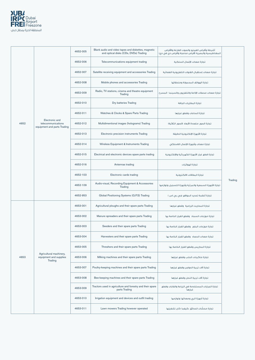

|      |                                                                     | 4652-005 | Blank audio and video tapes and diskettes, magnetic<br>and optical disks (CDs, DVDs) Trading | أشرطة وأقراص الفيديو والصوت الفارغة والأقراص<br>المغناطيسية والبصرية (أقراص مدمجة وأقراص دي في دي) |         |
|------|---------------------------------------------------------------------|----------|----------------------------------------------------------------------------------------------|----------------------------------------------------------------------------------------------------|---------|
|      |                                                                     | 4652-006 | Telecommunications equipment trading                                                         | تحارة معدات الإتصال السلكية                                                                        |         |
|      |                                                                     | 4652-007 | Satellite receiving equipment and accessories Trading                                        | تجارة معدات إستقبال القنوات التلفزيونية الفضائية                                                   |         |
|      |                                                                     | 4652-008 | Mobile phones and accessories Trading                                                        | تجارة الهواتف المحمولة وملحقاتها                                                                   |         |
|      |                                                                     | 4652-009 | Radio, TV stations, cinema and theatre equipment<br>Trading                                  | تجارة معدات محطات الإذاعة والتلفزيون والسينما المسرح                                               |         |
|      |                                                                     | 4652-010 | Dry batteries Trading                                                                        | تجارة البطاريات الجافة                                                                             |         |
|      |                                                                     | 4652-011 | Watches & Clocks & Spare Parts Trading                                                       | تجارة الساعات وقطع غيارها                                                                          |         |
| 4652 | Electronic and<br>telecommunications<br>equipment and parts Trading | 4652-012 | Multidimentional images (holograms) Trading                                                  | تجارة الصور متعددة الأبعاد (الصور الثلاثية)                                                        |         |
|      |                                                                     | 4652-013 | Electronic precision instruments Trading                                                     | تجارة الأجهزة الإلكترونية الدقيقة                                                                  |         |
|      |                                                                     | 4652-014 | Wireless Equipment & Instruments Trading                                                     | تجارة معدات وأجهزة الإتصال اللاسلكى                                                                |         |
|      |                                                                     | 4652-015 | Electrical and electronic devices spare parts trading                                        | تجارة قطع غيار الأجهزة الكهربائية والإلكترونية                                                     |         |
|      |                                                                     | 4652-016 | Antennas trading                                                                             | تجارة الهوائيات                                                                                    | Trading |
|      |                                                                     | 4652-103 | Electronic cards trading                                                                     | تجارة البطاقات الالكترونية                                                                         |         |
|      |                                                                     | 4652-109 | Audio-visual, Recording Equipment & Accessories<br>Trading                                   | تجارة الأجهزة السمعية والمرئية وأجهزة التسجيل ولوازمها                                             |         |
|      |                                                                     | 4652-953 | Global Positioning Systems (G.P.S) Trading                                                   | تجارة أنظمة تحديد المواقع (جي بي اس )                                                              |         |
|      |                                                                     | 4653-001 | Agricultural ploughs and their spare parts Trading                                           | تجارة المحاريث الزراعية وقطع غيارها                                                                |         |
|      |                                                                     | 4653-002 | Manure spreaders and their spare parts Trading                                               | تجارة موزعات السماد وقطع الغيار الخاصة بها                                                         |         |
|      |                                                                     | 4653-003 | Seeders and their spare parts Trading                                                        | تجارة موزعات البذور وقطع الغيار الخاصة بها                                                         |         |
|      |                                                                     | 4653-004 | Harvesters and their spare parts Trading                                                     | تجارة معدات الحصاد وقطع الغيار الخاصة بها                                                          |         |
|      |                                                                     | 4653-005 | Threshers and their spare parts Trading                                                      | تجارة المداريس وقطع الغيار الخاصة بها                                                              |         |
| 4653 | Agricultural machinery,<br>equipment and supplies<br>Trading        | 4653-006 | Milking machines and their spare parts Trading                                               | تجارة ماكينات الحلب وقطع غيارها                                                                    |         |
|      |                                                                     | 4653-007 | Poultry-keeping machines and their spare parts Trading                                       | تجارة آلات تربية الدواجن وقطع غيارها                                                               |         |
|      |                                                                     | 4653-008 | Bee-keeping machines and their spare parts Trading                                           | تجارة آلات تربية النحل وقطع غيارها                                                                 |         |
|      |                                                                     | 4653-009 | Tractors used in agriculture and forestry and their spare<br>parts Trading                   | تجارة الجرارات المستخدمة في الزراعة والغابات وقطع<br>غيارها                                        |         |
|      |                                                                     | 4653-010 | Irrigation equipment and devices and outfit trading                                          | تجارة أجهزة الري ومعداتها ولوازمها                                                                 |         |
|      |                                                                     | 4653-011 | Lawn mowers Trading however operated                                                         | تجارة محشَّات الحدائق ،كيفما كان تشغيلها                                                           |         |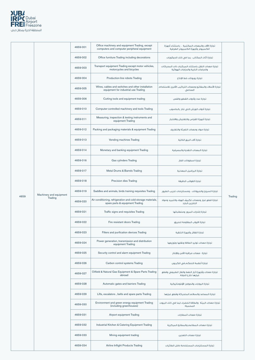

|      |                         | 4659-001 | Office machinery and equipment Trading, except<br>computers and computer peripheral equipment  | تجارة الآلات والمعدات المكتبية ، باستثناء أجهزة<br>الكمبيوتر وأجهزة الكمبيوتر الطرفية    |         |
|------|-------------------------|----------|------------------------------------------------------------------------------------------------|------------------------------------------------------------------------------------------|---------|
|      |                         | 4659-002 | Office furniture Trading including decorations                                                 | تجارة أثاث المكاتب بما في ذلك الديكورات                                                  |         |
|      |                         | 4659-003 | Transport equipment Trading except motor vehicles,<br>motorcycles and bicycles                 | تجارة معدات النقل باستثناء المركبات ذات المحركات<br>والدراجات النارية والدراجات الهوائية |         |
|      |                         | 4659-004 | Production-line robots Trading                                                                 | تجارة روبوتات خط الإنتاج                                                                 |         |
|      |                         | 4659-005 | Wires, cables and switches and other installation<br>equipment for industrial use Trading      | تجارة الأسلاك والمفاتيح ومعدات التركيب الأخرى للاستخدام<br>الصناعى                       |         |
|      |                         | 4659-006 | Cutting tools and equipment trading                                                            | تجارة عدد وأدوات القطع والقص                                                             |         |
|      |                         | 4659-010 | Computer-controlled machinery and tools Trading                                                | تجارة أدوات الورش التي تدار بالحاسوب                                                     |         |
|      |                         | 4659-011 | Measuring, inspection & testing instruments and<br>equipment Trading                           | تجارة أجهزة القياس والتفتيش والاختبار                                                    |         |
|      |                         | 4659-012 | Packing and packaging materials & equipment Trading                                            | تجارة مواد ومعدات التعبئة والتغليف                                                       |         |
|      |                         | 4659-013 | Vending machines Trading                                                                       | تجارة آلات البيع الذاتية                                                                 |         |
|      |                         | 4659-014 | Monetary and banking equipment Trading                                                         | تجارة المعدات النقدية والمصرفية                                                          |         |
|      |                         | 4659-016 | <b>Gas cylinders Trading</b>                                                                   | تجارة اسطوانات الغاز                                                                     |         |
|      |                         | 4659-017 | Metal Drums & Barrels Trading                                                                  | تجارة البراميل المعدنية                                                                  |         |
|      |                         | 4659-018 | Precision dies Trading                                                                         | تجارة القوالب الدقيقة                                                                    | Trading |
|      | Machinery and equipment | 4659-019 | Saddles and animals, birds training requisites Trading                                         | تجارة السروج والحيوانات ، ومستلزمات تدريب الطيور                                         |         |
| 4659 | Trading                 | 4659-020 | Air conditioning, refrigeration and cold storage materials,<br>spare parts & equipment Trading | تجارة قطع غيار ومعدات تكييف الهواء والتبريد ومواد<br>التخزين البارد                      |         |
|      |                         | 4659-021 | Traffic signs and requisites Trading                                                           | تجارة إشارات المرور ومتطلباتها                                                           |         |
|      |                         | 4659-022 | Fire resistant doors Trading                                                                   | تجارة الابواب المقاومة للحريق                                                            |         |
|      |                         | 4659-023 | Filters and purification devices Trading                                                       | تجارة الفلاتر وأجهزة التنقية                                                             |         |
|      |                         | 4659-024 | Power generation, transmission and distribution<br>equipment Trading                           | تجارة معدات توليد الطاقة ونقلها وتوزيعها                                                 |         |
|      |                         | 4659-025 | Security control and alarm equipment Trading                                                   | تجارة معدات مراقبة الأمن والإنذار                                                        |         |
|      |                         | 4659-026 | Carbon control systems Trading                                                                 | تجارة أنظمة التحكم فى الكربون                                                            |         |
|      |                         | 4659-027 | Oilfield & Natural Gas Equipment & Spare Parts Trading<br>abroad                               | تجارة معدات وأجهزة آبار النفط والغاز الطبيعي وقطع<br>غيارها خارج الحولة                  |         |
|      |                         | 4659-028 | Automatic gates and barriers Trading                                                           | تجارة البوابات والحواجز الأوتوماتيكية                                                    |         |
|      |                         | 4659-029 | Lifts, escalators, belts and spare parts Trading                                               | تجارة المصاعد والسلالم المتحركة وقطع غيارها                                              |         |
|      |                         | 4659-030 | Environment and green energy equipment Trading<br>(including greenhouses)                      | تجارة معدات البيئة والطاقة الخضراء (بما في ذلك البيوت<br>المحمية)                        |         |
|      |                         | 4659-031 | Airport equipment Trading                                                                      | تجارة معدات المطارات                                                                     |         |
|      |                         | 4659-032 | Industrial Kitchen & Catering Equipment Trading                                                | تجارة معدات المطاعم والمطابخ المركزية                                                    |         |
|      |                         | 4659-033 | Mining equipment trading                                                                       | تجارة معدات التعدين                                                                      |         |
|      |                         | 4659-034 | Airline Inflight Products Trading                                                              | تجارة المستلزمات المستخدمة داخل الطائرات                                                 |         |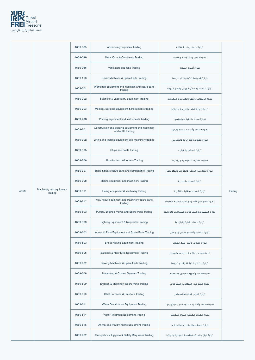

|      |                                    | 4659-035 | Advertising requisites Trading                                          | تجارة مستلزمات الإعلانات                       |         |
|------|------------------------------------|----------|-------------------------------------------------------------------------|------------------------------------------------|---------|
|      |                                    | 4659-039 | Metal Cans & Containers Trading                                         | تجارة العلب والعبوات المعدنية                  |         |
|      |                                    | 4659-056 | Ventilators and fans Trading                                            | تجارة أجهزة التهوية                            |         |
|      |                                    | 4659-118 | Smart Machines & Spare Parts Trading                                    | تجارة الأجهزة الذكية وقطع غيارها               |         |
|      |                                    | 4659-201 | Workshop equipment and machines and spare parts<br>trading              | تجارة معدات ومكائن الورش وقطع غيارها           |         |
|      |                                    | 4659-202 | Scientific & Laboratory Equipment Trading                               | تجارة المعدات والأجهزة العلمية والمعملية       |         |
|      |                                    | 4659-203 | Medical, Surgical Equipment & Instruments trading                       | تجارة أجهزة الطب والجراحة وأدواتها             |         |
|      |                                    | 4659-208 | Printing equipment and instruments Trading                              | تجارة معدات الطباعة ولوازمها                   |         |
|      |                                    | 4659-301 | Construction and building equipment and machinery<br>and outfit trading | تجارة معدات وآليات البناء ولوازمها             |         |
|      |                                    | 4659-302 | Lifting and loading equipment and machinery trading                     | تجارة معدات وآلات الرفع والتحميل               |         |
|      |                                    | 4659-305 | Ships and boats trading                                                 | تجارة السفن والقوارب                           |         |
|      |                                    | 4659-306 | Aircrafts and helicopters Trading                                       | تجارة الطائرات الثقيلة والمروحيات              |         |
|      |                                    | 4659-307 | Ships & boats spare parts and components Trading                        | تجارة قطع غيار السفن والقوارب ومكوناتها        | Trading |
|      |                                    | 4659-308 | Marine equipment and machinery trading                                  | تجارة المعدات البحرية                          |         |
| 4659 | Machinery and equipment<br>Trading | 4659-311 | Heavy equipment & machinery trading                                     | تجارة المعدات والآليات الثقيلة                 |         |
|      |                                    | 4659-312 | New heavy equipment and machinery spare parts<br>trading                | تجارة قطع غيار الآلات والمعدات الثقيلة الجديدة |         |
|      |                                    | 4659-503 | Pumps, Engines, Valves and Spare Parts Trading                          | تجارة المضخات والمحركات والصمامات ولوازمها     |         |
|      |                                    | 4659-509 | Lighting Equipment & Requisites Trading                                 | تجارة معدات الإنارة ولوازمها                   |         |
|      |                                    | 4659-602 | Industrial Plant Equipment and Spare Parts Trading                      | تجارة معدات وآلات المطاحن والمخابز             |         |
|      |                                    | 4659-603 | <b>Bricks Making Equipment Trading</b>                                  | تجارة معدات وآلات صنع الطوب                    |         |
|      |                                    | 4659-605 | Bakeries & Flour Mills Equipment Trading                                | تجارة معدات وآلات المطاحن والمخابز             |         |
|      |                                    | 4659-607 | Sewing Machines & Spare Parts Trading                                   | تجارة مكائن الخياطة وقطع غيارها                |         |
|      |                                    | 4659-608 | Measuring & Control Systems Trading                                     | تجارة معدات وأجهزة القياس والتحكم              |         |
|      |                                    | 4659-609 | Engines & Machinery Spare Parts Trading                                 | تجارة قطع غيار المكائن والمحركات               |         |
|      |                                    | 4659-610 | <b>Blast Furnaces &amp; Smelters Trading</b>                            | تجارة الافران العالية والمصاهر                 |         |
|      |                                    | 4659-611 | <b>Water Desalination Equipment Trading</b>                             | تجارة معدات وآلات إزالة ملوحة المياه ولوازمها  |         |
|      |                                    | 4659-614 | <b>Water Treatment Equipment Trading</b>                                | تجارة معدات معالجة المياه وتنقيتها             |         |
|      |                                    | 4659-616 | Animal and Poultry Farms Equipment Trading                              | تجارة معدات وآلات المزارع والمداجن             |         |
|      |                                    | 4659-907 | Occupational Hygiene & Safety Requisites Trading                        | تجارة لوازم السلامة والصحة المهنية وأدواتها    |         |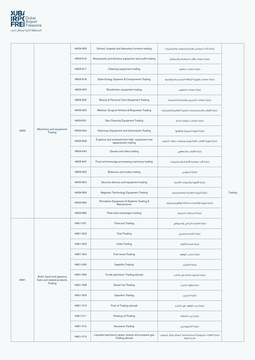

|      |                                                         | 4659-909 | School, hospital and laboratory furniture trading                    | تجارة أثاث المدارس والمستشفيات والمختبرات                                 |         |
|------|---------------------------------------------------------|----------|----------------------------------------------------------------------|---------------------------------------------------------------------------|---------|
|      |                                                         | 4659-916 | Restaurants and kitchens equipment and outfit trading                | تجارة معدات وآلات المطاعم والمطابخ                                        |         |
|      |                                                         | 4659-917 | Cleaning equipment trading                                           | تجارة معدات تنظيف                                                         |         |
|      |                                                         | 4659-918 | Solar Energy Systems & Components Trading                            | تجارة معدات وأجهزة الطاقة الشمسية ولوازمها                                |         |
|      |                                                         | 4659-920 | Disinfection equipment trading                                       | تجارة معدات التطهير                                                       |         |
|      |                                                         | 4659-925 | Beauty & Personal Care Equipment Trading                             | تجارة معدات التجميل والعناية الشخصية                                      |         |
|      |                                                         | 4659-930 | Medical, Surgical Articles & Requisites Trading                      | تجارة الادوات والمستلزمات الطبية العلاجية والجراحية                       |         |
|      |                                                         | 4659-931 | Sea Cleaning Equipment Trading                                       | تجارة معدات تنظيف البحار                                                  |         |
| 4659 | Machinery and equipment<br>Trading                      | 4659-934 | Veterinary Equipment and Instruments Trading                         | تجارة أجهزة البيطرة وأدواتها                                              |         |
|      |                                                         | 4659-938 | E-games and entertainment halls equipment and<br>apparatuses trading | تجارة أجهزة الألعاب الالكترونيه ومعدات صالات الترفيه                      |         |
|      |                                                         | 4659-940 | Games and rides trading                                              | تجارة الالعاب والملاهى                                                    |         |
|      |                                                         | 4659-947 | Food and beverage processing machinery trading                       | تجارة آلات معالجة الأغذية والمشروبات                                      |         |
|      |                                                         | 4659-952 | Balances and scales trading                                          | تجارة الموازين                                                            | Trading |
|      |                                                         | 4659-954 | Security devices and equipment trading                               | تجارة الأجهزة والمعدات الأمنية                                            |         |
|      |                                                         | 4659-956 | Magnetic Technology Equipment Trading                                | تجارة أجهزة التقنية المغناطيسية                                           |         |
|      |                                                         | 4659-965 | Simulation Equipment & Systems Trading &<br>Maintenance              | تجارة أجهزة وأنظمة محاكاة الواقع وصيانتها                                 |         |
|      |                                                         | 4659-966 | Plate heat exchangers trading                                        | تجارة المبادلات الحرارية                                                  |         |
|      |                                                         | 4661-001 | <b>Charcoal Trading</b>                                              | تجارة الفحم النباتي والحيواني                                             |         |
|      |                                                         | 4661-002 | <b>Coal Trading</b>                                                  | تجارة الفحم الحجرى                                                        |         |
|      |                                                         | 4661-003 | <b>Coke Trading</b>                                                  | تجارة فحم الكوك                                                           |         |
|      |                                                         | 4661-004 | Fuel wood Trading                                                    | تجارة خشب الوقود                                                          |         |
|      |                                                         | 4661-005 | Naphtha Trading                                                      | تجارة النفثين                                                             |         |
| 4661 | Solid, liquid and gaseous<br>fuels and related products | 4661-006 | Crude petroleum Trading abroad                                       | تجارة البترول الخام في الخارج                                             |         |
|      | Trading                                                 | 4661-008 | Diesel fuel Trading                                                  | تجارة وقود الديزل                                                         |         |
|      |                                                         | 4661-009 | <b>Gasoline Trading</b>                                              | تجارة البنزين                                                             |         |
|      |                                                         | 4661-010 | Fuel oil Trading abroad                                              | تجارة زيت الوقود في الخارج                                                |         |
|      |                                                         | 4661-011 | <b>Heating oil Trading</b>                                           | تجارة زيت التدفئة                                                         |         |
|      |                                                         | 4661-012 | Kerosene Trading                                                     | تجارة الكيروسين                                                           |         |
|      |                                                         | 4661-013 | Liquefied petroleum gases, butane and propane gas<br>Trading abroad  | تجارة الغازات البترولية المسالة وغاز البوتان وغاز البروبان<br>خارج الدولة |         |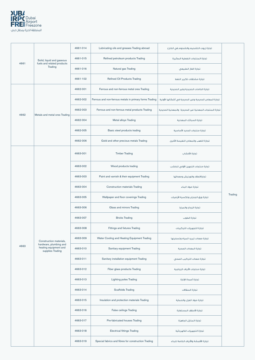

|      |                                                                     | 4661-014 | Lubricating oils and greases Trading abroad             | تجارة زيوت التشحيم والشحوم في الخارج                    |         |
|------|---------------------------------------------------------------------|----------|---------------------------------------------------------|---------------------------------------------------------|---------|
| 4661 | Solid, liquid and gaseous<br>fuels and related products             | 4661-015 | Refined petroleum products Trading                      | تجارة المنتجات النفطية المكررة                          |         |
|      | Trading                                                             | 4661-016 | Natural gas Trading                                     | تجارة الغاز الطبيعي                                     |         |
|      |                                                                     | 4661-102 | <b>Refined Oil Products Trading</b>                     | تجارة مشتقات تكرير النفط                                |         |
|      |                                                                     | 4662-001 | Ferrous and non-ferrous metal ores Trading              | تجارة الخامات الحديدية وغير الحديدية                    |         |
|      |                                                                     | 4662-002 | Ferrous and non-ferrous metals in primary forms Trading | تجارة المعادن الحديدية وغير الحديدية فى أشكالها الأولية |         |
| 4662 | Metals and metal ores Trading                                       | 4662-003 | Ferrous and non-ferrous metal products Trading          | تجارة المنتجات المعدنية غير الحديدية والمعدنية الحديدية |         |
|      |                                                                     | 4662-004 | Metal alloys Trading                                    | تجارة السبائك المعدنية                                  |         |
|      |                                                                     | 4662-005 | Basic steel products trading                            | تجارة منتجات الحديد الأساسية                            |         |
|      |                                                                     | 4662-006 | Gold and other precious metals Trading                  | تجارة الذهب والمعادن النفيسة الأخرى                     |         |
|      |                                                                     | 4663-001 | <b>Timber Trading</b>                                   | تجارة الأخشاب                                           |         |
|      |                                                                     | 4663-002 | Wood products trading                                   | تجارة منتجات التجهيز الأولى للخشب                       |         |
|      |                                                                     | 4663-003 | Paint and varnish & their equipment Trading             | تجارةالطلاء والورنيش ومعداتها                           | Trading |
|      |                                                                     | 4663-004 | Construction materials Trading                          | تجارة مواد البناء                                       |         |
|      |                                                                     | 4663-005 | Wallpaper and floor coverings Trading                   | تجارة ورق الجدران وتكسية الأرضيات                       |         |
|      |                                                                     | 4663-006 | Glass and mirrors Trading                               | تجارة الزجاج والمرايا                                   |         |
|      |                                                                     | 4663-007 | <b>Bricks Trading</b>                                   | تجارة الطوب                                             |         |
|      |                                                                     | 4663-008 | Fittings and fixtures Trading                           | تجارة التجهيزات التركيبات                               |         |
|      | Construction materials,                                             | 4663-009 | Water Cooling and Heating Equipment Trading             | تجارة معدات تبريد المياه وتسخينها                       |         |
| 4663 | hardware, plumbing and<br>heating equipment and<br>supplies Trading | 4663-010 | Sanitary equipment Trading                              | تجارة المعدات الصحية                                    |         |
|      |                                                                     | 4663-011 | Sanitary installation equipment Trading                 | تجارة معدات التركيب الصحى                               |         |
|      |                                                                     | 4663-012 | Fiber glass products Trading                            | تجارة منتجات الألياف الزجاجية                           |         |
|      |                                                                     | 4663-013 | Lighting poles Trading                                  | تجارة أعمدة الإنارة                                     |         |
|      |                                                                     | 4663-014 | <b>Scaffolds Trading</b>                                | تجارة السقالات                                          |         |
|      |                                                                     | 4663-015 | Insulation and protection materials Trading             | تجارة مواد العزل والحماية                               |         |
|      |                                                                     | 4663-016 | False ceilings Trading                                  | تجارة الأسقف المستعارة                                  |         |
|      |                                                                     | 4663-017 | Pre-fabricated houses Trading                           | تجارة المنازل الجاهزة                                   |         |
|      |                                                                     | 4663-018 | <b>Electrical fittings Trading</b>                      | تجارة التجهيزات الكهربائية                              |         |
|      |                                                                     | 4663-019 | Special fabrics and fibres for construction Trading     | تجارة الأقمشة والألياف الخاصة للبناء                    |         |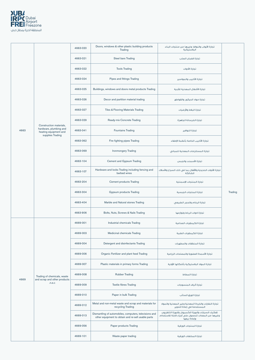

|      |                                                                                                | 4663-020 | Doors, windows & other plastic building products<br>Trading                                                  | تجارة الأبواب والنوافذ وغيرها من منتجات البناء<br>البلاستيكية                                                          |         |
|------|------------------------------------------------------------------------------------------------|----------|--------------------------------------------------------------------------------------------------------------|------------------------------------------------------------------------------------------------------------------------|---------|
|      |                                                                                                | 4663-021 | <b>Steel bars Trading</b>                                                                                    | تجارة قضبان الصلب                                                                                                      |         |
|      |                                                                                                | 4663-022 | <b>Tools Trading</b>                                                                                         | تجارة الأدوات                                                                                                          |         |
|      |                                                                                                | 4663-024 | Pipes and fittings Trading                                                                                   | تجارة الأنابيب والمواسير                                                                                               |         |
|      |                                                                                                | 4663-025 | Buildings, windows and doors metal products Trading                                                          | تجارة الأشغال المعدنية للأبنية                                                                                         |         |
|      |                                                                                                | 4663-026 | Decor and partition material trading                                                                         | تجارة مواد الديكور والقواطع                                                                                            |         |
|      |                                                                                                | 4663-027 | Tiles & Flooring Materials Trading                                                                           | تجارة البلاط والأرضيات                                                                                                 |         |
|      |                                                                                                | 4663-029 | Ready-mix Concrete Trading                                                                                   | تجارة الخرسانة الجاهزة                                                                                                 |         |
| 4663 | Construction materials,<br>hardware, plumbing and<br>heating equipment and<br>supplies Trading | 4663-041 | <b>Fountains Trading</b>                                                                                     | تجارة النوافير                                                                                                         |         |
|      |                                                                                                | 4663-062 | Fire fighting pipes Trading                                                                                  | تجارة الأنابيب الخاصة بأنظمة الإطفاء                                                                                   |         |
|      |                                                                                                | 4663-069 | <b>Ironmongery Trading</b>                                                                                   | تجارة المستلزمات المعدنية للمبانى                                                                                      |         |
|      |                                                                                                | 4663-104 | Cement and Gypsum Trading                                                                                    | تجارة الأسمنت والجبس                                                                                                   |         |
|      |                                                                                                | 4663-107 | Hardware and locks Trading including fencing and<br>barbed wires                                             | تجارة الأدوات الحديدية والأقفال بما في ذلك السياج والأسلاك<br>الشائكة                                                  | Trading |
|      |                                                                                                | 4663-204 | <b>Cement products Trading</b>                                                                               | تجارة المنتجات الإسمنتية                                                                                               |         |
|      |                                                                                                | 4663-304 | <b>Gypsum products Trading</b>                                                                               | تجارة المنتجات الجبسية                                                                                                 |         |
|      |                                                                                                | 4663-404 | Marble and Natural stones Trading                                                                            | تجارة الرخام والحجر الطبيعى                                                                                            |         |
|      |                                                                                                | 4663-906 | Bolts, Nuts, Screws & Nails Trading                                                                          | تجارة ادوات الرباط ولوازمها                                                                                            |         |
|      |                                                                                                | 4669-001 | Industrial chemicals Trading                                                                                 | تجارة الكيماويات الصناعية                                                                                              |         |
|      |                                                                                                | 4669-003 | Medicinal chemicals Trading                                                                                  | تجارة الكيماويات الطبية                                                                                                |         |
|      |                                                                                                | 4669-004 | Detergent and disinfectants Trading                                                                          | تجارة المنظفات والمطهرات                                                                                               |         |
|      |                                                                                                | 4669-006 | Organic Fertilizer and plant feed Trading                                                                    | تجارة الأسمدة العضوية والمصلحات الزراعية                                                                               |         |
|      |                                                                                                | 4669-007 | Plastic materials in primary forms Trading                                                                   | تجارة المواد البلاستيكية بأشكالها الأولية                                                                              |         |
| 4669 | Trading of chemicals, waste<br>and scrap and other products                                    | 4669-008 | <b>Rubber Trading</b>                                                                                        | تجارة المطاط                                                                                                           |         |
|      | n.e.c                                                                                          | 4669-009 | <b>Textile fibres Trading</b>                                                                                | تجارة ألياف المنسوجات                                                                                                  |         |
|      |                                                                                                | 4669-010 | Paper in bulk Trading                                                                                        | تجارة الورق السائب                                                                                                     |         |
|      |                                                                                                | 4669-012 | Metal and non-metal waste and scrap and materials for<br>recycling Trading                                   | تجارة النفايات والخردة المعدنية وغير المعدنية والمواد<br>المستخدمة في إعادة التدوير                                    |         |
|      |                                                                                                | 4669-013 | Dismantling of automobiles, computers, televisions and<br>other equipment to obtain and re-sell usable parts | تفكيك السيارات وأجهزة الكمبيوتر وأجهزة التلفزيون<br>وغيرها من المعدات للحصول على أجزاء قابلة للاستخدام<br>وإعادة بنعها |         |
|      |                                                                                                | 4669-056 | Paper products Trading                                                                                       | تجارة المنتجات الورقية                                                                                                 |         |
|      |                                                                                                | 4669-101 | Waste paper trading                                                                                          | تجارة المخلفات الورقية                                                                                                 |         |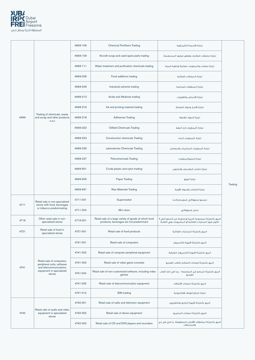

|      |                                                                                   | 4669-106 | <b>Chemical Fertilizers Trading</b>                                                              | تجارة الأسمدة الكيماوية                                                                                      |         |
|------|-----------------------------------------------------------------------------------|----------|--------------------------------------------------------------------------------------------------|--------------------------------------------------------------------------------------------------------------|---------|
|      |                                                                                   | 4669-109 | Aircraft scrap and used spare parts trading                                                      | تجارة مخلفات الطائرات وقطع غيارها المستعملة                                                                  |         |
|      |                                                                                   | 4669-111 | Water treatment and purification chemicals trading                                               | تحارة معدات وكبماويات معالجة وتنقية المياه                                                                   |         |
|      |                                                                                   | 4669-206 | Food additions trading                                                                           | تجارة المضافات الغذائية                                                                                      |         |
|      |                                                                                   | 4669-209 | Industrial solvents trading                                                                      | تجارة المنظفات الصناعية                                                                                      |         |
|      |                                                                                   | 4669-213 | Acids and Alkalines trading                                                                      | تجارة الأحماض والقلويات                                                                                      |         |
|      |                                                                                   | 4669-216 | Ink and printing material trading                                                                | تجارة الأحبار ومواد الطباعة                                                                                  |         |
| 4669 | Trading of chemicals, waste<br>and scrap and other products<br>n.e.c              | 4669-218 | <b>Adhesives Trading</b>                                                                         | تجارة المواد اللاصقة                                                                                         |         |
|      |                                                                                   | 4669-222 | <b>Oilfield Chemicals Trading</b>                                                                | تجارة كيماويات آبار النفط                                                                                    |         |
|      |                                                                                   | 4669-223 | <b>Construction chemicals Trading</b>                                                            | تجارة كيماويات البناء                                                                                        |         |
|      |                                                                                   | 4669-226 | Laboratories Chemicals Trading                                                                   | تجارة كيماويات المختبرات والمعامل                                                                            |         |
|      |                                                                                   | 4669-227 | Petrochemicals Trading                                                                           | تجارة البتروكيماويات                                                                                         | Trading |
|      |                                                                                   | 4669-901 | Crude plastic and nylon trading                                                                  | تجارة خامات البلاستيك والنايلون                                                                              |         |
|      |                                                                                   | 4669-905 | Paper Trading                                                                                    | تجارة الورق                                                                                                  |         |
|      |                                                                                   | 4669-991 | Raw Materials Trading                                                                            | تجارة الخامات والمواد الأولية                                                                                |         |
|      | Retail sale in non-specialized                                                    | 4711-001 | Supermarket                                                                                      | مجمع إستهلاكى (سوبر ماركت)                                                                                   |         |
| 4711 | stores with food, beverages<br>or tobacco predominating                           | 4711-004 | Mini store                                                                                       | متجر إستهلاكى                                                                                                |         |
| 4719 | Other retail sale in non-<br>specialized stores                                   | 4719-001 | Retail sale of a large variety of goods of which food<br>products, beverages are not predominant | البيع بالتجزئة لمجموعة كبيرة ومتنوعة من السلع التى لا<br>تكون فيها المنتجات الغذائية أو المشروبات هي الغالبة |         |
| 4721 | Retail sale of food in<br>specialized stores                                      | 4721-001 | Retail sale of food products                                                                     | البيع بالتجزئة للمنتجات الفذائية                                                                             |         |
|      |                                                                                   | 4741-001 | Retail sale of computers                                                                         | البيع بالتجزئة لأجهزة الكمبيوتر                                                                              |         |
|      |                                                                                   | 4741-002 | Retail sale of computer peripheral equipment                                                     | البيع بالتجزئة لأجهزة الكمبيوتر الطرفية                                                                      |         |
| 4741 | Retail sale of computers,<br>peripheral units, software<br>and telecommunications | 4741-003 | Retail sale of video game consoles                                                               | البيع بالتجزئة لوحدات التحكم بألعاب الفيديو                                                                  |         |
|      | equipment in specialized<br>stores                                                | 4741-004 | Retail sale of non-customized software, including video<br>games                                 | البيع بالتجزئة للبرامج غير المخصصة ، بما فى ذلك ألعاب<br>الفيديو                                             |         |
|      |                                                                                   | 4741-005 | Retail sale of telecommunication equipment                                                       | البيع بالتجزئة لمعدات الاتصالات                                                                              |         |
|      |                                                                                   | 4741-012 | SIM trading                                                                                      | تجارة شرائح الهاتف الإلكترونية                                                                               |         |
|      |                                                                                   | 4742-001 | Retail sale of radio and television equipment                                                    | البيع بالتجزئة لأجهزة الراديو والتلفزيون                                                                     |         |
| 4742 | Retail sale of audio and video<br>equipment in specialized<br>stores              | 4742-002 | Retail sale of stereo equipment                                                                  | البيع بالتجزئة لمعدات الستيريو                                                                               |         |
|      |                                                                                   | 4742-003 | Retail sale of CD and DVD players and recorders                                                  | البيع بالتجزئة لمشغلات الأقراص المضغوطة و الدى في دى<br>والمسجلات                                            |         |
|      |                                                                                   |          |                                                                                                  |                                                                                                              |         |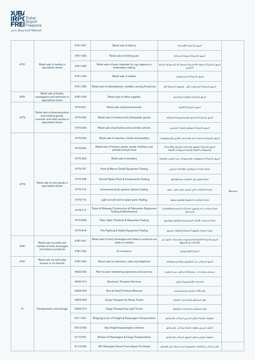

|      |                                                                                        | 4751-001 | Retail sale of fabrics                                                                     | البيع بالتجزئة للأقمشة                                                                          |         |
|------|----------------------------------------------------------------------------------------|----------|--------------------------------------------------------------------------------------------|-------------------------------------------------------------------------------------------------|---------|
|      |                                                                                        | 4751-002 | Retail sale of knitting yarn                                                               | البيع بالتجزئة لخيوط الحياكة                                                                    |         |
| 4751 | Retail sale of textiles in<br>specialized stores                                       | 4751-003 | Retail sale of basic materials for rug, tapestry or<br>embroidery making                   | البيع بالتجزئة للمواد الأساسية للسجاد أو النسيج أو صناعة<br>التطريز                             |         |
|      |                                                                                        | 4751-004 | Retail sale of textiles                                                                    | الىيع بالتحزئة للمنسوحات                                                                        |         |
|      |                                                                                        | 4751-005 | Retail sale of haberdashery: needles, sewing thread etc.                                   | البيع بالتجزئة للخردوات: الإبر ، وخيوط الخياطة الخ.                                             |         |
| 4761 | Retail sale of books,<br>newspapers and stationary in<br>specialized stores            | 4761-004 | Retail sale of office supplies                                                             | البيع بالتجزئة للوازم المكتبية                                                                  |         |
|      |                                                                                        | 4772-001 | Retail sale of pharmaceuticals                                                             | البيع بالتجزئة للأدوية                                                                          |         |
| 4772 | Retail sale of pharmaceutical<br>and medical goods,<br>cosmetic and toilet articles in | 4772-002 | Retail sale of medical and orthopaedic goods                                               | البيع بالتجزئة للسلع الطبية وجراحة العظام                                                       |         |
|      | specialized stores                                                                     | 4772-003 | Retail sale of perfumery and cosmetic articles                                             | البيع بالتجزئة للعطور ومواد التجميل                                                             |         |
|      |                                                                                        | 4773-003 | Retail sale of watches, clocks and jewellery                                               | البيع بالتجزئة لساعات اليد والساعات الأخرى والمجوهرات                                           |         |
|      |                                                                                        | 4773-004 | Retail sale of flowers, plants, seeds, fertilizers, pet<br>animals and pet food            | البيع بالتجزئة للزهور والنباتات والبذور والأسمدة<br>والحيوانات الأليفة وأغذية الحيوانات الأليفة |         |
|      |                                                                                        | 4773-203 | Retail sale of jewellery                                                                   | البيع بالتجزئة المجوهرات والمصوغات من الذهب والفضة                                              |         |
|      |                                                                                        | 4773-707 | Ports & Marine Guide Equipment Trading                                                     | تجارة معدات الموانىء والإرشاد البحرى                                                            |         |
|      | Retail sale of new goods in<br>specialized stores                                      | 4773-708 | Aircraft Spare Parts & Components Trading                                                  | تجارة قطع غيار الطائرات ومكوناتها                                                               |         |
| 4773 |                                                                                        | 4773-713 | Unmanned aerial systems (drone) trading                                                    | تجارة الطائرات التي تعمل بدون طيار درون                                                         | Service |
|      |                                                                                        | 4773-715 | Light aircraft and its spare parts Trading                                                 | تجاره الطائرات الخفيفه وقطع غيارها                                                              |         |
|      |                                                                                        | 4773-717 | Trains & Railways Construction & Fabrication Equipment<br><b>Trading &amp; Maintenance</b> | تجارة معدات بناء وتجهيز السكك الحديدية والقطارات<br>وصيانتها                                    |         |
|      |                                                                                        | 4773-909 | Fiber Optic Products & Requisites Trading                                                  | تجارة منتجات الألياف البصرية وملحقاتها ولوازمها                                                 |         |
|      |                                                                                        | 4773-916 | Fire Fighting & Safety Equipment Trading                                                   | تجارة معدات وأجهزة السلامة وإطفاء الحريق                                                        |         |
| 4781 | Retail sale via stalls and<br>markets of food, beverages                               | 4781-001 | Retail sale of food, beverages and tobacco products via<br>stalls or markets               | البيع بالتجزئة للأغذية والمشروبات ومنتجات التبغ عبر<br>الأكشاك أو الأسواق                       |         |
|      | and tobacco products                                                                   | 4781-002 | E-commerce                                                                                 | التجارة الإلكترونية                                                                             |         |
| 4791 | Retail sale via mail order<br>houses or via Internet                                   | 4791-003 | Direct sale via television, radio and telephone                                            | البيع المباشر عبر التلفزيون والراديو والهاتف                                                    |         |
|      |                                                                                        | 4922-002 | Peer-to-peer ridesharing operations and services                                           | عمليات وخدمات مشاركة الركوب بين النظراء                                                         |         |
|      |                                                                                        | 4922-010 | <b>Electronic Transport Services</b>                                                       | الخدمات الإلكترونية للنقل                                                                       |         |
|      |                                                                                        | 4923-003 | New & Used Furniture Removal                                                               | نقل الأثاث الحديد والمستعمل                                                                     |         |
| H    |                                                                                        | 4923-009 | Cargo Transport by Heavy Trucks                                                            | نقل البضائع بالشاحنات الثقيلة                                                                   |         |
|      | Transportation and storage                                                             | 4923-010 | Cargo Transport by Light Trucks                                                            | نقل البضائع بالشاحنات الخفيفة                                                                   |         |
|      |                                                                                        | 5011-001 | Shipping Lines of Freight & Passengers Transportation                                      | خطوط ملاحية للنقل البحرى للركاب والبضائع                                                        |         |
|      |                                                                                        | 5012-003 | Sea freight & passengers charters                                                          | النقل البحرى بعقود خاصة للركاب والبضائع                                                         |         |
|      |                                                                                        | 5110-001 | Airlines of Passengers & Cargo Transportation                                              | خطوط طيران للنقل الجوى للركاب والبضائع                                                          |         |
|      |                                                                                        | 5110-002 | VIP Helicopter Escort From Airport To Hotels                                               | نقل الركاب بالطائرات العمودية من المطار الى الفنادق                                             |         |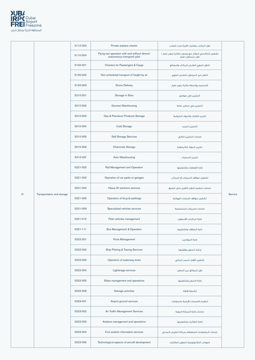

|   |                            | 5110-003                        | Private airplane charter                                                      | نقل الركاب بطائرات الأجرة تحت الطلب                                   |                                               |                                     |  |
|---|----------------------------|---------------------------------|-------------------------------------------------------------------------------|-----------------------------------------------------------------------|-----------------------------------------------|-------------------------------------|--|
|   |                            | 5110-004                        | Flying taxi operation with and without (drone/<br>autonomous transport) pilot | تشغيل التاكسي الطائر مع وبدون (طائرة بدون طيار /<br>ُ نقل مستقل) طيار |                                               |                                     |  |
|   | 5120-001                   | Charters for Passengers & Cargo | النقل الجوى العارض للركاب والبضائع                                            |                                                                       |                                               |                                     |  |
|   |                            | 5120-002                        | Non-scheduled transport of freight by air                                     | النقل غير المجدول للشحن الجوى                                         |                                               |                                     |  |
|   |                            | 5120-003                        | <b>Drone Delivery</b>                                                         | التسليم بواسطة طائرة بدون طيار                                        |                                               |                                     |  |
|   |                            | 5210-001                        | Storage in Silos                                                              | التخزين في صوامع                                                      |                                               |                                     |  |
|   |                            | 5210-002                        | <b>General Warehousing</b>                                                    | التخزين في مخازن عامة                                                 |                                               |                                     |  |
|   |                            | 5210-003                        | Gas & Petroleum Products Storage                                              | تخزين الغازات والمواد البترولية                                       |                                               |                                     |  |
|   |                            | 5210-004                        | <b>Cold Storage</b>                                                           | التخزين المبرد                                                        |                                               |                                     |  |
|   |                            | 5210-005                        | <b>Self Storage Services</b>                                                  | خدمات التخزين الذاتى                                                  |                                               |                                     |  |
|   |                            | 5210-006                        | <b>Chemicals Storage</b>                                                      | تخزين المواد الكيماوية                                                |                                               |                                     |  |
|   |                            | 5210-007                        | Auto Warehousing                                                              | تخزين السيارات                                                        |                                               |                                     |  |
|   |                            | 5221-002                        | Rail Management and Operation                                                 | إدارة القطارات وتشغيلها                                               | Service                                       |                                     |  |
|   | Transportation and storage | 5221-003                        | Operation of car parks or garages                                             | تشغيل مواقف السيارات أو المرائب                                       |                                               |                                     |  |
|   |                            | 5221-004                        | Heavy lift solutions services                                                 | خدمات تنظيم النقل الثقيل على الطرق                                    |                                               |                                     |  |
| H |                            | 5221-005                        | Operation of bicycle parkings                                                 | تشغيل مواقف الدراجات الهوائية                                         |                                               |                                     |  |
|   |                            | 5221-009                        | Specialized vehicles services                                                 | خدمات السيارات المتخصصة                                               |                                               |                                     |  |
|   |                            | 5221-010                        | Fleet vehicles management                                                     | إدارة مركبات الأسطول                                                  |                                               |                                     |  |
|   |                            | 5221-111                        | <b>Bus Management &amp; Operation</b>                                         | ادارة الحافلات وتشغيلها                                               |                                               |                                     |  |
|   |                            | 5222-001                        | Ports Management                                                              | إدارة الموائىء                                                        |                                               |                                     |  |
|   |                            | 5222-002                        | Ship Piloting & Towing Services                                               | إرشاد السفن وقطرها                                                    |                                               |                                     |  |
|   |                            | 5222-003                        | Operation of waterway locks                                                   | تشغيل أقفال الممر المائى                                              |                                               |                                     |  |
|   |                            | 5222-004                        | Lighterage services                                                           | نقل البضائع بين السفن                                                 |                                               |                                     |  |
|   |                            | 5222-005                        | Ships management and operations                                               | إدارة السفن وتشغيلها                                                  |                                               |                                     |  |
|   |                            | 5222-006                        | Salvage activities                                                            | أنشطة الإنقاذ                                                         |                                               |                                     |  |
|   |                            | 5223-001                        | Airport ground services                                                       | تنظيم العمليات الأرضية بالمطارات                                      |                                               |                                     |  |
|   |                            | 5223-002                        | Air Traffic Management Services                                               | خدمات إدارة الحركة الجوية                                             |                                               |                                     |  |
|   |                            | 5223-003                        | Airplane management and operations                                            | إدارة الطائرات وتشغيلها                                               |                                               |                                     |  |
|   |                            | 5223-004                        | Civil aviation information services                                           | خدمات المعلومات المتعلقة بحركة الطيران المدنى                         |                                               |                                     |  |
|   |                            |                                 |                                                                               | 5223-005                                                              | Technological aspects of aircraft development | الجوانب التكنولوجية لتطوير الطائرات |  |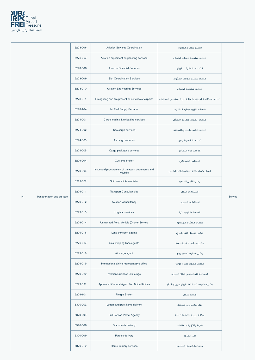

|   |                            | 5223-006 | <b>Aviation Services Coordination</b>                        | تنسيق خدمات الطيران                                 |         |
|---|----------------------------|----------|--------------------------------------------------------------|-----------------------------------------------------|---------|
|   |                            | 5223-007 | Aviation equipment engineering services                      | خدمات هندسة معدات الطيران                           |         |
|   |                            | 5223-008 | <b>Aviation Financial Services</b>                           | الخدمات المالية للطيران                             |         |
|   |                            | 5223-009 | <b>Slot Coordination Services</b>                            | خدمات تنسيق مواقف الطائرات                          |         |
|   |                            | 5223-010 | <b>Aviation Engineering Services</b>                         | خدمات هندسة الطيران                                 |         |
|   |                            | 5223-011 | Firefighting and fire-prevention services at airports        | خدمات مكافحة الحرائق والوقاية من الحريق في المطارات |         |
|   |                            | 5223-104 | Jet Fuel Supply Services                                     | خدمات التزويد بوقود الطائرات                        |         |
|   |                            | 5224-001 | Cargo loading & unloading services                           | خدمات تحميل وتفريغ البضائع                          |         |
|   |                            | 5224-002 | Sea cargo services                                           | خدمات الشحن البحري للبضائع                          |         |
|   |                            | 5224-003 | Air cargo services                                           | خدمات الشحن الجوي                                   |         |
|   |                            | 5224-005 | Cargo packaging services                                     | خدمات حزم البضائع                                   |         |
|   |                            | 5229-004 | Customs broker                                               | المخلص الجمركي                                      |         |
|   |                            | 5229-005 | Issue and procurement of transport documents and<br>waybills | إصدار وشراء وثائق النقل وقوائم الشحن                | Service |
|   | Transportation and storage | 5229-007 | Ship rental intermediator                                    | وسيط تأجير السفن                                    |         |
|   |                            | 5229-011 | <b>Transport Consultancies</b>                               | استشارات النقل                                      |         |
| Н |                            | 5229-012 | <b>Aviation Consultancy</b>                                  | إستشارات الطيران                                    |         |
|   |                            | 5229-013 | Logistic services                                            | الخدمات اللوجستية                                   |         |
|   |                            | 5229-014 | Unmanned Aerial Vehicle (Drone) Service                      | خدمات العائرات المسيرة                              |         |
|   |                            | 5229-016 | Land transport agents                                        | وكيل وسائل النقل البري                              |         |
|   |                            | 5229-017 | Sea shipping lines agents                                    | وكيل خطوط ملاحية بحرية                              |         |
|   |                            | 5229-018 | Air cargo agent                                              | وكيل خطوط شحن جوى                                   |         |
|   |                            | 5229-019 | International airline representative office                  | مكتب خطوط طيران دولية                               |         |
|   |                            | 5229-020 | <b>Aviation Business Brokerage</b>                           | الوساطة التجارية في قطاع الطيران                    |         |
|   |                            | 5229-021 | Appointed General Agent For Airline/Airlines                 | وكيل عام معتمد لخط طيران جوي أو أكثر                |         |
|   |                            | 5229-101 | Freight Broker                                               | وسيط شحن                                            |         |
|   |                            | 5320-002 | Letters and post items delivery                              | نقل بعائث بريد الرسائل                              |         |
|   |                            | 5320-004 | <b>Full Service Postal Agency</b>                            | وكالة بريدية كاملة الخدمة                           |         |
|   |                            | 5320-008 | Documents delivery                                           | نقل الوثائق والمستندات                              |         |
|   |                            | 5320-009 | Parcels delivery                                             | نقل الطرود                                          |         |
|   |                            | 5320-010 | Home delivery services                                       | خدمات التوصيل الطلبات                               |         |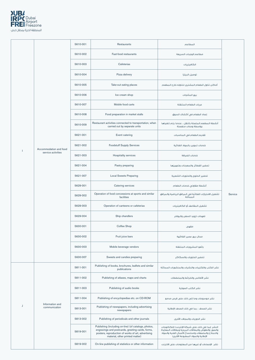

|    |                                  | 5610-001 | <b>Restaurants</b>                                                                                                                                                                                | المطاعم                                                                                                                                                                                            |         |
|----|----------------------------------|----------|---------------------------------------------------------------------------------------------------------------------------------------------------------------------------------------------------|----------------------------------------------------------------------------------------------------------------------------------------------------------------------------------------------------|---------|
|    |                                  | 5610-002 | Fast-food restaurants                                                                                                                                                                             | مطاعم الوجبات السريعة                                                                                                                                                                              |         |
|    |                                  | 5610-003 | Cafeterias                                                                                                                                                                                        | الكافيتريات                                                                                                                                                                                        |         |
|    |                                  | 5610-004 | Pizza delivery                                                                                                                                                                                    | توصيل البيتزا                                                                                                                                                                                      |         |
|    |                                  | 5610-005 | Take-out eating places                                                                                                                                                                            | أماكن تناول الطعام المشترى لتناوله خارج المطعم                                                                                                                                                     |         |
|    |                                  | 5610-006 | Ice cream shop                                                                                                                                                                                    | بيع المثلجات                                                                                                                                                                                       |         |
|    |                                  | 5610-007 | Mobile food carts                                                                                                                                                                                 | عربات الطعام المتنقلة                                                                                                                                                                              |         |
|    |                                  | 5610-008 | Food preparation in market stalls                                                                                                                                                                 | إعداد الطعام فى أكشاك السوق                                                                                                                                                                        |         |
|    |                                  | 5610-009 | Restaurant activities connected to transportation, when<br>carried out by separate units                                                                                                          | أنشطة المطعم المتصلة بالنقل ، عندما يتم تنفيذها<br>بواسطة وحدات منفصلة                                                                                                                             |         |
|    |                                  | 5621-001 | Event catering                                                                                                                                                                                    | تقديم الطعام في المناسبات                                                                                                                                                                          |         |
|    | Accommodation and food           | 5621-002 | <b>Foodstuff Supply Services</b>                                                                                                                                                                  | خدمات تموين بالمواد الغذائية                                                                                                                                                                       |         |
|    | service activities               | 5621-003 | Hospitality services                                                                                                                                                                              | خدمات الضيافة                                                                                                                                                                                      |         |
|    |                                  | 5621-004 | Pastry preparing                                                                                                                                                                                  | تحضير الفطائر والمعجنات وتجهيزها                                                                                                                                                                   | Service |
|    |                                  | 5621-007 | <b>Local Sweets Preparing</b>                                                                                                                                                                     | تحضير الحلوى والحلويات الشعبية                                                                                                                                                                     |         |
|    |                                  | 5629-001 | Catering services                                                                                                                                                                                 | أنشطة مقاولى خدمات الطعام                                                                                                                                                                          |         |
|    |                                  | 5629-002 | Operation of food concessions at sports and similar<br>facilities                                                                                                                                 | تشغيل الامتيازات الغذائية في المرافق الرياضية والمرافق<br>المماثلة                                                                                                                                 |         |
|    |                                  | 5629-003 | Operation of canteens or cafeterias                                                                                                                                                               | تشغيل المقاصف أو الكافيتريات                                                                                                                                                                       |         |
|    |                                  | 5629-004 | Ship chandlers                                                                                                                                                                                    | تعهدات تزويد السفن والبواخر                                                                                                                                                                        |         |
|    |                                  | 5630-001 | Coffee Shop                                                                                                                                                                                       | مقهى                                                                                                                                                                                               |         |
|    |                                  | 5630-002 | Fruit juice bars                                                                                                                                                                                  | محال بيع عصير الفاكهة                                                                                                                                                                              |         |
|    |                                  | 5630-003 | Mobile beverage vendors                                                                                                                                                                           | بائعو المشروبات المتنقلة                                                                                                                                                                           |         |
|    |                                  | 5630-007 | Sweets and candies preparing                                                                                                                                                                      | تحضير الحلويات والسكاكر                                                                                                                                                                            |         |
|    |                                  | 5811-001 | Publishing of books, brochures, leaflets and similar<br>publications                                                                                                                              | نشر الكتب والكتيبات والنشرات والمنشورات المماثلة                                                                                                                                                   |         |
|    |                                  | 5811-002 | Publishing of atlases, maps and charts                                                                                                                                                            | نشر الأطالس والخرائط والمخططات                                                                                                                                                                     |         |
| IJ |                                  | 5811-003 | Publishing of audio books                                                                                                                                                                         | نشر الكتب الصوتية                                                                                                                                                                                  |         |
|    |                                  | 5811-004 | Publishing of encyclopedias etc. on CD-ROM                                                                                                                                                        | نشر موسوعات وما إلى ذلك على قرص مدمج                                                                                                                                                               |         |
|    | Information and<br>communication | 5813-001 | Publishing of newspapers, including advertising<br>newspapers                                                                                                                                     | نشر الصحف ، بما فى ذلك الصحف الإعلانية                                                                                                                                                             |         |
|    |                                  | 5813-002 | Publishing of periodicals and other journals                                                                                                                                                      | نشر الدوريات والمجلات الأخرى                                                                                                                                                                       |         |
|    |                                  | 5819-001 | Publishing (including on-line) (of catalogs, photos,<br>engravings and postcards, greeting cards, forms,<br>posters, reproduction of works of art, advertising<br>material, other printed matter) | النشر (بما في ذلك على شبكة الإنترنت) (للكتالوجات<br>والصور والنقوش والبطاقات البريدية وبطاقات المعايدة<br>والنماذج والملصقات واستنساخ الأعمال الفنية والمواد<br>الإعلانية والمواد المطبوعة الأخرى) |         |
|    |                                  | 5819-002 | On-line publishing of statistics or other information                                                                                                                                             | نشر الإحصاءات أو غيرها من المعلومات على الانترنت                                                                                                                                                   |         |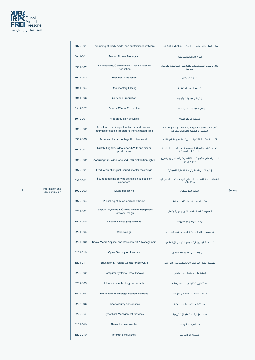

|                                  | 5820-001 | Publishing of ready-made (non-customized) software                                                          | نشر البرامج الجاهزة (غير المخصصة) أنظمة التشغيل                                   |         |
|----------------------------------|----------|-------------------------------------------------------------------------------------------------------------|-----------------------------------------------------------------------------------|---------|
|                                  | 5911-001 | <b>Motion Picture Production</b>                                                                            | انتاج الافلام السينمائية                                                          |         |
|                                  | 5911-002 | T.V Programs, Commercials & Visual Materials<br>Production                                                  | إنتاج وتصوير المسلسلات والإعلانات التلفزيونية والمواد<br>المرئية                  |         |
|                                  | 5911-003 | <b>Theatrical Production</b>                                                                                | إنتاج مسرحى                                                                       |         |
|                                  | 5911-004 | <b>Documentary Filming</b>                                                                                  | تصوير الأفلام الوثائقية                                                           |         |
|                                  | 5911-006 | <b>Cartoons Production</b>                                                                                  | إنتاج الرسوم الكرتونية                                                            |         |
|                                  | 5911-007 | <b>Special Effects Production</b>                                                                           | إنتاج المؤثرات الفنية الخاصة                                                      |         |
|                                  | 5912-001 | Post-production activities                                                                                  | أنشطة ما بعد الإنتاج                                                              |         |
|                                  | 5912-002 | Activities of motion picture film laboratories and<br>activities of special laboratories for animated films | أنشطة مختبرات أفلام الحركة السينمائية وأنشطة<br>المختبرات الخاصة للأفلام المتحركة |         |
|                                  | 5912-003 | Activities of stock footage film libraries etc.                                                             | أنشطة مكتبة الأفلام المصورة للأفلام وما إلى ذلك.                                  |         |
|                                  | 5913-001 | Distributing film, video tapes, DVDs and similar<br>productions                                             | توزيع الأفلام وأشرطة الفيديو وأقراص الفيديو الرقمية<br>والمنتجات المماثلة         |         |
|                                  | 5913-002 | Acquiring film, video tape and DVD distribution rights                                                      | الحصول على حقوق نشر الأفلام وشرائط الفيديو وتوزيع<br>الدي في دي                   |         |
|                                  | 5920-001 | Production of original (sound) master recordings                                                            | إنتاج التسجيلات الرئيسية الأصلية (الصوتية)                                        |         |
|                                  | 5920-002 | Sound recording service activities in a studio or<br>elsewhere                                              | أنشطة خدمة التسجيل الصوتي في الاستوديو أو في أي<br>مكان آخر                       |         |
| Information and<br>communication | 5920-003 | Music publishing                                                                                            | النشر الموسيقي                                                                    | Service |
|                                  | 5920-004 | Publishing of music and sheet books                                                                         | نشر الموسيقى والكتب الورقية                                                       |         |
|                                  | 6201-001 | Computer Systems & Communication Equipment<br>Software Design                                               | تصميم نظم الحاسب الآلي وأجهزة الإتصال                                             |         |
|                                  | 6201-002 | Electronic chips programming                                                                                | برمجة الرقائق الإلكترونية                                                         |         |
|                                  | 6201-005 | Web-Design                                                                                                  | تصميم مواقع الشبكة المعلوماتية (الإنترنت)                                         |         |
|                                  | 6201-009 | Social Media Applications Development & Management                                                          | خدمات تطوير وإدارة مواقع التواصل الإجتماعي                                        |         |
|                                  | 6201-010 | <b>Cyber Security Architecture</b>                                                                          | تصميم هيكلية الأمن الألكترونى                                                     |         |
|                                  | 6201-011 | <b>Education &amp; Training Computer Software</b>                                                           | تصميم نظم الحاسب الآلى التعليمية والتدريبية                                       |         |
|                                  | 6202-002 | <b>Computer Systems Consultancies</b>                                                                       | إستشارات أجهزة الحاسب الآلى                                                       |         |
|                                  | 6202-003 | Information technology consultants                                                                          | استشاريو تكنولوجيا المعلومات                                                      |         |
|                                  | 6202-004 | Information Technology Network Services                                                                     | خدمات شبكات تقنية المعلومات                                                       |         |
|                                  | 6202-006 | Cyber security consultancy                                                                                  | الاستشارات الأمنية السيبرونية                                                     |         |
|                                  | 6202-007 | <b>Cyber Risk Management Services</b>                                                                       | خدمات إدارة المخاطر الإلكترونية                                                   |         |
|                                  | 6202-009 | Network consultancies                                                                                       | استشارات الشبكات                                                                  |         |
|                                  | 6202-010 | Internet consultancy                                                                                        | استشارات الإنترنت                                                                 |         |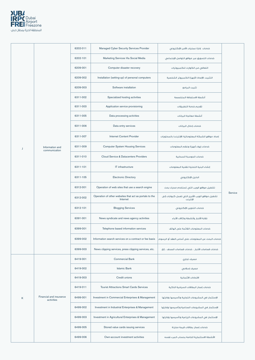

|   |                                       | 6202-011 | Managed Cyber Security Services Provider                           | خدمات إدارة عمليات الأمن الإلكتروني                        |         |
|---|---------------------------------------|----------|--------------------------------------------------------------------|------------------------------------------------------------|---------|
|   |                                       | 6202-101 | Marketing Services Via Social Media                                | خدمات التسويق عبر مواقع التواصل الإجتماعي                  |         |
|   |                                       | 6209-001 | Computer disaster recovery                                         | التعافي من الكوارث للكمبيوترات                             |         |
|   |                                       | 6209-002 | Installation (setting-up) of personal computers                    | التثبيت (الإعداد) لأجهزة الكمبيوتر الشخصية                 |         |
|   |                                       | 6209-003 | Software installation                                              | تثبيت البرامج                                              |         |
|   |                                       | 6311-002 | Specialized hosting activities                                     | أنشطة الاستضافة المتخصصة                                   |         |
|   |                                       | 6311-003 | Application service provisioning                                   | تقديم خدمة التطبيقات                                       |         |
|   |                                       | 6311-005 | Data processing activities                                         | أنشطة معالجة البيانات                                      |         |
|   |                                       | 6311-006 | Data entry services                                                | خدمات إدخال البيانات                                       |         |
|   |                                       | 6311-007 | <b>Internet Content Provider</b>                                   | إمداد مواقع الشبكة المعلوماتية (الإنترنت) بالمحتويات       |         |
|   | Information and<br>communication      | 6311-009 | <b>Computer System Housing Services</b>                            | خدمات إيواء أجهزة ونظم المعلومات                           |         |
|   |                                       | 6311-010 | Cloud Service & Datacenters Providers                              | خدمات الحوسبة السحابية                                     |         |
|   |                                       | 6311-101 | IT infrastructure                                                  | إنشاء البنية التحتية لتقنية المعلومات                      | Service |
|   |                                       | 6311-105 | <b>Electronic Directory</b>                                        | الدليل الإلكتروني                                          |         |
|   |                                       | 6312-001 | Operation of web sites that use a search engine                    | تشغيل مواقع الويب التي تستخدم محرك بحث                     |         |
|   |                                       | 6312-002 | Operation of other websites that act as portals to the<br>Internet | تشغيل مواقع الويب الأخرى التي تعمل كبوابات إلى<br>الإنترنت |         |
|   |                                       | 6312-101 | <b>Blogging Services</b>                                           | خدمات التدوين الإلكترونى                                   |         |
|   |                                       | 6391-001 | News syndicate and news agency activities                          | نقابة الأخبار وأنشطة وكالات الأنباء                        |         |
|   |                                       | 6399-001 | Telephone based information services                               | خدمات المعلومات القائمة على الهاتف                         |         |
|   |                                       | 6399-002 | Information search services on a contract or fee basis             | خدمات البحث عن المعلومات على أساس العقد أو الرسوم          |         |
|   |                                       | 6399-003 | News clipping services, press clipping services, etc.              | خدمات قصاصات الأخبار ، خدمات قصاصات الصحف ، إلخ.           |         |
|   |                                       | 6419-001 | <b>Commercial Bank</b>                                             | مصرف تجاري                                                 |         |
|   |                                       | 6419-002 | <b>Islamic Bank</b>                                                | مصرف إسلامي                                                |         |
|   |                                       | 6419-003 | Credit unions                                                      | الاتحادات الائتمانية                                       |         |
| K |                                       | 6419-011 | <b>Tourist Attractions Smart Cards Services</b>                    | خدمات إصدار البطاقات السياحية الذكية                       |         |
|   | Financial and insurance<br>activities | 6499-001 | Investment in Commercial Enterprises & Management                  | الإستثمار في المشروعات التجارية وتأسيسها وإدارتها          |         |
|   |                                       | 6499-002 | Investment in Industrial Enterprises & Management                  | الإستثمار في المشروعات الصناعية وتأسيسها وإدارتها          |         |
|   |                                       | 6499-003 | Investment in Agricultural Enterprises & Management                | الإستثمار في المشروعات الزراعية وتأسيسها وإدارتها          |         |
|   |                                       | 6499-005 | Stored value cards issuing services                                | خدمات إصدار بطاقات قيمة مخزنة                              |         |
|   |                                       | 6499-006 | Own-account investment activities                                  | الأنشطة الاستثمارية الخاصة بحساب المرء نفسه                |         |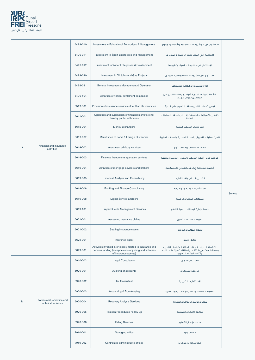

|   |                                                      | 6499-010 | Investment in Educational Enterprises & Management                                                                                            | الاستثمار في المشروعات التعليمية وتأسيسها وإدارتها                                                                               |         |
|---|------------------------------------------------------|----------|-----------------------------------------------------------------------------------------------------------------------------------------------|----------------------------------------------------------------------------------------------------------------------------------|---------|
|   |                                                      | 6499-011 | Investment in Sport Enterprises and Management                                                                                                | الإستثمار في المشروعات الرياضية و تطويرها                                                                                        |         |
|   |                                                      | 6499-017 | Investment in Water Enterprises & Development                                                                                                 | الإستثمار في مشروعات المياه وتطويرها                                                                                             |         |
|   |                                                      | 6499-020 | Investment in Oil & Natural Gas Projects                                                                                                      | الاستثمار في مشروعات النفط والغاز الطبيعي                                                                                        |         |
|   |                                                      | 6499-021 | General Investments Management & Operation                                                                                                    | إدارة الإستثمارات العامة وتشغيلها                                                                                                |         |
|   |                                                      | 6499-104 | Activities of viatical settlement companies                                                                                                   | أنشطة شركات تسوية شراء بوليصات التّامين من<br>المصابين بمرض مميت                                                                 |         |
|   |                                                      | 6512-001 | Provision of insurance services other than life insurance                                                                                     | توفير خدمات التأمين بخلاف التأمين على الحياة                                                                                     |         |
|   |                                                      | 6611-001 | Operation and supervision of financial markets other<br>than by public authorities                                                            | تشغيل الأسواق المالية والإشراف عليها بخلاف السلطات<br>العامة                                                                     |         |
|   |                                                      | 6612-004 | Money Exchangers                                                                                                                              | بيع وشراء العملات الأجنبية                                                                                                       |         |
|   |                                                      | 6612-007 | Remittance of Local & Foreign Currencies                                                                                                      | تنفيذ عمليات التحويل بالعملة المحلية والعملات الأجنبية                                                                           |         |
| K | Financial and insurance<br>activities                | 6619-002 | Investment advisory services                                                                                                                  | الخدمات الاستشارية للاستثمار                                                                                                     |         |
|   |                                                      | 6619-003 | Financial instruments quotation services                                                                                                      | خدمات عرض أسعار العملات والمعادن الثمينة ونشرها                                                                                  |         |
|   |                                                      | 6619-004 | Activities of mortgage advisers and brokers                                                                                                   | أنشطة مستشارى الرهن العقارى والسماسرة                                                                                            |         |
|   |                                                      | 6619-005 | <b>Financial Analysis and Consultancy</b>                                                                                                     | التحليل المالي والاستشارات                                                                                                       |         |
|   |                                                      | 6619-006 | <b>Banking and Finance Consultancy</b>                                                                                                        | الاستشارات المالية والمصرفية                                                                                                     | Service |
|   |                                                      | 6619-008 | <b>Digital Service Enablers</b>                                                                                                               | ممكنات الخدمات الرقمية                                                                                                           |         |
|   |                                                      | 6619-101 | <b>Prepaid Cards Management Services</b>                                                                                                      | خدمات إدارة البطاقات مسبقة الدفع                                                                                                 |         |
|   |                                                      | 6621-001 | Assessing insurance claims                                                                                                                    | تقييم مطالبات التأمين                                                                                                            |         |
|   |                                                      | 6621-002 | Settling insurance claims                                                                                                                     | تسوية مطالبات التأمين                                                                                                            |         |
|   |                                                      | 6622-001 | Insurance agent                                                                                                                               | وكيل تأمين                                                                                                                       |         |
|   |                                                      | 6629-001 | Activities involved in or closely related to insurance and<br>pension funding (except claims adjusting and activities<br>of insurance agents) | الأنشطة المرتبطة أو ذات العلاقة الوثيقفة بالتأمين<br>ومعاشات وتمويل التقاعد (باستثناء تعديلات المطالبات<br>وأنشطة وكلاء التأمين) |         |
|   |                                                      | 6910-002 | <b>Legal Consultants</b>                                                                                                                      | مستشار قانونى                                                                                                                    |         |
|   |                                                      | 6920-001 | Auditing of accounts                                                                                                                          | مراجعة الحسابات                                                                                                                  |         |
|   |                                                      | 6920-002 | <b>Tax Consultant</b>                                                                                                                         | الإستشارات الضريبية                                                                                                              |         |
|   |                                                      | 6920-003 | <b>Accounting &amp; Bookkeeping</b>                                                                                                           | تنظيم السجلات والدفاتر المحاسبية ومسكها                                                                                          |         |
| M | Professional, scientific and<br>technical activities | 6920-004 | <b>Recovery Analysis Services</b>                                                                                                             | خدمات تدقيق المعاملات التجارية                                                                                                   |         |
|   |                                                      | 6920-005 | Taxation Procedures Follow-up                                                                                                                 | متابعة الإجراءات الضريبية                                                                                                        |         |
|   |                                                      | 6920-006 | <b>Billing Services</b>                                                                                                                       | خدمات إصدار الفواتير                                                                                                             |         |
|   |                                                      | 7010-001 | Managing office                                                                                                                               | مكتب إدارة                                                                                                                       |         |
|   |                                                      | 7010-002 | Centralized administrative offices                                                                                                            | مكاتب إدارية مركزية                                                                                                              |         |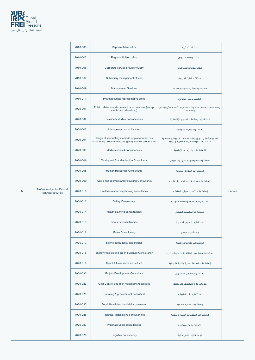

|   |                                                      | 7010-003 | Representative office                                                                                   | مكتب تمثيل                                                                                  |         |
|---|------------------------------------------------------|----------|---------------------------------------------------------------------------------------------------------|---------------------------------------------------------------------------------------------|---------|
|   |                                                      | 7010-005 | Regional Liaison office                                                                                 | مكتب إرتباط إقليمى                                                                          |         |
|   |                                                      | 7010-006 | Corporate service provider (CSP)                                                                        | موفر خدمات الشركات                                                                          |         |
|   |                                                      | 7010-007 | Subsidiary management offices                                                                           | مكاتب الإدارة الفرعية                                                                       |         |
|   |                                                      | 7010-009 | <b>Management Services</b>                                                                              | خدمات إدارة شركات ومؤسسات                                                                   |         |
|   |                                                      | 7010-011 | Pharmaceutical representative office                                                                    | مكتب تمثيل صيدلى                                                                            |         |
|   |                                                      | 7020-001 | Public relations and communication services (except<br>media and advertising)                           | وخدمات العلاقات العامة والاتصالات (باستثناء وسائل الإعلام<br>والإعلانات)                    |         |
|   |                                                      | 7020-002 | Feasibility studies consultancies                                                                       | استشارات ودراسات الجدوى الإقتصادية                                                          |         |
|   |                                                      | 7020-003 | Management consultancies                                                                                | استشارات ودراسات إدارية                                                                     |         |
|   |                                                      | 7020-004 | Design of accounting methods or procedures, cost<br>accounting programmes, budgetary control procedures | تصميم أساليب أو إجراءات المحاسبة ، برامج محاسبة<br>التكاليف ، إجراءات الرقابة على الميزانية |         |
|   |                                                      | 7020-005 | Media studies & consultancies                                                                           | الاستشارات والدراسات الإعلامية                                                              |         |
|   |                                                      | 7020-006 | Quality and Standardization Consultants                                                                 | استشارات الجودة والمعايرة والتقييس                                                          |         |
|   |                                                      | 7020-008 | Human Resources Consultants                                                                             | استشارات الموارد البشرية                                                                    |         |
|   |                                                      | 7020-009 | Waste management and Recycling Consultancy                                                              | إستشارات معالجة المخلفات والنفايات                                                          |         |
| M | Professional, scientific and<br>technical activities | 7020-010 | Facilities resources planning consultancy                                                               | إستشارات تخطيط موارد المنشآت                                                                | Service |
|   |                                                      | 7020-013 | <b>Safety Consultancy</b>                                                                               | إستشارات السلامة والصحة المهنية                                                             |         |
|   |                                                      | 7020-014 | Health planning consultancies                                                                           | إستشارات التخطيط الصحى                                                                      |         |
|   |                                                      | 7020-015 | Fine arts consultancies                                                                                 | استشارات الفنون الجميلة                                                                     |         |
|   |                                                      | 7020-016 | Pawn Consultancy                                                                                        | إستشارات الرهن                                                                              |         |
|   |                                                      | 7020-017 | Sports consultancy and studies                                                                          | إستشارات ودراسات رياضية                                                                     |         |
|   |                                                      | 7020-018 | Energy Projects and green buildings Consultancy                                                         | استشارات مشاريع الطاقة والمباني الخضراء                                                     |         |
|   |                                                      | 7020-019 | Spa & Fitness clubs consultant                                                                          | إستشارات الأندية الصحية واللياقة البدنية                                                    |         |

| 7020-020 | <b>Project Development Consultant</b>     | إستشارات تطوير المشاريع            |
|----------|-------------------------------------------|------------------------------------|
| 7020-022 | Cost Control and Risk Management services | خدمات إدارة التكاليف والمخاطر      |
| 7020-023 | Sourcing & procurement consultant         | إستشارات المشتريات                 |
| 7020-025 | Food, Health food and dairy consultant    | إستشارات الأغذية الصحية            |
| 7020-026 | Technical installations consultancies     | استشارات التجهيزات الفنية والتقنية |
| 7020-027 | <b>Pharmaceutical consultanices</b>       | الإستشارات الصبدلانية              |
| 7020-028 | Logistics consultancy                     | الإستشارات اللوجستية               |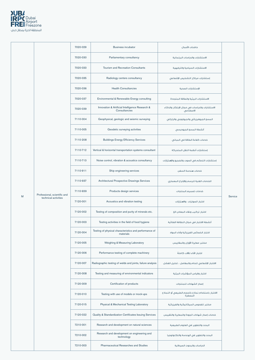

|   |                              | 7020-029 | <b>Business incubator</b>                                           | حاضنات الأعمال                                               |         |
|---|------------------------------|----------|---------------------------------------------------------------------|--------------------------------------------------------------|---------|
|   |                              | 7020-030 | Parliamentary consultancy                                           | الاستشارات والدراسات البرلمائية                              |         |
|   |                              | 7020-033 | Tourism and Recreation Consultants                                  | الاستشارات السياحية والترفيهية                               |         |
|   |                              | 7020-035 | Radiology centers consultancy                                       | إستشارات مراكز التشخيص الإشعاعى                              |         |
|   |                              | 7020-036 | <b>Health Consultancies</b>                                         | الإستشارات الصحية                                            |         |
|   |                              | 7020-037 | Environmental & Renewable Energy consulting                         | الاستشارات البيئية والطاقة المتجددة                          |         |
|   |                              | 7020-039 | Innovation & Artificial Intelligence Research &<br>Consultancies    | الاستشارات والدراسات في مجال الإبتكار والذكاء<br>الاصطناعى   |         |
|   |                              | 7110-004 | Geophysical, geologic and seismic surveying                         | المسح الجيوفيزيائى والجيولوجى والزلزالى                      |         |
|   |                              | 7110-005 | Geodetic surveying activities                                       | أنشطة المسح الجيوديسي                                        |         |
|   |                              | 7110-208 | <b>Buildings Energy Efficiency Services</b>                         | خدمات كفاءة الطاقة في المباني                                |         |
|   |                              | 7110-712 | Vertical & horizontal transportation systems consultant             | إستشارات أنظمة النقل المتحركة                                |         |
|   |                              | 7110-713 | Noise control, vibration & acoustics consultancy                    | إستشارات التحكم في الصوت والضجيج والإهتزازات                 |         |
|   |                              | 7110-911 | Ship engineering services                                           | خدمات هندسة السفن                                            |         |
|   |                              | 7110-937 | Architectural Prospective Drawings Services                         | الخدمات الفنية للرسم والإخراج المعمارى                       |         |
|   | Professional, scientific and | 7110-939 | Products design services                                            | خدمات تصميم المنتجات                                         | Service |
| Μ | technical activities         | 7120-001 | Acoustics and vibration testing                                     | اختبار الصوتيات والاهتزازات                                  |         |
|   |                              | 7120-002 | Testing of composition and purity of minerals etc.                  | اختبار تركيب ونقاء المعادن الخ                               |         |
|   |                              | 7120-003 | Testing activities in the field of food hygiene                     | أنشطة الاختبار فى مجال النظافة الغذائية                      |         |
|   |                              | 7120-004 | Testing of physical characteristics and performance of<br>materials | اختبار الخصائص الفيزيائية وأداء المواد                       |         |
|   |                              | 7120-005 | Weighing & Measuring Laboratory                                     | مختبر معايرة الأوزان والمقاييس                               |         |
|   |                              | 7120-006 | Performance testing of complete machinery                           | اختبار الأداء للآلات كاملة                                   |         |
|   |                              | 7120-007 | Radiographic testing of welds and joints, failure analysis          | الاختبار الإشعاعى للحام والمفاصل ، تحليل الفشل               |         |
|   |                              | 7120-008 | Testing and measuring of environmental indicators                   | اختبار وقياس المؤشرات البيئية                                |         |
|   |                              | 7120-009 | Certification of products                                           | إصدار الشهادات للمنتجات                                      |         |
|   |                              | 7120-010 | Testing with use of models or mock-ups                              | الاختبار باستخدام نماذج بالحجم الطبيعي أو النماذج<br>المصغرة |         |
|   |                              | 7120-015 | Physical & Mechanical Testing Laboratory                            | مختبر للفحوص الميكانيكية والفيزيائية                         |         |
|   |                              | 7120-022 | <b>Quality &amp; Standardization Certificates Issuing Services</b>  | خدمات إصدار شهادات الجودة والمعايرة والتقييس                 |         |
|   |                              | 7210-001 | Research and development on natural sciences                        | البحث والتطوير في العلوم الطبيعية                            |         |
|   |                              | 7210-002 | Research and development on engineering and<br>technology           | البحث والتطوير فى الهندسة والتكنولوجيا                       |         |
|   |                              | 7210-003 | <b>Pharmaceutical Researches and Studies</b>                        | الدراسات والبحوث الصيدلانية                                  |         |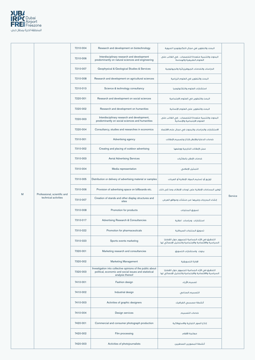

|   |                                                      | 7210-004 | Research and development on biotechnology                                                                                               | البحث والتطوير فى مجال التكنولوجيا الحيوية                                                               |         |
|---|------------------------------------------------------|----------|-----------------------------------------------------------------------------------------------------------------------------------------|----------------------------------------------------------------------------------------------------------|---------|
|   |                                                      | 7210-006 | Interdisciplinary research and development<br>predominantly on natural sciences and engineering                                         | البحوث والتنمية متعددة التخصصات ، في الغالب على<br>العلوم الطبيعية والهندسة                              |         |
|   |                                                      | 7210-007 | Geophysical & Geological Studies & Services                                                                                             | الدراسات والخدمات الجيوفيزيائية والجيولوجية                                                              |         |
|   |                                                      | 7210-008 | Research and development on agricultural sciences                                                                                       | البحث والتطوير في العلوم الزراعية                                                                        |         |
|   |                                                      | 7210-013 | Science & technology consultancy                                                                                                        | استشارات العلوم والتكنولوجيا                                                                             |         |
|   |                                                      | 7220-001 | Research and development on social sciences                                                                                             | البحث والتطوير فى العلوم الاجتماعية                                                                      |         |
|   |                                                      | 7220-002 | Research and development on humanities                                                                                                  | البحث والتطوير على العلوم الإنسانية                                                                      |         |
|   |                                                      | 7220-003 | Interdisciplinary research and development,<br>predominantly on social sciences and humanities                                          | البحوث والتنمية متعددة التخصصات ، في الغالب على<br>العلوم الاجتماعية والإنسانية                          |         |
|   |                                                      | 7220-004 | Consultancy, studies and researches in economics                                                                                        | الاستشارات والدراسات والبحوث في مجال علم الاقتصاد                                                        |         |
|   |                                                      | 7310-001 | Advertising agency                                                                                                                      | خدمات الدعاية والإعلان لإنتاج وتصميم الإعلانات                                                           |         |
|   |                                                      | 7310-002 | Creating and placing of outdoor advertising                                                                                             | عمل الإعلانات الخارجية ووضعها                                                                            |         |
|   |                                                      | 7310-003 | <b>Aerial Advertising Services</b>                                                                                                      | خدمات الإعلان بالطائرات                                                                                  |         |
|   |                                                      | 7310-004 | Media representation                                                                                                                    | التمثيل الإعلامى                                                                                         |         |
|   |                                                      | 7310-005 | Distribution or delivery of advertising material or samples                                                                             | توزيع أو تسليم المواد الإعلانية أو العينات                                                               | Service |
| M |                                                      | 7310-006 | Provision of advertising space on billboards etc.                                                                                       | توفير المساحات الإعلانية على لوحات الإعلانات وما إلى ذلك.                                                |         |
|   | Professional, scientific and<br>technical activities | 7310-007 | Creation of stands and other display structures and<br>sites                                                                            | إنشاء المدرجات وغيرها من منشآت ومواقع العرض                                                              |         |
|   |                                                      | 7310-008 | Promotion for products                                                                                                                  | تسويق المنتجات                                                                                           |         |
|   |                                                      | 7310-017 | <b>Advertising Research &amp; Consultancies</b>                                                                                         | استشارات ودراسات اعلانية                                                                                 |         |
|   |                                                      | 7310-022 | Promotion for pharmaceuticals                                                                                                           | تسويق المنتجات الصيدلانية                                                                                |         |
|   |                                                      | 7310-023 | Sports events marketing                                                                                                                 | التحقيق في الآراء الجماعية للجمهور حول القضايا<br>السياسية والاقتصادية والاجتماعية والتحليل الإحصائي لها |         |
|   |                                                      | 7320-001 | Marketing research and consultancies                                                                                                    | بحوث واستشارات التسويق                                                                                   |         |
|   |                                                      | 7320-002 | <b>Marketing Management</b>                                                                                                             | الإدارة التسويقية                                                                                        |         |
|   |                                                      | 7320-003 | Investigation into collective opinions of the public about<br>political, economic and social issues and statistical<br>analysis thereof | التحقيق في الآراء الجماعية للجمهور حول القضايا<br>السياسية والاقتصادية والاجتماعية والتحليل الإحصائى لها |         |
|   |                                                      | 7410-001 | Fashion design                                                                                                                          | تصميم الأزياء                                                                                            |         |
|   |                                                      | 7410-002 | Industrial design                                                                                                                       | التصميم الصناعى                                                                                          |         |
|   |                                                      | 7410-003 | Activities of graphic designers                                                                                                         | أنشطة مصممى الغرافيك                                                                                     |         |
|   |                                                      | 7410-004 | Design services                                                                                                                         | خدمات التصميم                                                                                            |         |
|   |                                                      | 7420-001 | Commercial and consumer photograph production                                                                                           | إنتاج الصور التجارية والاستهلاكية                                                                        |         |
|   |                                                      | 7420-002 | Film processing                                                                                                                         | معالجة الأفلام                                                                                           |         |
|   |                                                      | 7420-003 | Activities of photojournalists                                                                                                          | أنشطة المصورين الصحفيين                                                                                  |         |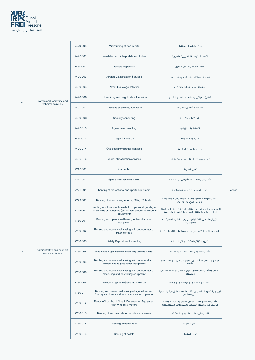

|              |                                                  | 7420-004 | Microfilming of documents                                                                                                         | ميكروفيلم المستندات                                                                                            |         |
|--------------|--------------------------------------------------|----------|-----------------------------------------------------------------------------------------------------------------------------------|----------------------------------------------------------------------------------------------------------------|---------|
|              |                                                  | 7490-001 | Translation and interpretation activities                                                                                         | أنشطة الترجمة التحريرية والفورية                                                                               |         |
|              |                                                  | 7490-002 | <b>Vessels Inspection</b>                                                                                                         | معاينة وسائل النقل البحرى                                                                                      |         |
|              |                                                  | 7490-003 | <b>Aircraft Classification Services</b>                                                                                           | توصيف وسائل النقل الجوى وتصنيفها                                                                               |         |
|              |                                                  | 7490-004 | Patent brokerage activities                                                                                                       | أنشطة وساطة براءات الاختراع                                                                                    |         |
|              | Professional, scientific and                     | 7490-006 | Bill auditing and freight rate information                                                                                        | تدقيق الفواتير ومعلومات أسعار الشحن                                                                            |         |
| M            | technical activities                             | 7490-007 | Activities of quantity surveyors                                                                                                  | أنشطة مسًاحى الكميات                                                                                           |         |
|              |                                                  | 7490-008 | Security consulting                                                                                                               | الاستشارات الأمنية                                                                                             |         |
|              |                                                  | 7490-010 | Agronomy consulting                                                                                                               | الاستشارات الزراعية                                                                                            |         |
|              |                                                  | 7490-013 | <b>Legal Translation</b>                                                                                                          | الترجمة القانونية                                                                                              |         |
|              |                                                  | 7490-014 | Overseas immigration services                                                                                                     | خدمات الهجرة الخارجية                                                                                          |         |
|              |                                                  | 7490-016 | Vessel classification services                                                                                                    | توصيف وسائل النقل البحرى وتصنيفها                                                                              |         |
|              |                                                  | 7710-001 | Car rental                                                                                                                        | تأجير السيارات                                                                                                 |         |
|              |                                                  | 7710-007 | <b>Specialized Vehicles Rental</b>                                                                                                | تأجير المركبات ذات الأغراض المتخصصة                                                                            |         |
|              |                                                  | 7721-001 | Renting of recreational and sports equipment                                                                                      | تأجير المعدات الترفيهية والرياضية                                                                              | Service |
|              |                                                  | 7722-001 | Renting of video tapes, records, CDs, DVDs etc.                                                                                   | تأجير أشرطة الفيديو والسجلات والأقراص المضغوطة<br>وأقراص الدي في دي إلخ.                                       |         |
|              |                                                  | 7729-001 | Renting of all kinds of household or personal goods, to<br>households or industries (except recreational and sports<br>equipment) | تأجير جميع أنواع السلع المنزلية أو الشخصية ، إلى المنازل<br>أو الصناعات (باستثناء المعدات الترفيهية والرياضية) |         |
|              |                                                  | 7730-001 | Renting and operational leasing of land-transport<br>equipment                                                                    | الإيجار والتأجير التشغيلي ، بدون مشغل للمحركات<br>والتوربينات                                                  |         |
|              |                                                  | 7730-002 | Renting and operational leasing, without operator of<br>machine tools                                                             | الإيجار والتأجير التشغيلي ، بدون مشغل ، للآلات المكنية                                                         |         |
|              |                                                  | 7730-003 | <b>Safety Deposit Vaults Renting</b>                                                                                              | تأجير الخزائن لحفظ الودائع الثمينة                                                                             |         |
| $\mathsf{N}$ | Administrative and support<br>service activities | 7730-004 | Heavy and Light Machinery and Equipment Rental                                                                                    | تأجير الآلات والمعدات الثقيلة والخفيفة                                                                         |         |
|              |                                                  | 7730-005 | Renting and operational leasing, without operator of<br>motion picture production equipment                                       | الإيجار والتأجير التشغيلي ، بدون مشغل ، لـمعدات إنتاج<br>الأفلاص                                               |         |
|              |                                                  | 7730-006 | Renting and operational leasing, without operator of<br>measuring and controlling equipment                                       | الإيجار والتأجير التشغيلي ، دون مشغل لمعدات القياس<br>والتحكم                                                  |         |
|              |                                                  | 7730-008 | Pumps, Engines & Generators Rental                                                                                                | تأجير المضخات والمحركات والمولدات                                                                              |         |
|              |                                                  | 7730-011 | Renting and operational leasing of agricultural and<br>forestry machinery and equipment without operator                          | الإيجار والتأجير التشغيلي للآلات والمعدات الزراعية والحرجية<br>بدون مشغل                                       |         |
|              |                                                  | 7730-012 | Rental of Loading, Lifting & Construction Equipment<br>with Wheels & Motors                                                       | تأجير معدات وآلات التحميل والرفع والتشييد والبناء<br>المتحركة بواسطة العجلات والمحركات الميكانيكية             |         |
|              |                                                  | 7730-013 | Renting of accommodation or office containers                                                                                     | تأجير حاويات المساكن أو المكاتب                                                                                |         |
|              |                                                  | 7730-014 | Renting of containers                                                                                                             | تأجير الحاويات                                                                                                 |         |
|              |                                                  | 7730-015 | Renting of pallets                                                                                                                | تأجير المنصات                                                                                                  |         |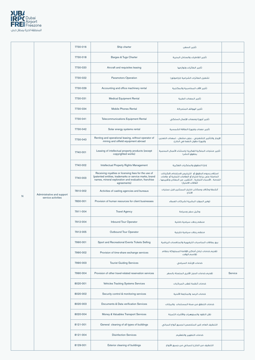

|   |                            | 7730-016 | Ship charter                                                                                                                                                                          | تأجير السفن                                                                                                                                                                                   |         |
|---|----------------------------|----------|---------------------------------------------------------------------------------------------------------------------------------------------------------------------------------------|-----------------------------------------------------------------------------------------------------------------------------------------------------------------------------------------------|---------|
|   |                            | 7730-018 | Barges & Tugs Charter                                                                                                                                                                 | تأجير القاطرات والصنادل البحرية                                                                                                                                                               |         |
|   |                            | 7730-020 | Aircraft and requisites leasing                                                                                                                                                       | تأجير الطائرات ولوازمها                                                                                                                                                                       |         |
|   |                            | 7730-022 | Paramotors Operation                                                                                                                                                                  | تشغيل الطائرات الشراعية (باراموتور)                                                                                                                                                           |         |
|   |                            | 7730-029 | Accounting and office machinery rental                                                                                                                                                | تأجير الآلات المحاسبية والمكتبية                                                                                                                                                              |         |
|   |                            | 7730-031 | <b>Medical Equipment Rental</b>                                                                                                                                                       | تأجير المعدات الطبية                                                                                                                                                                          |         |
|   |                            | 7730-034 | <b>Mobile Phones Rental</b>                                                                                                                                                           | تأجير الهواتف المتحركة                                                                                                                                                                        |         |
|   |                            | 7730-041 | <b>Telecommunications Equipment Rental</b>                                                                                                                                            | تأجير أجهزة ومعدات الإتصال السلكى                                                                                                                                                             |         |
|   |                            | 7730-042 | Solar energy systems rental                                                                                                                                                           | تأجير معدات واجهزة الطاقة الشمسية                                                                                                                                                             |         |
|   |                            | 7730-043 | Renting and operational leasing, without operator of<br>mining and oilfield equipment abroad                                                                                          | الإيجار والتأجير التشغيلي ، بدون مشغل ، لـمعدات التعدين<br>وأجهزة حقول النفط في الخارج                                                                                                        |         |
|   |                            | 7740-001 | Leasing of intellectual property products (except<br>copyrighted works)                                                                                                               | تأجير منتجات الملكية الفكرية (باستثناء الأعمال المحمية<br>بحقوق النشر)                                                                                                                        |         |
|   |                            | 7740-002 | Intellectual Property Rights Management                                                                                                                                               | إدارة الحقوق والملكيات الفكرية                                                                                                                                                                |         |
|   |                            | 7740-003 | Receiving royalties or licensing fees for the use of<br>(patented entities, trademarks or service marks, brand<br>names, mineral exploration and evaluation, franchise<br>agreements) | استلام رسوم الحقوق أو الترخيص لاستخدام (الكيانات<br>الحاصلة على براءة اختراع أو العلامات التجارية أو علامات<br>الخدمة ، الأسماء التجارية ، التنقيب عن المعادن وتقييمها ،<br>اتفاقات الامتياز) |         |
|   | Administrative and support | 7810-002 | Activities of casting agencies and bureaus                                                                                                                                            | أنشطة وكالات ومكاتب اختيار الممثلين قبل عمليات<br>الانتاج                                                                                                                                     |         |
| N | service activities         | 7830-001 | Provision of human resources for client businesses                                                                                                                                    | توفير الموارد البشرية لشركات العملاء                                                                                                                                                          |         |
|   |                            | 7911-004 | <b>Travel Agency</b>                                                                                                                                                                  | وكيل سفر وسياحة                                                                                                                                                                               |         |
|   |                            | 7912-004 | <b>Inbound Tour Operator</b>                                                                                                                                                          | منظم رحلات سياحية داخلية                                                                                                                                                                      |         |
|   |                            | 7912-005 | <b>Outbound Tour Operator</b>                                                                                                                                                         | منظم رحلات سياحية خارجية                                                                                                                                                                      |         |
|   |                            | 7990-001 | Sport and Recreational Events Tickets Selling                                                                                                                                         | بيع بطاقات المناسبات الترفيهية والمنافسات الرياضية                                                                                                                                            |         |
|   |                            | 7990-002 | Provision of time-share exchange services                                                                                                                                             | تقديم خدمات تبادل أماكن الإقامة المملوكة بنظام<br>تقاسم الوقت                                                                                                                                 |         |
|   |                            | 7990-003 | <b>Tourist Guiding Services</b>                                                                                                                                                       | خدمات الإرشاد السياحى                                                                                                                                                                         |         |
|   |                            | 7990-004 | Provision of other travel-related reservation services                                                                                                                                | تقديم خدمات الحجز الأخرى المتصلة بالسفر                                                                                                                                                       | Service |
|   |                            | 8020-001 | Vehicles Tracking Systems Services                                                                                                                                                    | خدمات أنظمة تعقب المركبات                                                                                                                                                                     |         |
|   |                            | 8020-002 | Security control & monitoring services                                                                                                                                                | خدمات الرصد والمتابعة الأمنية                                                                                                                                                                 |         |
|   |                            | 8020-003 | Documents & Data verification Services                                                                                                                                                | خدمات التحقق من صحة المستندات والبيانات                                                                                                                                                       |         |
|   |                            | 8020-004 | Money & Valuables Transport Services                                                                                                                                                  | نقل النقود والمجوهرات والأشياء الثمينة                                                                                                                                                        |         |
|   |                            | 8121-001 | General cleaning of all types of buildings                                                                                                                                            | التنظيف العام (غير المتخصص) لجميع أنواع المباني                                                                                                                                               |         |
|   |                            | 8121-004 | <b>Disinfection Services</b>                                                                                                                                                          | خدمات التطهير والتعقيم                                                                                                                                                                        |         |
|   |                            | 8129-001 | Exterior cleaning of buildings                                                                                                                                                        | التنظيف من الخارج للمبانى من جميع الأنواع                                                                                                                                                     |         |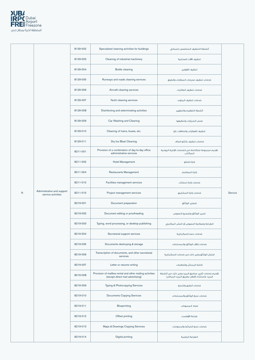

|              |                                                  | 8129-002 | Specialized cleaning activities for buildings                                                | أنشطة التنظيف المتخصص للمبانى                                                                       |         |
|--------------|--------------------------------------------------|----------|----------------------------------------------------------------------------------------------|-----------------------------------------------------------------------------------------------------|---------|
|              |                                                  | 8129-003 | Cleaning of industrial machinery                                                             | تنظيف الآلات الصناعية                                                                               |         |
|              |                                                  | 8129-004 | <b>Bottle cleaning</b>                                                                       | تنظيف القوارير                                                                                      |         |
|              |                                                  | 8129-005 | Runways and roads cleaning services                                                          | خدمات تنظيف مدرجات المطارات والطرق                                                                  |         |
|              |                                                  | 8129-006 | Aircraft cleaning services                                                                   | خدمات تنظيف الطائرات                                                                                |         |
|              |                                                  | 8129-007 | Yacht cleaning services                                                                      | خدمات تنظيف اليخوت                                                                                  |         |
|              |                                                  | 8129-008 | Disinfecting and exterminating activities                                                    | أنشطة التعقيم والتطهير                                                                              |         |
|              |                                                  | 8129-009 | Car Washing and Cleaning                                                                     | غسل السيارات وتنظيفها                                                                               |         |
|              |                                                  | 8129-010 | Cleaning of trains, buses, etc.                                                              | تنظيف القطارات والحافلات، إلخ                                                                       |         |
|              |                                                  | 8129-011 | Dry Ice Blast Cleaning                                                                       | خدمات تنظيف بالثلج الجاف                                                                            |         |
|              |                                                  | 8211-001 | Provision of a combination of day-to-day office<br>administrative services                   | تقديم مجموعة متكاملة من الخدمات الإدارية اليومية<br>للمكاتب                                         |         |
|              |                                                  | 8211-002 | Hotel Management                                                                             | إدارة فنادق                                                                                         |         |
|              |                                                  | 8211-004 | <b>Restaurants Management</b>                                                                | إدارة المطاعم                                                                                       | Service |
|              |                                                  | 8211-010 | Facilities management services                                                               | خدمات إدارة منشآت                                                                                   |         |
| $\mathsf{N}$ | Administrative and support<br>service activities | 8211-015 | Project management services                                                                  | خدمات إدارة المشاريع                                                                                |         |
|              |                                                  | 8219-001 | Document preparation                                                                         | تحضير الوثائق                                                                                       |         |
|              |                                                  | 8219-002 | Document editing or proofreading                                                             | تحرير الوثائق وتصحبح النصوص                                                                         |         |
|              |                                                  | 8219-003 | Typing, word processing, or desktop publishing                                               | الطباعة ومعالجة النصوص أو النشر المكتبي                                                             |         |
|              |                                                  | 8219-004 | Secretarial support services                                                                 | خدمات دعم السكرتارية                                                                                |         |
|              |                                                  | 8219-005 | Documents destroying & storage                                                               | خدمات إتلاف الوثائق والمستندات                                                                      |         |
|              |                                                  | 8219-006 | Transcription of documents, and other secretarial<br>services                                | اختزال الوثائق وغير ذلك من خدمات السكرتارية                                                         |         |
|              |                                                  | 8219-007 | Letter or resume writing                                                                     | كتابة الرسائل والخلاصات                                                                             |         |
|              |                                                  | 8219-008 | Provision of mailbox rental and other mailing activities<br>(except direct mail advertising) | تقديم خدمات تأجير صناديق البريد وغير ذلك من أنشطة<br>البريد (باستثناء الإعلان بطريق البريد المباشر) |         |
|              |                                                  | 8219-009 | Typing & Photocopying Services                                                               | خدمات الطبع والنسخ                                                                                  |         |
|              |                                                  | 8219-010 | <b>Documents Copying Services</b>                                                            | خدمات نسخ الوثائق والمستندات                                                                        |         |
|              |                                                  | 8219-011 | <b>Blueprinting</b>                                                                          | إعداد المسودات                                                                                      |         |
|              |                                                  | 8219-012 | Offset printing                                                                              | طباعة الأوفست                                                                                       |         |
|              |                                                  | 8219-013 | Maps & Drawings Copying Services                                                             | خدمات نسخ الخرائط والرسومات                                                                         |         |
|              |                                                  | 8219-014 | Digital printing                                                                             | الطباعة الرقمية                                                                                     |         |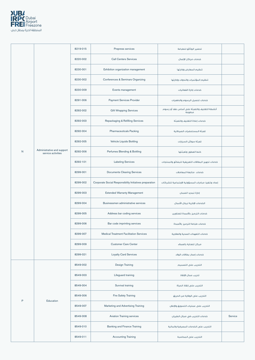

|             |                                                  | 8219-015 | Prepress services                                       | تحضير الوثائق للطباعة                                 |         |
|-------------|--------------------------------------------------|----------|---------------------------------------------------------|-------------------------------------------------------|---------|
|             |                                                  | 8220-002 | <b>Call Centers Services</b>                            | خدمات مراكز الإتصال                                   |         |
|             |                                                  | 8230-001 | Exhibition organization management                      | تنظيم المعارض وإدارتها                                |         |
|             |                                                  | 8230-002 | Conferences & Seminars Organizing                       | تنظيم المؤتمرات والندوات وإدارتها                     |         |
|             |                                                  | 8230-009 | Events management                                       | خدمات إدارة الفعاليات                                 |         |
|             |                                                  | 8291-006 | <b>Payment Services Provider</b>                        | خدمات تحصيل الرسوم والدفعيات                          |         |
|             |                                                  | 8292-002 | <b>Gift Wrapping Services</b>                           | أنشطة التغليف والتعبئة على أساس عقد أو رسوم<br>مدفوعة |         |
|             |                                                  | 8292-003 | Repackaging & Refilling Services                        | خدمات إعادة التغليف والتعبئة                          |         |
|             |                                                  | 8292-004 | <b>Pharmaceuticals Packing</b>                          | تعبئة المستحضرات الصيدلانية                           |         |
|             |                                                  | 8292-005 | Vehicle Liquids Bottling                                | تعبئة سوائل السيارات                                  |         |
| N           | Administrative and support<br>service activities | 8292-006 | Perfumes Blending & Bottling                            | خلط العطور وتعبئتها                                   |         |
|             |                                                  | 8292-101 | <b>Labeling Services</b>                                | خدمات تجهيز البطاقات التعريفية للبضائع والمنتجات      |         |
|             |                                                  | 8299-001 | <b>Documents Clearing Services</b>                      | خدمات متابعة المعاملات                                |         |
|             |                                                  | 8299-002 | Corporate Social Responsibility Initiatives preparation | إعداد وتنفيذ مبادرات المسؤولية الإجتماعية للشركات     |         |
|             |                                                  | 8299-003 | <b>Extended Warranty Management</b>                     | إدارة تمديد الضمان                                    |         |
|             |                                                  | 8299-004 | Businessmen administrative services                     | الخدمات الإدارية لرجال الأعمال                        |         |
|             |                                                  | 8299-005 | Address bar coding services                             | خدمات الترميز بالأعمدة للعناوين                       |         |
|             |                                                  | 8299-006 | Bar code imprinting services                            | فدمات طباعة الترميز بالأعمدة                          |         |
|             |                                                  | 8299-007 | <b>Medical Treatment Facilitation Services</b>          | خدمات التعهدات الصحية والعلاجية                       |         |
|             |                                                  | 8299-009 | <b>Customer Care Center</b>                             | مركز للعناية بالعملاء                                 |         |
|             |                                                  | 8299-021 | <b>Loyalty Card Services</b>                            | خدمات إصدار بطاقات الولاء                             |         |
|             |                                                  | 8549-002 | <b>Design Training</b>                                  | التدريب على التصميم                                   |         |
|             |                                                  | 8549-003 | Lifeguard training                                      | تدريب عمال الإنقاذ                                    |         |
|             |                                                  | 8549-004 | Survival training                                       | التدريب على إنقاذ الحياة                              |         |
|             |                                                  | 8549-006 | Fire Safety Training                                    | التدريب على الوقاية من الحريق                         |         |
| $\mathsf P$ | Education                                        | 8549-007 | Marketing and Advertising Training                      | التدريب على عمليات التسويق والإعلان                   |         |
|             |                                                  | 8549-008 | <b>Aviation Training services</b>                       | خدمات التدريب في مجال الطيران                         | Service |
|             |                                                  | 8549-010 | <b>Banking and Finance Training</b>                     | التدريب على الخدمات المصرفية والمالية                 |         |
|             |                                                  | 8549-011 | <b>Accounting Training</b>                              | التدريب على المحاسبة                                  |         |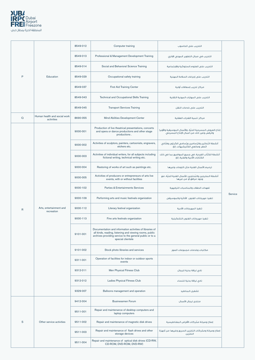

|              |                                            | 8549-012 | Computer training                                                                                                                                                                                    | التدريب على الحاسوب                                                                                   |         |
|--------------|--------------------------------------------|----------|------------------------------------------------------------------------------------------------------------------------------------------------------------------------------------------------------|-------------------------------------------------------------------------------------------------------|---------|
|              |                                            | 8549-013 | Professional & Management Development Training                                                                                                                                                       | التدريب في مجال التطوير المهني الإداري                                                                |         |
|              |                                            | 8549-014 | Social and Behavioral Science Training                                                                                                                                                               | التدريب على العلوم السلوكية والإجتماعية                                                               |         |
| P            | Education                                  | 8549-029 | Occupational safety training                                                                                                                                                                         | التدريب على إجراءات السلامة المهنية                                                                   |         |
|              |                                            | 8549-037 | <b>First Aid Training Center</b>                                                                                                                                                                     | مركز تدريب إسعافات أولية                                                                              |         |
|              |                                            | 8549-043 | Technical and Occupational Skills Training                                                                                                                                                           | التدريب على المهارات المهنية التقنية                                                                  |         |
|              |                                            | 8549-045 | <b>Transport Services Training</b>                                                                                                                                                                   | التدريب على خدمات النقل                                                                               |         |
| $\Omega$     | Human health and social work<br>activities | 8690-055 | Mind Abilities Development Center                                                                                                                                                                    | مركز تنمية القدرات العقلية                                                                            |         |
|              |                                            | 9000-001 | Production of live theatrical presentations, concerts<br>and opera or dance productions and other stage<br>productions.                                                                              | إنتاج العروض المسرحية الحيّة، والأعمال الموسيقية والأوبرا<br>والرقص وغير ذلك من أعمال الإنتاج المسرحي |         |
|              |                                            | 9000-002 | Activities of sculptors, painters, cartoonists, engravers,<br>etchers etc.                                                                                                                           | أنشطة النَّحاتين والرّسامين ورّسامي الكرتون وفنّاني<br>الَّحفَرِ وصائعي الكليشيهات، إلَّ              |         |
|              |                                            | 9000-003 | Activities of individual writers, for all subjects including<br>fictional writing, technical writing etc.                                                                                            | أنشطة الكتَّاب الفردية، في جميع المواضيع بما في ذلك<br>الكتابات الأدبية والفنية، إلخ                  |         |
|              |                                            | 9000-004 | Restoring of works of art such as paintings etc.                                                                                                                                                     | ترميم الأعمال الفنية مثل اللوحات وغيرها                                                               |         |
|              |                                            | 9000-005 | Activities of producers or entrepreneurs of arts live<br>events, with or without facilities                                                                                                          | أنشطة المخرجين والمُنتجين للأعمال الفنية الحيّة، مع<br>وجود مرافق أو من غيرها                         |         |
|              |                                            | 9000-102 | Parties & Entertainments Services                                                                                                                                                                    | تعهدات الحفلات والمناسبات الترفيهية                                                                   |         |
|              |                                            | 9000-109 | Performing arts and music festivals organization                                                                                                                                                     | تنفيذ مهرجانات الفنون الأدائية والموسيقى                                                              | Service |
| $\mathsf{R}$ | Arts, entertainment and<br>recreation      | 9000-112 | Literary festival organization                                                                                                                                                                       | تنفيذ المهرجانات الأدبية                                                                              |         |
|              |                                            | 9000-113 | Fine arts festivals organization                                                                                                                                                                     | تنفيذ مهرجانات الفنون التشكيلية                                                                       |         |
|              |                                            | 9101-001 | Documentation and information activities of libraries of<br>all kinds, reading, listening and viewing rooms, public<br>archives providing service to the general public or to a<br>special clientele |                                                                                                       |         |
|              |                                            | 9101-002 | Stock photo libraries and services                                                                                                                                                                   | مكتبات وخدمات مجموعات الصور                                                                           |         |
|              |                                            | 9311-001 | Operation of facilities for indoor or outdoor sports<br>events                                                                                                                                       |                                                                                                       |         |
|              |                                            | 9312-011 | Men Physical Fitness Club                                                                                                                                                                            | نادى لياقة بدنية للرجال                                                                               |         |
|              |                                            | 9312-012 | Ladies Physical Fitness Club                                                                                                                                                                         | نادى لياقة بدنية للنساء                                                                               |         |
|              |                                            | 9329-007 | Balloons management and operation                                                                                                                                                                    | تشغيل المناطيد                                                                                        |         |
|              |                                            | 9412-004 | <b>Businessmen Forum</b>                                                                                                                                                                             | منتدى لرجال الأعمال                                                                                   |         |
|              |                                            | 9511-001 | Repair and maintenance of desktop computers and<br>laptop computers                                                                                                                                  |                                                                                                       |         |
| S            | Other service activities                   | 9511-002 | Repair and maintenance of magnetic disk drives                                                                                                                                                       | إصلاح وصيانة محّركات الأقراص المغناطيسية                                                              |         |
|              |                                            | 9511-003 | Repair and maintenance of flash drives and other<br>storage devices                                                                                                                                  | إصلاح وصيانة ومحّركات التخزين السريع وغيرها من أجهزة<br>التخزين                                       |         |
|              |                                            | 9511-004 | Repair and maintenance of optical disk drives (CD-RW,<br>CD-ROM, DVD-ROM, DVD-RW)                                                                                                                    |                                                                                                       |         |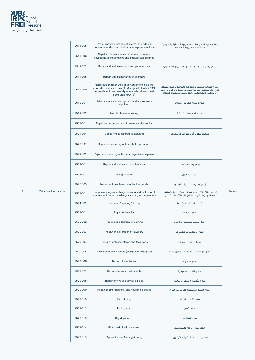

| ${\mathbf S}$ | Other service activities | 9511-005 | Repair and maintenance of internal and external<br>computer modem and dedicated computer terminals                                                                                     | إصلاح وصيانة المودمات الحاسوبية الداخلية والخارجية<br>ومحطات كمبيوتر مخصصة                                                                             | Service |
|---------------|--------------------------|----------|----------------------------------------------------------------------------------------------------------------------------------------------------------------------------------------|--------------------------------------------------------------------------------------------------------------------------------------------------------|---------|
|               |                          | 9511-006 | Repair and maintenance of printers, monitors,<br>keyboards, mice, joysticks and trackball accessories                                                                                  |                                                                                                                                                        |         |
|               |                          | 9511-007 | Repair and maintenance of computer servers                                                                                                                                             | إصلاح وصيانة الموده الداخلي والخارجي للحاسوب                                                                                                           |         |
|               |                          | 9511-008 | Repair and maintenance of scanners                                                                                                                                                     |                                                                                                                                                        |         |
|               |                          | 9511-009 | Repair and maintenance of computer terminals like<br>automatic teller machines (ATM's); point-of-sale (POS)<br>terminals, not mechanically operated and hand-held<br>computers (PDA's) | إصلاح وصيانة المحطات الطرفية للحاسوب مثل الصّراف<br>الآلى والمحطات الطرفية لحساب مشتريات الزبائن ، غير<br>المشغلة ميكانيكيا، والحواسيب الشخصية اليدوية |         |
|               |                          | 9512-001 | Telecommunication equipment and apparatuses<br>repairing                                                                                                                               | إصلاح وصيانة معدات الاتصالات                                                                                                                           |         |
|               |                          | 9512-002 | Mobile phones repairing                                                                                                                                                                | إصلاح الهواتف المتحركة                                                                                                                                 |         |
|               |                          | 9521-001 | Repair and maintenance of consumer electronics                                                                                                                                         |                                                                                                                                                        |         |
|               |                          | 9521-004 | Mobile Phone Upgrading Services                                                                                                                                                        | خدمات تطوير أداء الهواتف المتحركة                                                                                                                      |         |
|               |                          | 9522-001 | Repair and servicing of household appliances                                                                                                                                           |                                                                                                                                                        |         |
|               |                          | 9522-002 | Repair and servicing of home and garden equipment                                                                                                                                      |                                                                                                                                                        |         |
|               |                          | 9523-001 | Repair and maintenance of footwear                                                                                                                                                     | إصلاح وصيانة الأحذية                                                                                                                                   |         |
|               |                          | 9523-002 | Fitting of heels                                                                                                                                                                       | تركيب النعول                                                                                                                                           |         |
|               |                          | 9523-003 | Repair and maintenance of leather goods                                                                                                                                                | إصلاح وصيانة المنتجات الجلدية                                                                                                                          |         |
|               |                          | 9524-001 | Reupholstering, refinishing, repairing and restoring of<br>furniture and home furnishings including office furniture                                                                   | تجديد بطائن الأثاث والمفروشات وتبطينها وتبطينها<br>وإصلاحها وصيانتها، بما في ذلك الأثاث المكتبي                                                        |         |
|               |                          | 9524-002 | <b>Curtains Preparing &amp; Fixing</b>                                                                                                                                                 | تجهيز الستائر وتركيبها                                                                                                                                 |         |
|               |                          | 9529-001 | Repair of bicycles                                                                                                                                                                     | إصلاح الدّراجات                                                                                                                                        |         |
|               |                          | 9529-002 | Repair and alteration of clothing                                                                                                                                                      | إصلاح وضبط قياسات الملابس                                                                                                                              |         |
|               |                          | 9529-003 | Repair and alteration of jewellery                                                                                                                                                     | إصلاح المجوهرات وتغييرها                                                                                                                               |         |
|               |                          | 9529-004 | Repair of watches, clocks and their parts                                                                                                                                              | الساعات بأنواعها وأجزائها                                                                                                                              |         |
|               |                          | 9529-005 | Repair of sporting goods (except sporting guns)                                                                                                                                        | إصلاح الأدوات الرياضية (ما عدا بنادق الصيد)                                                                                                            |         |
|               |                          | 9529-006 | Repair of spectacles                                                                                                                                                                   | إصلاح النظارات                                                                                                                                         |         |
|               |                          | 9529-007 | Repair of musical instruments                                                                                                                                                          | إصلاح الآلات الموسيقية                                                                                                                                 |         |
|               |                          | 9529-008 | Repair of toys and similar articles                                                                                                                                                    | إصلاح اللُعب والأصناف المماثلة                                                                                                                         |         |
|               |                          | 9529-009 | Repair of other personal and household goods                                                                                                                                           | إصلاح السلع الشخصية والمنزلية الأخرى                                                                                                                   |         |
|               |                          | 9529-010 | Piano-tuning                                                                                                                                                                           | ضبط نغمات البيانو                                                                                                                                      |         |
|               |                          | 9529-012 | Locks repair                                                                                                                                                                           | إصلاح الأقفال                                                                                                                                          |         |
|               |                          | 9529-013 | Key duplicators                                                                                                                                                                        | نسخ المفاتيح                                                                                                                                           |         |
|               |                          | 9529-014 | Glass and plastic engraving                                                                                                                                                            | الحفر على الزجاج والبلاستيك                                                                                                                            |         |
|               |                          | 9529-015 | <b>Optical Lenses Cutting &amp; Fixing</b>                                                                                                                                             | تقطيع عدسات النظارات وتركيبها                                                                                                                          |         |